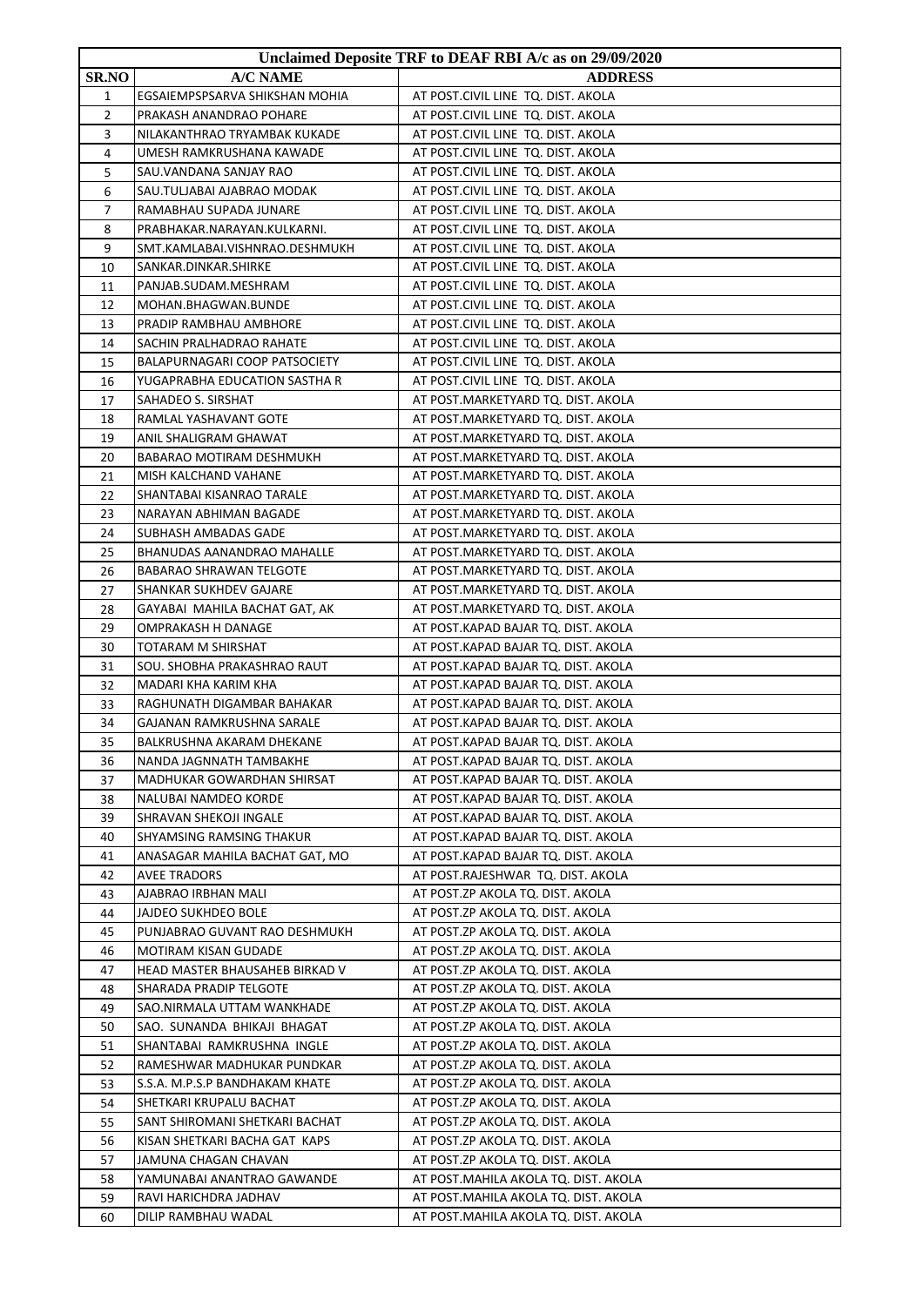|              |                                 | Unclaimed Deposite TRF to DEAF RBI A/c as on 29/09/2020 |
|--------------|---------------------------------|---------------------------------------------------------|
| <b>SR.NO</b> | A/C NAME                        | <b>ADDRESS</b>                                          |
| 1            | EGSAIEMPSPSARVA SHIKSHAN MOHIA  | AT POST.CIVIL LINE TQ. DIST. AKOLA                      |
| 2            | PRAKASH ANANDRAO POHARE         | AT POST.CIVIL LINE TQ. DIST. AKOLA                      |
| 3            | NILAKANTHRAO TRYAMBAK KUKADE    | AT POST.CIVIL LINE TQ. DIST. AKOLA                      |
| 4            | UMESH RAMKRUSHANA KAWADE        | AT POST.CIVIL LINE TQ. DIST. AKOLA                      |
| 5            | SAU.VANDANA SANJAY RAO          | AT POST.CIVIL LINE TQ. DIST. AKOLA                      |
| 6            | SAU.TULJABAI AJABRAO MODAK      | AT POST.CIVIL LINE TQ. DIST. AKOLA                      |
| 7            | RAMABHAU SUPADA JUNARE          | AT POST.CIVIL LINE TQ. DIST. AKOLA                      |
| 8            | PRABHAKAR.NARAYAN.KULKARNI.     | AT POST.CIVIL LINE TQ. DIST. AKOLA                      |
| 9            | SMT.KAMLABAI.VISHNRAO.DESHMUKH  | AT POST.CIVIL LINE TQ. DIST. AKOLA                      |
| 10           | SANKAR.DINKAR.SHIRKE            | AT POST.CIVIL LINE TQ. DIST. AKOLA                      |
| 11           | PANJAB.SUDAM.MESHRAM            | AT POST.CIVIL LINE TQ. DIST. AKOLA                      |
| 12           | MOHAN.BHAGWAN.BUNDE             | AT POST.CIVIL LINE TQ. DIST. AKOLA                      |
| 13           | PRADIP RAMBHAU AMBHORE          | AT POST.CIVIL LINE TQ. DIST. AKOLA                      |
| 14           | SACHIN PRALHADRAO RAHATE        | AT POST.CIVIL LINE TQ. DIST. AKOLA                      |
| 15           | BALAPURNAGARI COOP PATSOCIETY   | AT POST.CIVIL LINE TQ. DIST. AKOLA                      |
| 16           | YUGAPRABHA EDUCATION SASTHA R   | AT POST.CIVIL LINE TQ. DIST. AKOLA                      |
| 17           | SAHADEO S. SIRSHAT              | AT POST.MARKETYARD TQ. DIST. AKOLA                      |
| 18           | RAMLAL YASHAVANT GOTE           | AT POST.MARKETYARD TQ. DIST. AKOLA                      |
| 19           | ANIL SHALIGRAM GHAWAT           | AT POST.MARKETYARD TQ. DIST. AKOLA                      |
| 20           | <b>BABARAO MOTIRAM DESHMUKH</b> | AT POST.MARKETYARD TQ. DIST. AKOLA                      |
| 21           | MISH KALCHAND VAHANE            | AT POST.MARKETYARD TQ. DIST. AKOLA                      |
| 22           | SHANTABAI KISANRAO TARALE       | AT POST.MARKETYARD TQ. DIST. AKOLA                      |
| 23           | NARAYAN ABHIMAN BAGADE          | AT POST.MARKETYARD TQ. DIST. AKOLA                      |
| 24           | SUBHASH AMBADAS GADE            | AT POST.MARKETYARD TQ. DIST. AKOLA                      |
| 25           | BHANUDAS AANANDRAO MAHALLE      | AT POST.MARKETYARD TQ. DIST. AKOLA                      |
| 26           | BABARAO SHRAWAN TELGOTE         | AT POST.MARKETYARD TQ. DIST. AKOLA                      |
| 27           | SHANKAR SUKHDEV GAJARE          | AT POST.MARKETYARD TQ. DIST. AKOLA                      |
| 28           | GAYABAI MAHILA BACHAT GAT, AK   | AT POST.MARKETYARD TQ. DIST. AKOLA                      |
| 29           | OMPRAKASH H DANAGE              | AT POST.KAPAD BAJAR TQ. DIST. AKOLA                     |
| 30           | TOTARAM M SHIRSHAT              | AT POST.KAPAD BAJAR TQ. DIST. AKOLA                     |
| 31           | SOU. SHOBHA PRAKASHRAO RAUT     | AT POST.KAPAD BAJAR TQ. DIST. AKOLA                     |
| 32           | MADARI KHA KARIM KHA            | AT POST.KAPAD BAJAR TQ. DIST. AKOLA                     |
| 33           | RAGHUNATH DIGAMBAR BAHAKAR      | AT POST.KAPAD BAJAR TQ. DIST. AKOLA                     |
| 34           | GAJANAN RAMKRUSHNA SARALE       | AT POST.KAPAD BAJAR TQ. DIST. AKOLA                     |
| 35           | BALKRUSHNA AKARAM DHEKANE       | AT POST.KAPAD BAJAR TQ. DIST. AKOLA                     |
| 36           | NANDA JAGNNATH TAMBAKHE         | AT POST.KAPAD BAJAR TQ. DIST. AKOLA                     |
| 37           | MADHUKAR GOWARDHAN SHIRSAT      | AT POST.KAPAD BAJAR TQ. DIST. AKOLA                     |
| 38           | NALUBAI NAMDEO KORDE            | AT POST.KAPAD BAJAR TQ. DIST. AKOLA                     |
| 39           | SHRAVAN SHEKOJI INGALE          | AT POST.KAPAD BAJAR TO. DIST. AKOLA                     |
| 40           | SHYAMSING RAMSING THAKUR        | AT POST.KAPAD BAJAR TQ. DIST. AKOLA                     |
| 41           | ANASAGAR MAHILA BACHAT GAT, MO  | AT POST.KAPAD BAJAR TQ. DIST. AKOLA                     |
| 42           | <b>AVEE TRADORS</b>             | AT POST.RAJESHWAR TQ. DIST. AKOLA                       |
| 43           | AJABRAO IRBHAN MALI             | AT POST.ZP AKOLA TQ. DIST. AKOLA                        |
| 44           | <b>JAJDEO SUKHDEO BOLE</b>      | AT POST.ZP AKOLA TQ. DIST. AKOLA                        |
| 45           | PUNJABRAO GUVANT RAO DESHMUKH   | AT POST.ZP AKOLA TQ. DIST. AKOLA                        |
| 46           | MOTIRAM KISAN GUDADE            | AT POST.ZP AKOLA TQ. DIST. AKOLA                        |
| 47           | HEAD MASTER BHAUSAHEB BIRKAD V  | AT POST.ZP AKOLA TQ. DIST. AKOLA                        |
| 48           | SHARADA PRADIP TELGOTE          | AT POST.ZP AKOLA TQ. DIST. AKOLA                        |
| 49           | SAO.NIRMALA UTTAM WANKHADE      | AT POST.ZP AKOLA TQ. DIST. AKOLA                        |
| 50           | SAO. SUNANDA BHIKAJI BHAGAT     | AT POST.ZP AKOLA TQ. DIST. AKOLA                        |
| 51           | SHANTABAI RAMKRUSHNA INGLE      | AT POST.ZP AKOLA TQ. DIST. AKOLA                        |
| 52           | RAMESHWAR MADHUKAR PUNDKAR      | AT POST.ZP AKOLA TQ. DIST. AKOLA                        |
| 53           | S.S.A. M.P.S.P BANDHAKAM KHATE  | AT POST.ZP AKOLA TQ. DIST. AKOLA                        |
| 54           | SHETKARI KRUPALU BACHAT         | AT POST.ZP AKOLA TQ. DIST. AKOLA                        |
| 55           | SANT SHIROMANI SHETKARI BACHAT  | AT POST.ZP AKOLA TQ. DIST. AKOLA                        |
| 56           | KISAN SHETKARI BACHA GAT KAPS   | AT POST.ZP AKOLA TQ. DIST. AKOLA                        |
| 57           | JAMUNA CHAGAN CHAVAN            | AT POST.ZP AKOLA TQ. DIST. AKOLA                        |
| 58           | YAMUNABAI ANANTRAO GAWANDE      | AT POST.MAHILA AKOLA TQ. DIST. AKOLA                    |
| 59           | RAVI HARICHDRA JADHAV           | AT POST.MAHILA AKOLA TQ. DIST. AKOLA                    |
| 60           | DILIP RAMBHAU WADAL             | AT POST.MAHILA AKOLA TQ. DIST. AKOLA                    |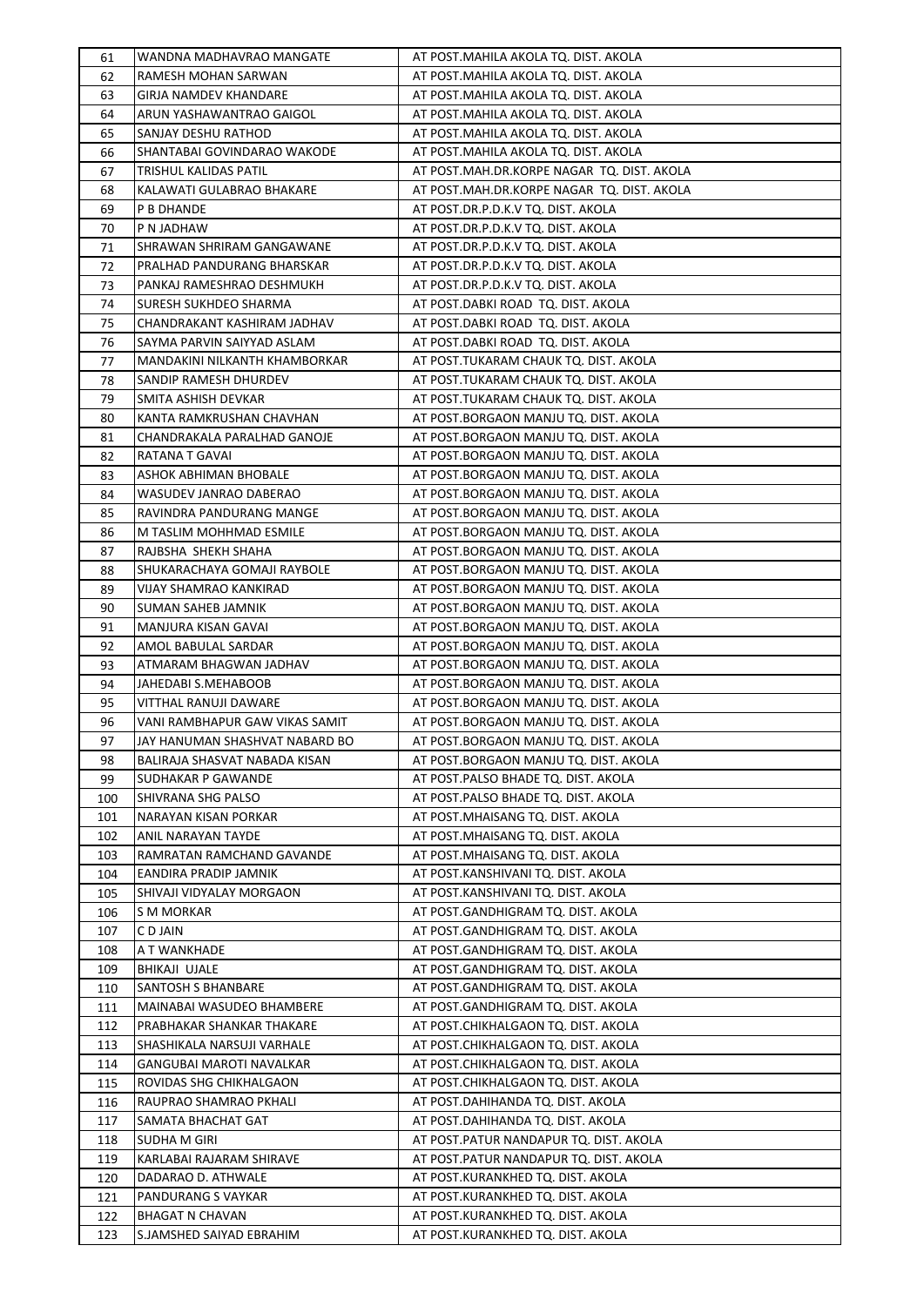| 61       | WANDNA MADHAVRAO MANGATE                      | AT POST.MAHILA AKOLA TQ. DIST. AKOLA                                           |
|----------|-----------------------------------------------|--------------------------------------------------------------------------------|
| 62       | RAMESH MOHAN SARWAN                           | AT POST.MAHILA AKOLA TQ. DIST. AKOLA                                           |
| 63       | GIRJA NAMDEV KHANDARE                         | AT POST.MAHILA AKOLA TQ. DIST. AKOLA                                           |
| 64       | ARUN YASHAWANTRAO GAIGOL                      | AT POST.MAHILA AKOLA TQ. DIST. AKOLA                                           |
| 65       | SANJAY DESHU RATHOD                           | AT POST.MAHILA AKOLA TQ. DIST. AKOLA                                           |
| 66       | SHANTABAI GOVINDARAO WAKODE                   | AT POST.MAHILA AKOLA TQ. DIST. AKOLA                                           |
| 67       | TRISHUL KALIDAS PATIL                         | AT POST.MAH.DR.KORPE NAGAR TQ. DIST. AKOLA                                     |
| 68       | KALAWATI GULABRAO BHAKARE                     | AT POST.MAH.DR.KORPE NAGAR TQ. DIST. AKOLA                                     |
| 69       | P B DHANDE                                    | AT POST.DR.P.D.K.V TQ. DIST. AKOLA                                             |
| 70       | P N JADHAW                                    | AT POST.DR.P.D.K.V TQ. DIST. AKOLA                                             |
| 71       | SHRAWAN SHRIRAM GANGAWANE                     | AT POST.DR.P.D.K.V TQ. DIST. AKOLA                                             |
| 72       | PRALHAD PANDURANG BHARSKAR                    | AT POST.DR.P.D.K.V TQ. DIST. AKOLA                                             |
| 73       | PANKAJ RAMESHRAO DESHMUKH                     | AT POST.DR.P.D.K.V TQ. DIST. AKOLA                                             |
| 74       | SURESH SUKHDEO SHARMA                         | AT POST.DABKI ROAD TQ. DIST. AKOLA                                             |
| 75       | CHANDRAKANT KASHIRAM JADHAV                   | AT POST.DABKI ROAD TQ. DIST. AKOLA                                             |
| 76       | SAYMA PARVIN SAIYYAD ASLAM                    | AT POST.DABKI ROAD TQ. DIST. AKOLA                                             |
| 77       | MANDAKINI NILKANTH KHAMBORKAR                 | AT POST.TUKARAM CHAUK TQ. DIST. AKOLA                                          |
| 78       | SANDIP RAMESH DHURDEV                         | AT POST.TUKARAM CHAUK TQ. DIST. AKOLA                                          |
| 79       | SMITA ASHISH DEVKAR                           | AT POST.TUKARAM CHAUK TQ. DIST. AKOLA                                          |
| 80       | KANTA RAMKRUSHAN CHAVHAN                      | AT POST.BORGAON MANJU TQ. DIST. AKOLA                                          |
| 81       | CHANDRAKALA PARALHAD GANOJE                   | AT POST.BORGAON MANJU TQ. DIST. AKOLA                                          |
| 82       | RATANA T GAVAI                                | AT POST.BORGAON MANJU TQ. DIST. AKOLA                                          |
| 83       | ASHOK ABHIMAN BHOBALE                         | AT POST.BORGAON MANJU TQ. DIST. AKOLA                                          |
| 84       | WASUDEV JANRAO DABERAO                        | AT POST.BORGAON MANJU TQ. DIST. AKOLA                                          |
| 85       | RAVINDRA PANDURANG MANGE                      | AT POST.BORGAON MANJU TQ. DIST. AKOLA                                          |
| 86       | M TASLIM MOHHMAD ESMILE                       | AT POST.BORGAON MANJU TQ. DIST. AKOLA                                          |
| 87       | RAJBSHA SHEKH SHAHA                           | AT POST.BORGAON MANJU TQ. DIST. AKOLA                                          |
| 88       | SHUKARACHAYA GOMAJI RAYBOLE                   | AT POST.BORGAON MANJU TQ. DIST. AKOLA                                          |
| 89       | VIJAY SHAMRAO KANKIRAD                        | AT POST.BORGAON MANJU TQ. DIST. AKOLA                                          |
|          | SUMAN SAHEB JAMNIK                            | AT POST.BORGAON MANJU TQ. DIST. AKOLA                                          |
| 90       |                                               |                                                                                |
| 91       | MANJURA KISAN GAVAI                           | AT POST.BORGAON MANJU TQ. DIST. AKOLA                                          |
| 92<br>93 | AMOL BABULAL SARDAR<br>ATMARAM BHAGWAN JADHAV | AT POST.BORGAON MANJU TQ. DIST. AKOLA<br>AT POST.BORGAON MANJU TQ. DIST. AKOLA |
| 94       | JAHEDABI S.MEHABOOB                           |                                                                                |
|          | VITTHAL RANUJI DAWARE                         | AT POST.BORGAON MANJU TQ. DIST. AKOLA                                          |
| 95<br>96 | VANI RAMBHAPUR GAW VIKAS SAMIT                | AT POST.BORGAON MANJU TQ. DIST. AKOLA<br>AT POST.BORGAON MANJU TQ. DIST. AKOLA |
|          |                                               |                                                                                |
| 97       | JAY HANUMAN SHASHVAT NABARD BO                | AT POST.BORGAON MANJU TQ. DIST. AKOLA                                          |
| 98       | BALIRAJA SHASVAT NABADA KISAN                 | AT POST.BORGAON MANJU TQ. DIST. AKOLA                                          |
| 99       | SUDHAKAR P GAWANDE                            | AT POST.PALSO BHADE TQ. DIST. AKOLA                                            |
| 100      | SHIVRANA SHG PALSO                            | AT POST.PALSO BHADE TQ. DIST. AKOLA                                            |
| 101      | NARAYAN KISAN PORKAR                          | AT POST.MHAISANG TQ. DIST. AKOLA                                               |
| 102      | ANIL NARAYAN TAYDE                            | AT POST.MHAISANG TQ. DIST. AKOLA                                               |
| 103      | RAMRATAN RAMCHAND GAVANDE                     | AT POST.MHAISANG TQ. DIST. AKOLA                                               |
| 104      | EANDIRA PRADIP JAMNIK                         | AT POST.KANSHIVANI TQ. DIST. AKOLA                                             |
| 105      | SHIVAJI VIDYALAY MORGAON                      | AT POST.KANSHIVANI TQ. DIST. AKOLA                                             |
| 106      | S M MORKAR                                    | AT POST.GANDHIGRAM TQ. DIST. AKOLA                                             |
| 107      | C D JAIN                                      | AT POST.GANDHIGRAM TQ. DIST. AKOLA                                             |
| 108      | A T WANKHADE                                  | AT POST.GANDHIGRAM TQ. DIST. AKOLA                                             |
| 109      | BHIKAJI UJALE                                 | AT POST.GANDHIGRAM TQ. DIST. AKOLA                                             |
| 110      | SANTOSH S BHANBARE                            | AT POST.GANDHIGRAM TQ. DIST. AKOLA                                             |
| 111      | MAINABAI WASUDEO BHAMBERE                     | AT POST.GANDHIGRAM TQ. DIST. AKOLA                                             |
| 112      | PRABHAKAR SHANKAR THAKARE                     | AT POST.CHIKHALGAON TQ. DIST. AKOLA                                            |
| 113      | SHASHIKALA NARSUJI VARHALE                    | AT POST.CHIKHALGAON TQ. DIST. AKOLA                                            |
| 114      | GANGUBAI MAROTI NAVALKAR                      | AT POST.CHIKHALGAON TQ. DIST. AKOLA                                            |
| 115      | ROVIDAS SHG CHIKHALGAON                       | AT POST.CHIKHALGAON TQ. DIST. AKOLA                                            |
| 116      | RAUPRAO SHAMRAO PKHALI                        | AT POST.DAHIHANDA TQ. DIST. AKOLA                                              |
| 117      | SAMATA BHACHAT GAT                            | AT POST.DAHIHANDA TQ. DIST. AKOLA                                              |
| 118      | SUDHA M GIRI                                  | AT POST.PATUR NANDAPUR TQ. DIST. AKOLA                                         |
| 119      | KARLABAI RAJARAM SHIRAVE                      | AT POST.PATUR NANDAPUR TQ. DIST. AKOLA                                         |
| 120      | DADARAO D. ATHWALE                            | AT POST.KURANKHED TQ. DIST. AKOLA                                              |
| 121      | PANDURANG S VAYKAR                            | AT POST.KURANKHED TQ. DIST. AKOLA                                              |
| 122      | <b>BHAGAT N CHAVAN</b>                        | AT POST.KURANKHED TQ. DIST. AKOLA                                              |
| 123      | S.JAMSHED SAIYAD EBRAHIM                      | AT POST.KURANKHED TQ. DIST. AKOLA                                              |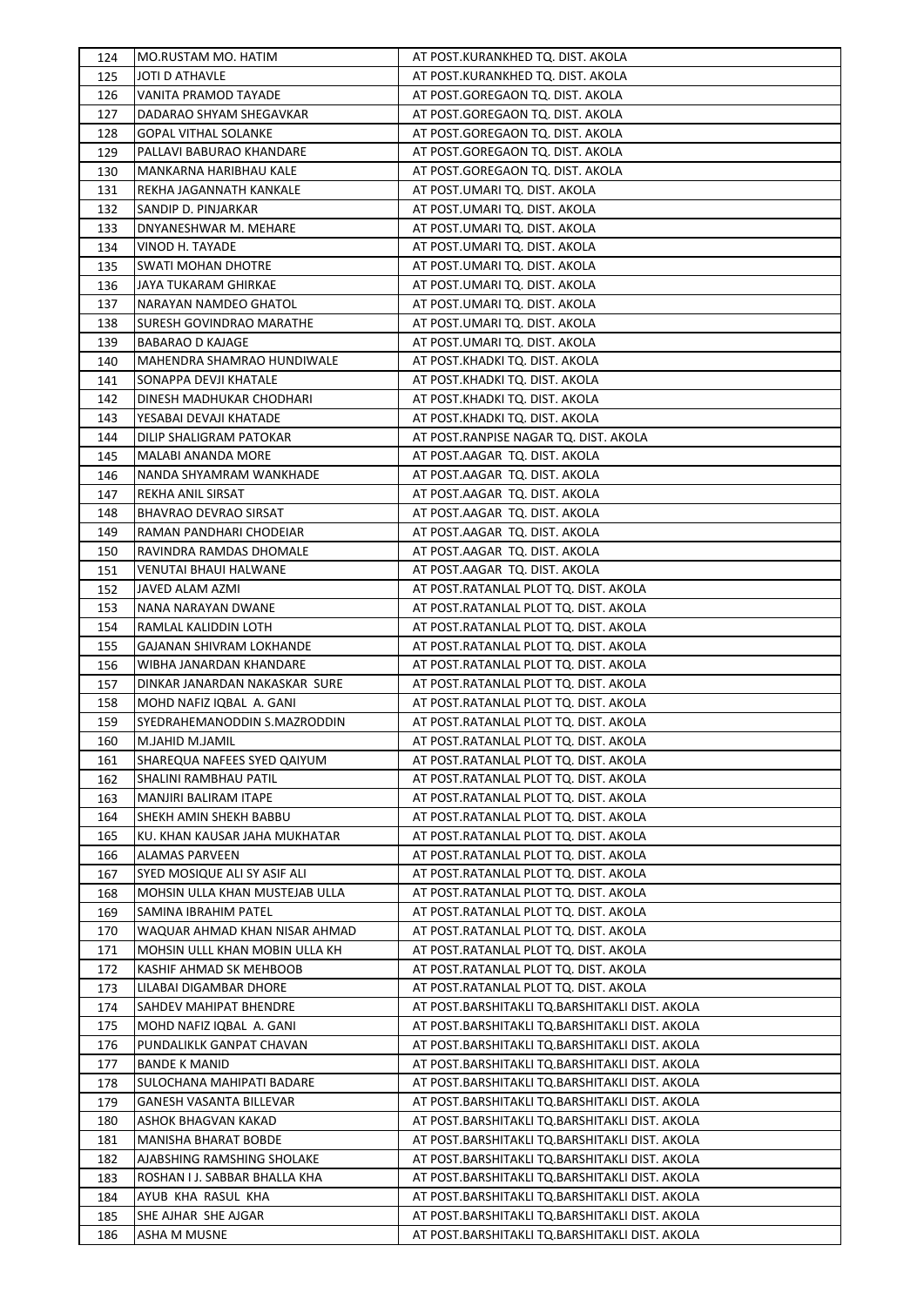| 124 | MO.RUSTAM MO. HATIM            | AT POST.KURANKHED TQ. DIST. AKOLA              |
|-----|--------------------------------|------------------------------------------------|
| 125 | <b>JOTI D ATHAVLE</b>          | AT POST.KURANKHED TQ. DIST. AKOLA              |
| 126 | VANITA PRAMOD TAYADE           | AT POST.GOREGAON TQ. DIST. AKOLA               |
| 127 | DADARAO SHYAM SHEGAVKAR        | AT POST.GOREGAON TQ. DIST. AKOLA               |
| 128 | <b>GOPAL VITHAL SOLANKE</b>    | AT POST.GOREGAON TQ. DIST. AKOLA               |
| 129 | PALLAVI BABURAO KHANDARE       | AT POST.GOREGAON TQ. DIST. AKOLA               |
| 130 | MANKARNA HARIBHAU KALE         | AT POST.GOREGAON TQ. DIST. AKOLA               |
| 131 | REKHA JAGANNATH KANKALE        | AT POST.UMARI TQ. DIST. AKOLA                  |
| 132 | SANDIP D. PINJARKAR            | AT POST.UMARI TQ. DIST. AKOLA                  |
| 133 | DNYANESHWAR M. MEHARE          | AT POST.UMARI TQ. DIST. AKOLA                  |
| 134 | VINOD H. TAYADE                | AT POST.UMARI TQ. DIST. AKOLA                  |
| 135 | SWATI MOHAN DHOTRE             | AT POST.UMARI TQ. DIST. AKOLA                  |
| 136 | JAYA TUKARAM GHIRKAE           | AT POST.UMARI TQ. DIST. AKOLA                  |
| 137 | NARAYAN NAMDEO GHATOL          | AT POST.UMARI TQ. DIST. AKOLA                  |
| 138 | SURESH GOVINDRAO MARATHE       | AT POST.UMARI TQ. DIST. AKOLA                  |
| 139 | <b>BABARAO D KAJAGE</b>        | AT POST.UMARI TQ. DIST. AKOLA                  |
| 140 | MAHENDRA SHAMRAO HUNDIWALE     | AT POST.KHADKI TQ. DIST. AKOLA                 |
| 141 | SONAPPA DEVJI KHATALE          | AT POST.KHADKI TQ. DIST. AKOLA                 |
| 142 | DINESH MADHUKAR CHODHARI       | AT POST.KHADKI TQ. DIST. AKOLA                 |
| 143 | YESABAI DEVAJI KHATADE         | AT POST.KHADKI TQ. DIST. AKOLA                 |
| 144 | DILIP SHALIGRAM PATOKAR        | AT POST.RANPISE NAGAR TQ. DIST. AKOLA          |
| 145 | MALABI ANANDA MORE             | AT POST.AAGAR TQ. DIST. AKOLA                  |
| 146 | NANDA SHYAMRAM WANKHADE        | AT POST.AAGAR TQ. DIST. AKOLA                  |
| 147 | REKHA ANIL SIRSAT              | AT POST.AAGAR TQ. DIST. AKOLA                  |
| 148 | <b>BHAVRAO DEVRAO SIRSAT</b>   | AT POST.AAGAR TQ. DIST. AKOLA                  |
| 149 | RAMAN PANDHARI CHODEIAR        | AT POST.AAGAR TQ. DIST. AKOLA                  |
| 150 | RAVINDRA RAMDAS DHOMALE        | AT POST.AAGAR TQ. DIST. AKOLA                  |
| 151 | VENUTAI BHAUI HALWANE          | AT POST.AAGAR TQ. DIST. AKOLA                  |
| 152 | JAVED ALAM AZMI                | AT POST.RATANLAL PLOT TQ. DIST. AKOLA          |
| 153 | NANA NARAYAN DWANE             | AT POST.RATANLAL PLOT TQ. DIST. AKOLA          |
| 154 | RAMLAL KALIDDIN LOTH           | AT POST.RATANLAL PLOT TQ. DIST. AKOLA          |
| 155 | GAJANAN SHIVRAM LOKHANDE       | AT POST.RATANLAL PLOT TQ. DIST. AKOLA          |
| 156 | WIBHA JANARDAN KHANDARE        | AT POST.RATANLAL PLOT TQ. DIST. AKOLA          |
| 157 | DINKAR JANARDAN NAKASKAR SURE  | AT POST.RATANLAL PLOT TQ. DIST. AKOLA          |
| 158 | MOHD NAFIZ IQBAL A. GANI       | AT POST.RATANLAL PLOT TQ. DIST. AKOLA          |
| 159 | SYEDRAHEMANODDIN S.MAZRODDIN   | AT POST.RATANLAL PLOT TQ. DIST. AKOLA          |
| 160 | M.JAHID M.JAMIL                | AT POST.RATANLAL PLOT TQ. DIST. AKOLA          |
| 161 | SHAREQUA NAFEES SYED QAIYUM    | AT POST.RATANLAL PLOT TQ. DIST. AKOLA          |
| 162 | SHALINI RAMBHAU PATIL          | AT POST.RATANLAL PLOT TQ. DIST. AKOLA          |
| 163 | MANJIRI BALIRAM ITAPE          | AT POST.RATANLAL PLOT TQ. DIST. AKOLA          |
| 164 | SHEKH AMIN SHEKH BABBU         | AT POST.RATANLAL PLOT TQ. DIST. AKOLA          |
| 165 | KU. KHAN KAUSAR JAHA MUKHATAR  | AT POST.RATANLAL PLOT TQ. DIST. AKOLA          |
| 166 | ALAMAS PARVEEN                 | AT POST.RATANLAL PLOT TQ. DIST. AKOLA          |
| 167 | SYED MOSIQUE ALI SY ASIF ALI   | AT POST.RATANLAL PLOT TQ. DIST. AKOLA          |
| 168 | MOHSIN ULLA KHAN MUSTEJAB ULLA | AT POST.RATANLAL PLOT TQ. DIST. AKOLA          |
| 169 | SAMINA IBRAHIM PATEL           | AT POST.RATANLAL PLOT TQ. DIST. AKOLA          |
| 170 | WAQUAR AHMAD KHAN NISAR AHMAD  | AT POST.RATANLAL PLOT TQ. DIST. AKOLA          |
| 171 | MOHSIN ULLL KHAN MOBIN ULLA KH | AT POST.RATANLAL PLOT TQ. DIST. AKOLA          |
| 172 | KASHIF AHMAD SK MEHBOOB        | AT POST.RATANLAL PLOT TQ. DIST. AKOLA          |
| 173 | LILABAI DIGAMBAR DHORE         | AT POST.RATANLAL PLOT TQ. DIST. AKOLA          |
| 174 | SAHDEV MAHIPAT BHENDRE         | AT POST.BARSHITAKLI TQ.BARSHITAKLI DIST. AKOLA |
| 175 | MOHD NAFIZ IQBAL A. GANI       | AT POST.BARSHITAKLI TQ.BARSHITAKLI DIST. AKOLA |
| 176 | PUNDALIKLK GANPAT CHAVAN       | AT POST.BARSHITAKLI TQ.BARSHITAKLI DIST. AKOLA |
| 177 | <b>BANDE K MANID</b>           | AT POST.BARSHITAKLI TQ.BARSHITAKLI DIST. AKOLA |
| 178 | SULOCHANA MAHIPATI BADARE      | AT POST.BARSHITAKLI TQ.BARSHITAKLI DIST. AKOLA |
| 179 | GANESH VASANTA BILLEVAR        | AT POST.BARSHITAKLI TQ.BARSHITAKLI DIST. AKOLA |
| 180 | ASHOK BHAGVAN KAKAD            | AT POST.BARSHITAKLI TQ.BARSHITAKLI DIST. AKOLA |
| 181 | MANISHA BHARAT BOBDE           | AT POST.BARSHITAKLI TQ.BARSHITAKLI DIST. AKOLA |
| 182 | AJABSHING RAMSHING SHOLAKE     | AT POST.BARSHITAKLI TQ.BARSHITAKLI DIST. AKOLA |
| 183 | ROSHAN I J. SABBAR BHALLA KHA  | AT POST.BARSHITAKLI TQ.BARSHITAKLI DIST. AKOLA |
| 184 | AYUB KHA RASUL KHA             | AT POST.BARSHITAKLI TQ.BARSHITAKLI DIST. AKOLA |
| 185 | SHE AJHAR SHE AJGAR            | AT POST.BARSHITAKLI TQ.BARSHITAKLI DIST. AKOLA |
| 186 | ASHA M MUSNE                   | AT POST.BARSHITAKLI TQ.BARSHITAKLI DIST. AKOLA |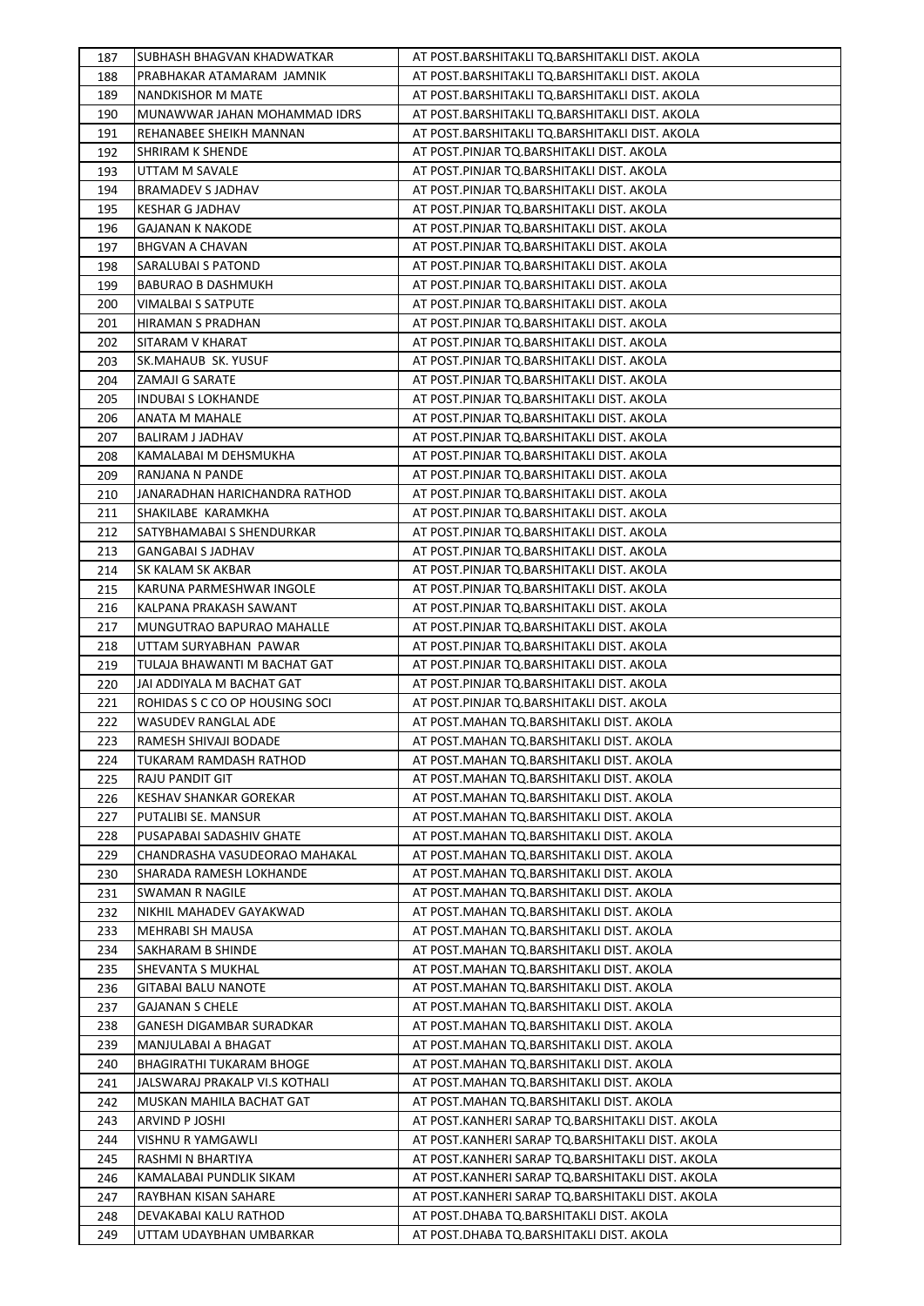| 187        | SUBHASH BHAGVAN KHADWATKAR                   | AT POST.BARSHITAKLI TQ.BARSHITAKLI DIST. AKOLA                                                       |
|------------|----------------------------------------------|------------------------------------------------------------------------------------------------------|
| 188        | PRABHAKAR ATAMARAM JAMNIK                    | AT POST.BARSHITAKLI TQ.BARSHITAKLI DIST. AKOLA                                                       |
| 189        | NANDKISHOR M MATE                            | AT POST.BARSHITAKLI TQ.BARSHITAKLI DIST. AKOLA                                                       |
| 190        | MUNAWWAR JAHAN MOHAMMAD IDRS                 | AT POST.BARSHITAKLI TQ.BARSHITAKLI DIST. AKOLA                                                       |
| 191        | REHANABEE SHEIKH MANNAN                      | AT POST.BARSHITAKLI TQ.BARSHITAKLI DIST. AKOLA                                                       |
| 192        | SHRIRAM K SHENDE                             | AT POST.PINJAR TQ.BARSHITAKLI DIST. AKOLA                                                            |
| 193        | UTTAM M SAVALE                               | AT POST.PINJAR TQ.BARSHITAKLI DIST. AKOLA                                                            |
| 194        | BRAMADEV S JADHAV                            | AT POST.PINJAR TQ.BARSHITAKLI DIST. AKOLA                                                            |
| 195        | KESHAR G JADHAV                              | AT POST.PINJAR TQ.BARSHITAKLI DIST. AKOLA                                                            |
| 196        | GAJANAN K NAKODE                             | AT POST.PINJAR TQ.BARSHITAKLI DIST. AKOLA                                                            |
| 197        | <b>BHGVAN A CHAVAN</b>                       | AT POST.PINJAR TQ.BARSHITAKLI DIST. AKOLA                                                            |
| 198        | SARALUBAI S PATOND                           | AT POST.PINJAR TQ.BARSHITAKLI DIST. AKOLA                                                            |
| 199        | <b>BABURAO B DASHMUKH</b>                    | AT POST.PINJAR TQ.BARSHITAKLI DIST. AKOLA                                                            |
| 200        | <b>VIMALBAI S SATPUTE</b>                    | AT POST.PINJAR TQ.BARSHITAKLI DIST. AKOLA                                                            |
| 201        | HIRAMAN S PRADHAN                            | AT POST.PINJAR TQ.BARSHITAKLI DIST. AKOLA                                                            |
| 202        | SITARAM V KHARAT                             | AT POST.PINJAR TQ.BARSHITAKLI DIST. AKOLA                                                            |
| 203        | SK.MAHAUB SK. YUSUF                          | AT POST.PINJAR TQ.BARSHITAKLI DIST. AKOLA                                                            |
| 204        | ZAMAJI G SARATE                              | AT POST.PINJAR TQ.BARSHITAKLI DIST. AKOLA                                                            |
| 205        | <b>INDUBAI S LOKHANDE</b>                    | AT POST.PINJAR TQ.BARSHITAKLI DIST. AKOLA                                                            |
| 206        | ANATA M MAHALE                               | AT POST.PINJAR TQ.BARSHITAKLI DIST. AKOLA                                                            |
| 207        | <b>BALIRAM J JADHAV</b>                      | AT POST.PINJAR TQ.BARSHITAKLI DIST. AKOLA                                                            |
| 208        | KAMALABAI M DEHSMUKHA                        | AT POST.PINJAR TQ.BARSHITAKLI DIST. AKOLA                                                            |
| 209        | RANJANA N PANDE                              | AT POST.PINJAR TQ.BARSHITAKLI DIST. AKOLA                                                            |
| 210        | JANARADHAN HARICHANDRA RATHOD                | AT POST.PINJAR TQ.BARSHITAKLI DIST. AKOLA                                                            |
| 211        | SHAKILABE KARAMKHA                           | AT POST.PINJAR TQ.BARSHITAKLI DIST. AKOLA                                                            |
| 212        | SATYBHAMABAI S SHENDURKAR                    | AT POST.PINJAR TQ.BARSHITAKLI DIST. AKOLA                                                            |
| 213        | <b>GANGABAI S JADHAV</b>                     | AT POST.PINJAR TQ.BARSHITAKLI DIST. AKOLA                                                            |
| 214        | SK KALAM SK AKBAR                            | AT POST.PINJAR TQ.BARSHITAKLI DIST. AKOLA                                                            |
| 215        | KARUNA PARMESHWAR INGOLE                     | AT POST.PINJAR TQ.BARSHITAKLI DIST. AKOLA                                                            |
| 216        | KALPANA PRAKASH SAWANT                       | AT POST.PINJAR TQ.BARSHITAKLI DIST. AKOLA                                                            |
| 217        | MUNGUTRAO BAPURAO MAHALLE                    | AT POST.PINJAR TQ.BARSHITAKLI DIST. AKOLA                                                            |
| 218        | UTTAM SURYABHAN PAWAR                        | AT POST.PINJAR TQ.BARSHITAKLI DIST. AKOLA                                                            |
| 219        | TULAJA BHAWANTI M BACHAT GAT                 | AT POST.PINJAR TQ.BARSHITAKLI DIST. AKOLA                                                            |
| 220        | JAI ADDIYALA M BACHAT GAT                    | AT POST.PINJAR TQ.BARSHITAKLI DIST. AKOLA                                                            |
| 221        | ROHIDAS S C CO OP HOUSING SOCI               | AT POST.PINJAR TQ.BARSHITAKLI DIST. AKOLA                                                            |
| 222        | WASUDEV RANGLAL ADE                          | AT POST.MAHAN TQ.BARSHITAKLI DIST. AKOLA                                                             |
| 223        | RAMESH SHIVAJI BODADE                        | AT POST.MAHAN TQ.BARSHITAKLI DIST. AKOLA                                                             |
| 224        | TUKARAM RAMDASH RATHOD                       | AT POST.MAHAN TQ.BARSHITAKLI DIST. AKOLA                                                             |
| 225        | RAJU PANDIT GIT                              | AT POST.MAHAN TQ.BARSHITAKLI DIST. AKOLA                                                             |
| 226        | <b>KESHAV SHANKAR GOREKAR</b>                | AT POST.MAHAN TQ.BARSHITAKLI DIST. AKOLA                                                             |
| 227        | PUTALIBI SE. MANSUR                          | AT POST.MAHAN TQ.BARSHITAKLI DIST. AKOLA                                                             |
| 228        | PUSAPABAI SADASHIV GHATE                     | AT POST.MAHAN TO.BARSHITAKLI DIST. AKOLA                                                             |
| 229        | CHANDRASHA VASUDEORAO MAHAKAL                | AT POST.MAHAN TQ.BARSHITAKLI DIST. AKOLA                                                             |
| 230        | SHARADA RAMESH LOKHANDE                      | AT POST.MAHAN TQ.BARSHITAKLI DIST. AKOLA                                                             |
| 231        | SWAMAN R NAGILE                              | AT POST.MAHAN TQ.BARSHITAKLI DIST. AKOLA                                                             |
| 232        | NIKHIL MAHADEV GAYAKWAD                      | AT POST.MAHAN TQ.BARSHITAKLI DIST. AKOLA                                                             |
| 233        | MEHRABI SH MAUSA                             | AT POST.MAHAN TQ.BARSHITAKLI DIST. AKOLA                                                             |
| 234        | SAKHARAM B SHINDE                            | AT POST.MAHAN TQ.BARSHITAKLI DIST. AKOLA                                                             |
| 235        | SHEVANTA S MUKHAL                            | AT POST.MAHAN TQ.BARSHITAKLI DIST. AKOLA                                                             |
| 236        | GITABAI BALU NANOTE                          | AT POST.MAHAN TQ.BARSHITAKLI DIST. AKOLA                                                             |
| 237        | <b>GAJANAN S CHELE</b>                       | AT POST.MAHAN TQ.BARSHITAKLI DIST. AKOLA                                                             |
| 238        | GANESH DIGAMBAR SURADKAR                     | AT POST.MAHAN TQ.BARSHITAKLI DIST. AKOLA                                                             |
| 239        | MANJULABAI A BHAGAT                          | AT POST.MAHAN TQ.BARSHITAKLI DIST. AKOLA                                                             |
| 240        | <b>BHAGIRATHI TUKARAM BHOGE</b>              | AT POST.MAHAN TQ.BARSHITAKLI DIST. AKOLA                                                             |
| 241        | JALSWARAJ PRAKALP VI.S KOTHALI               | AT POST.MAHAN TQ.BARSHITAKLI DIST. AKOLA                                                             |
| 242        | MUSKAN MAHILA BACHAT GAT                     | AT POST.MAHAN TQ.BARSHITAKLI DIST. AKOLA                                                             |
| 243        | ARVIND P JOSHI                               | AT POST.KANHERI SARAP TQ.BARSHITAKLI DIST. AKOLA                                                     |
| 244        | VISHNU R YAMGAWLI                            | AT POST.KANHERI SARAP TQ.BARSHITAKLI DIST. AKOLA                                                     |
| 245        | RASHMI N BHARTIYA<br>KAMALABAI PUNDLIK SIKAM | AT POST.KANHERI SARAP TQ.BARSHITAKLI DIST. AKOLA                                                     |
| 246<br>247 | RAYBHAN KISAN SAHARE                         | AT POST.KANHERI SARAP TQ.BARSHITAKLI DIST. AKOLA<br>AT POST.KANHERI SARAP TQ.BARSHITAKLI DIST. AKOLA |
| 248        | DEVAKABAI KALU RATHOD                        | AT POST.DHABA TQ.BARSHITAKLI DIST. AKOLA                                                             |
| 249        | UTTAM UDAYBHAN UMBARKAR                      | AT POST.DHABA TQ.BARSHITAKLI DIST. AKOLA                                                             |
|            |                                              |                                                                                                      |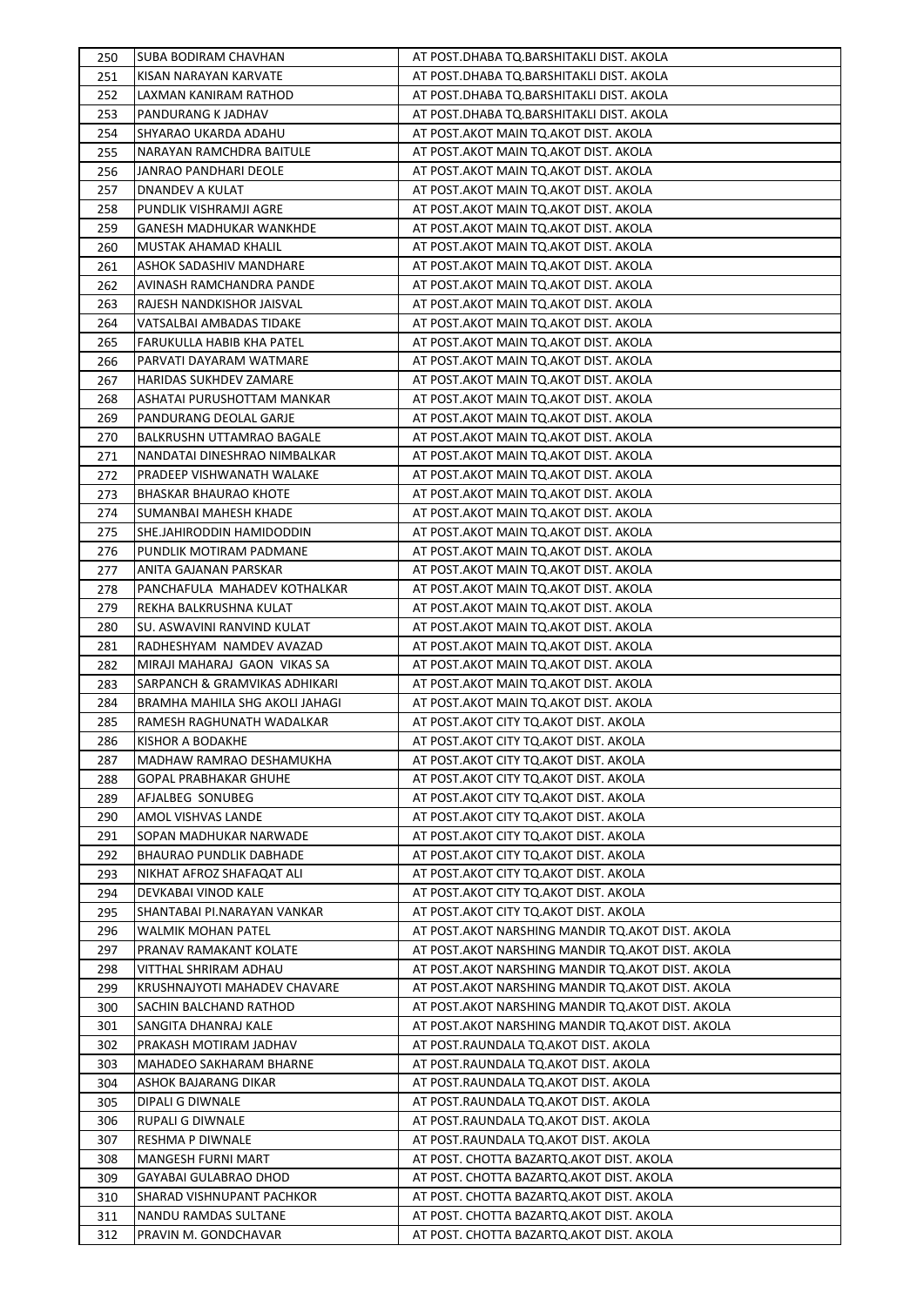| 250        | SUBA BODIRAM CHAVHAN                               | AT POST.DHABA TQ.BARSHITAKLI DIST. AKOLA                                             |
|------------|----------------------------------------------------|--------------------------------------------------------------------------------------|
| 251        | KISAN NARAYAN KARVATE                              | AT POST.DHABA TQ.BARSHITAKLI DIST. AKOLA                                             |
| 252        | LAXMAN KANIRAM RATHOD                              | AT POST.DHABA TQ.BARSHITAKLI DIST. AKOLA                                             |
| 253        | PANDURANG K JADHAV                                 | AT POST.DHABA TQ.BARSHITAKLI DIST. AKOLA                                             |
| 254        | SHYARAO UKARDA ADAHU                               | AT POST.AKOT MAIN TQ.AKOT DIST. AKOLA                                                |
| 255        | NARAYAN RAMCHDRA BAITULE                           | AT POST.AKOT MAIN TQ.AKOT DIST. AKOLA                                                |
| 256        | JANRAO PANDHARI DEOLE                              | AT POST.AKOT MAIN TQ.AKOT DIST. AKOLA                                                |
| 257        | DNANDEV A KULAT                                    | AT POST.AKOT MAIN TQ.AKOT DIST. AKOLA                                                |
| 258        | PUNDLIK VISHRAMJI AGRE                             | AT POST.AKOT MAIN TQ.AKOT DIST. AKOLA                                                |
| 259        | <b>GANESH MADHUKAR WANKHDE</b>                     | AT POST.AKOT MAIN TQ.AKOT DIST. AKOLA                                                |
| 260        | MUSTAK AHAMAD KHALIL                               | AT POST.AKOT MAIN TQ.AKOT DIST. AKOLA                                                |
| 261        | ASHOK SADASHIV MANDHARE                            | AT POST.AKOT MAIN TQ.AKOT DIST. AKOLA                                                |
| 262        | AVINASH RAMCHANDRA PANDE                           | AT POST.AKOT MAIN TQ.AKOT DIST. AKOLA                                                |
| 263        | RAJESH NANDKISHOR JAISVAL                          | AT POST.AKOT MAIN TQ.AKOT DIST. AKOLA                                                |
| 264        | VATSALBAI AMBADAS TIDAKE                           | AT POST.AKOT MAIN TO.AKOT DIST. AKOLA                                                |
| 265        | FARUKULLA HABIB KHA PATEL                          | AT POST.AKOT MAIN TQ.AKOT DIST. AKOLA                                                |
| 266        | PARVATI DAYARAM WATMARE                            | AT POST.AKOT MAIN TQ.AKOT DIST. AKOLA                                                |
| 267        | <b>HARIDAS SUKHDEV ZAMARE</b>                      | AT POST.AKOT MAIN TQ.AKOT DIST. AKOLA                                                |
| 268        | ASHATAI PURUSHOTTAM MANKAR                         | AT POST.AKOT MAIN TQ.AKOT DIST. AKOLA                                                |
| 269        | PANDURANG DEOLAL GARJE                             | AT POST.AKOT MAIN TQ.AKOT DIST. AKOLA                                                |
| 270        | <b>BALKRUSHN UTTAMRAO BAGALE</b>                   | AT POST.AKOT MAIN TQ.AKOT DIST. AKOLA                                                |
| 271        | NANDATAI DINESHRAO NIMBALKAR                       | AT POST.AKOT MAIN TQ.AKOT DIST. AKOLA                                                |
| 272        | PRADEEP VISHWANATH WALAKE                          | AT POST.AKOT MAIN TQ.AKOT DIST. AKOLA                                                |
| 273        | BHASKAR BHAURAO KHOTE                              | AT POST.AKOT MAIN TQ.AKOT DIST. AKOLA                                                |
| 274        | SUMANBAI MAHESH KHADE                              | AT POST.AKOT MAIN TQ.AKOT DIST. AKOLA                                                |
| 275        | SHE.JAHIRODDIN HAMIDODDIN                          | AT POST.AKOT MAIN TQ.AKOT DIST. AKOLA                                                |
| 276        | PUNDLIK MOTIRAM PADMANE                            | AT POST.AKOT MAIN TQ.AKOT DIST. AKOLA                                                |
| 277        | ANITA GAJANAN PARSKAR                              | AT POST.AKOT MAIN TQ.AKOT DIST. AKOLA                                                |
| 278        | PANCHAFULA MAHADEV KOTHALKAR                       | AT POST.AKOT MAIN TQ.AKOT DIST. AKOLA                                                |
| 279        | REKHA BALKRUSHNA KULAT                             | AT POST.AKOT MAIN TQ.AKOT DIST. AKOLA                                                |
| 280        | SU. ASWAVINI RANVIND KULAT                         | AT POST.AKOT MAIN TQ.AKOT DIST. AKOLA                                                |
| 281        | RADHESHYAM NAMDEV AVAZAD                           | AT POST.AKOT MAIN TQ.AKOT DIST. AKOLA                                                |
| 282        | MIRAJI MAHARAJ GAON VIKAS SA                       | AT POST.AKOT MAIN TQ.AKOT DIST. AKOLA                                                |
| 283        | SARPANCH & GRAMVIKAS ADHIKARI                      | AT POST.AKOT MAIN TQ.AKOT DIST. AKOLA                                                |
| 284        | BRAMHA MAHILA SHG AKOLI JAHAGI                     | AT POST.AKOT MAIN TQ.AKOT DIST. AKOLA                                                |
| 285        | RAMESH RAGHUNATH WADALKAR                          | AT POST.AKOT CITY TQ.AKOT DIST. AKOLA                                                |
| 286        | KISHOR A BODAKHE                                   | AT POST.AKOT CITY TQ.AKOT DIST. AKOLA                                                |
| 287        | MADHAW RAMRAO DESHAMUKHA                           | AT POST.AKOT CITY TQ.AKOT DIST. AKOLA                                                |
| 288        | <b>GOPAL PRABHAKAR GHUHE</b>                       | AT POST.AKOT CITY TQ.AKOT DIST. AKOLA                                                |
| 289        | AFJALBEG SONUBEG                                   | AT POST.AKOT CITY TQ.AKOT DIST. AKOLA                                                |
| 290        | AMOL VISHVAS LANDE                                 | AT POST.AKOT CITY TQ.AKOT DIST. AKOLA                                                |
| 291        | SOPAN MADHUKAR NARWADE                             | AT POST.AKOT CITY TO.AKOT DIST. AKOLA                                                |
| 292        | <b>BHAURAO PUNDLIK DABHADE</b>                     | AT POST.AKOT CITY TO.AKOT DIST. AKOLA                                                |
| 293        | NIKHAT AFROZ SHAFAQAT ALI                          | AT POST.AKOT CITY TQ.AKOT DIST. AKOLA                                                |
| 294        | DEVKABAI VINOD KALE                                | AT POST.AKOT CITY TQ.AKOT DIST. AKOLA                                                |
| 295        | SHANTABAI PI.NARAYAN VANKAR                        | AT POST.AKOT CITY TQ.AKOT DIST. AKOLA                                                |
| 296        | WALMIK MOHAN PATEL                                 | AT POST.AKOT NARSHING MANDIR TQ.AKOT DIST. AKOLA                                     |
| 297        | PRANAV RAMAKANT KOLATE                             | AT POST.AKOT NARSHING MANDIR TQ.AKOT DIST. AKOLA                                     |
| 298        | VITTHAL SHRIRAM ADHAU                              | AT POST.AKOT NARSHING MANDIR TQ.AKOT DIST. AKOLA                                     |
| 299        | KRUSHNAJYOTI MAHADEV CHAVARE                       | AT POST.AKOT NARSHING MANDIR TQ.AKOT DIST. AKOLA                                     |
| 300        | SACHIN BALCHAND RATHOD                             | AT POST.AKOT NARSHING MANDIR TQ.AKOT DIST. AKOLA                                     |
| 301        | SANGITA DHANRAJ KALE                               | AT POST.AKOT NARSHING MANDIR TQ.AKOT DIST. AKOLA                                     |
| 302        | PRAKASH MOTIRAM JADHAV                             | AT POST.RAUNDALA TQ.AKOT DIST. AKOLA                                                 |
| 303        | MAHADEO SAKHARAM BHARNE                            | AT POST.RAUNDALA TQ.AKOT DIST. AKOLA                                                 |
| 304        | ASHOK BAJARANG DIKAR                               | AT POST.RAUNDALA TQ.AKOT DIST. AKOLA                                                 |
| 305        | DIPALI G DIWNALE                                   | AT POST.RAUNDALA TQ.AKOT DIST. AKOLA                                                 |
| 306        | RUPALI G DIWNALE                                   | AT POST.RAUNDALA TQ.AKOT DIST. AKOLA                                                 |
| 307        | RESHMA P DIWNALE                                   | AT POST.RAUNDALA TQ.AKOT DIST. AKOLA                                                 |
| 308        | MANGESH FURNI MART                                 | AT POST. CHOTTA BAZARTQ.AKOT DIST. AKOLA                                             |
| 309        | GAYABAI GULABRAO DHOD<br>SHARAD VISHNUPANT PACHKOR | AT POST. CHOTTA BAZARTQ.AKOT DIST. AKOLA<br>AT POST. CHOTTA BAZARTQ.AKOT DIST. AKOLA |
| 310        | NANDU RAMDAS SULTANE                               |                                                                                      |
| 311<br>312 | PRAVIN M. GONDCHAVAR                               | AT POST. CHOTTA BAZARTQ.AKOT DIST. AKOLA<br>AT POST. CHOTTA BAZARTQ.AKOT DIST. AKOLA |
|            |                                                    |                                                                                      |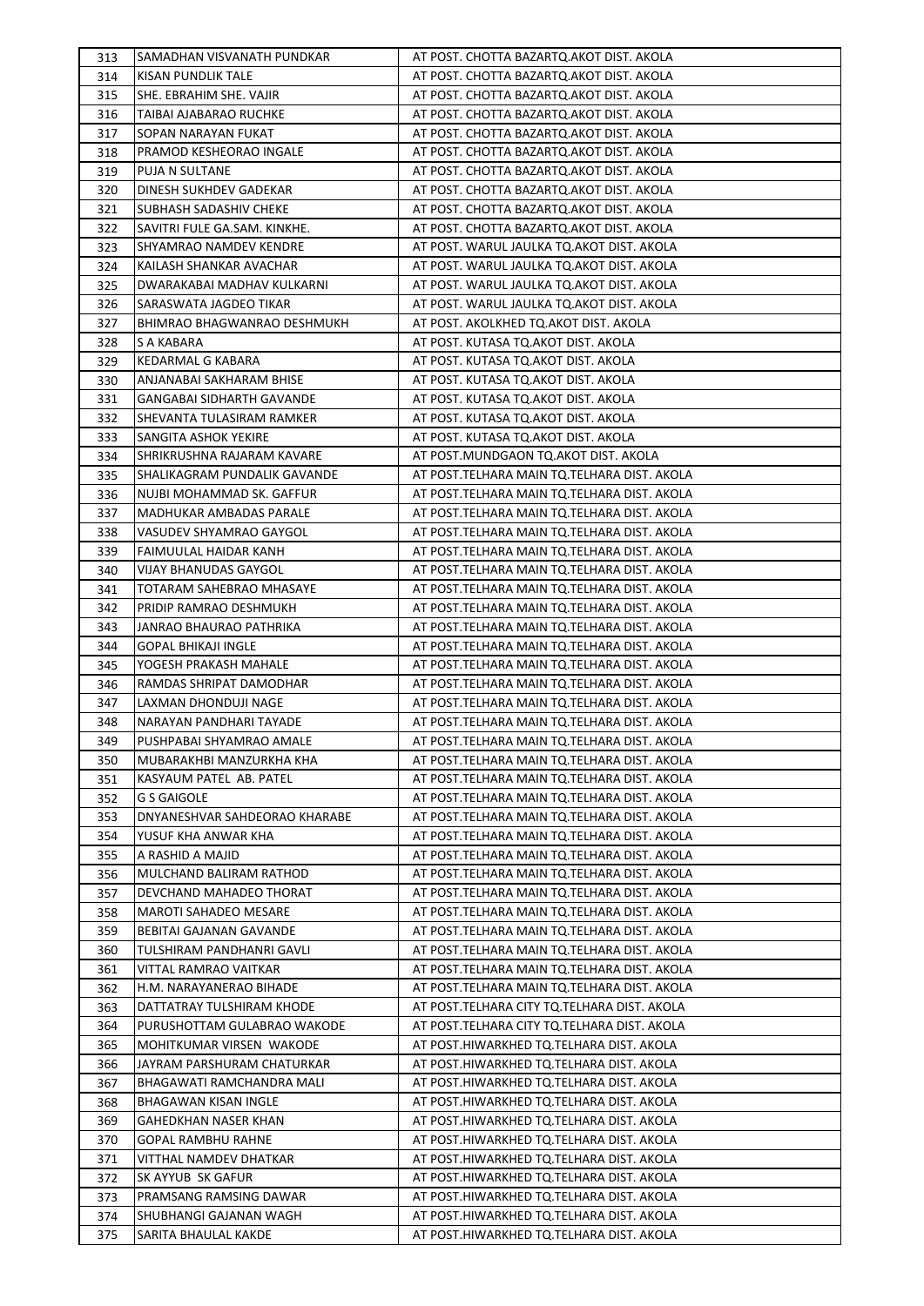| 313 | SAMADHAN VISVANATH PUNDKAR       | AT POST. CHOTTA BAZARTQ.AKOT DIST. AKOLA    |
|-----|----------------------------------|---------------------------------------------|
| 314 | KISAN PUNDLIK TALE               | AT POST. CHOTTA BAZARTQ.AKOT DIST. AKOLA    |
| 315 | SHE. EBRAHIM SHE. VAJIR          | AT POST. CHOTTA BAZARTQ.AKOT DIST. AKOLA    |
| 316 | TAIBAI AJABARAO RUCHKE           | AT POST. CHOTTA BAZARTQ.AKOT DIST. AKOLA    |
| 317 | SOPAN NARAYAN FUKAT              | AT POST. CHOTTA BAZARTQ.AKOT DIST. AKOLA    |
| 318 | PRAMOD KESHEORAO INGALE          | AT POST. CHOTTA BAZARTQ.AKOT DIST. AKOLA    |
| 319 | PUJA N SULTANE                   | AT POST. CHOTTA BAZARTQ.AKOT DIST. AKOLA    |
| 320 | DINESH SUKHDEV GADEKAR           | AT POST. CHOTTA BAZARTQ.AKOT DIST. AKOLA    |
| 321 | SUBHASH SADASHIV CHEKE           | AT POST. CHOTTA BAZARTQ.AKOT DIST. AKOLA    |
| 322 | SAVITRI FULE GA.SAM. KINKHE.     | AT POST. CHOTTA BAZARTQ.AKOT DIST. AKOLA    |
| 323 | SHYAMRAO NAMDEV KENDRE           | AT POST. WARUL JAULKA TO.AKOT DIST. AKOLA   |
| 324 | KAILASH SHANKAR AVACHAR          | AT POST. WARUL JAULKA TQ.AKOT DIST. AKOLA   |
| 325 | DWARAKABAI MADHAV KULKARNI       | AT POST. WARUL JAULKA TQ.AKOT DIST. AKOLA   |
| 326 | SARASWATA JAGDEO TIKAR           | AT POST. WARUL JAULKA TQ.AKOT DIST. AKOLA   |
| 327 | BHIMRAO BHAGWANRAO DESHMUKH      | AT POST. AKOLKHED TQ.AKOT DIST. AKOLA       |
| 328 | S A KABARA                       | AT POST. KUTASA TQ.AKOT DIST. AKOLA         |
| 329 | KEDARMAL G KABARA                | AT POST. KUTASA TQ.AKOT DIST. AKOLA         |
| 330 | ANJANABAI SAKHARAM BHISE         | AT POST. KUTASA TQ.AKOT DIST. AKOLA         |
| 331 | <b>GANGABAI SIDHARTH GAVANDE</b> | AT POST. KUTASA TO AKOT DIST. AKOLA         |
| 332 | SHEVANTA TULASIRAM RAMKER        | AT POST. KUTASA TQ.AKOT DIST. AKOLA         |
| 333 | SANGITA ASHOK YEKIRE             | AT POST. KUTASA TQ.AKOT DIST. AKOLA         |
| 334 | SHRIKRUSHNA RAJARAM KAVARE       | AT POST.MUNDGAON TQ.AKOT DIST. AKOLA        |
| 335 | SHALIKAGRAM PUNDALIK GAVANDE     | AT POST.TELHARA MAIN TQ.TELHARA DIST. AKOLA |
| 336 | NUJBI MOHAMMAD SK. GAFFUR        | AT POST.TELHARA MAIN TQ.TELHARA DIST. AKOLA |
| 337 | MADHUKAR AMBADAS PARALE          | AT POST.TELHARA MAIN TQ.TELHARA DIST. AKOLA |
| 338 | VASUDEV SHYAMRAO GAYGOL          | AT POST.TELHARA MAIN TQ.TELHARA DIST. AKOLA |
| 339 | FAIMUULAL HAIDAR KANH            | AT POST.TELHARA MAIN TQ.TELHARA DIST. AKOLA |
| 340 | VIJAY BHANUDAS GAYGOL            | AT POST.TELHARA MAIN TQ.TELHARA DIST. AKOLA |
| 341 | TOTARAM SAHEBRAO MHASAYE         | AT POST.TELHARA MAIN TQ.TELHARA DIST. AKOLA |
| 342 | PRIDIP RAMRAO DESHMUKH           | AT POST.TELHARA MAIN TQ.TELHARA DIST. AKOLA |
| 343 | JANRAO BHAURAO PATHRIKA          | AT POST.TELHARA MAIN TQ.TELHARA DIST. AKOLA |
| 344 | <b>GOPAL BHIKAJI INGLE</b>       | AT POST.TELHARA MAIN TQ.TELHARA DIST. AKOLA |
| 345 | YOGESH PRAKASH MAHALE            | AT POST.TELHARA MAIN TQ.TELHARA DIST. AKOLA |
| 346 | RAMDAS SHRIPAT DAMODHAR          | AT POST.TELHARA MAIN TQ.TELHARA DIST. AKOLA |
| 347 | LAXMAN DHONDUJI NAGE             | AT POST.TELHARA MAIN TQ.TELHARA DIST. AKOLA |
| 348 | NARAYAN PANDHARI TAYADE          | AT POST.TELHARA MAIN TQ.TELHARA DIST. AKOLA |
| 349 | PUSHPABAI SHYAMRAO AMALE         | AT POST.TELHARA MAIN TQ.TELHARA DIST. AKOLA |
| 350 | MUBARAKHBI MANZURKHA KHA         | AT POST.TELHARA MAIN TQ.TELHARA DIST. AKOLA |
| 351 | KASYAUM PATEL AB. PATEL          | AT POST.TELHARA MAIN TQ.TELHARA DIST. AKOLA |
| 352 | <b>G S GAIGOLE</b>               | AT POST.TELHARA MAIN TQ.TELHARA DIST. AKOLA |
| 353 | DNYANESHVAR SAHDEORAO KHARABE    | AT POST.TELHARA MAIN TQ.TELHARA DIST. AKOLA |
| 354 | YUSUF KHA ANWAR KHA              | AT POST.TELHARA MAIN TO.TELHARA DIST. AKOLA |
| 355 | A RASHID A MAJID                 | AT POST.TELHARA MAIN TQ.TELHARA DIST. AKOLA |
| 356 | MULCHAND BALIRAM RATHOD          | AT POST.TELHARA MAIN TQ.TELHARA DIST. AKOLA |
| 357 | DEVCHAND MAHADEO THORAT          | AT POST.TELHARA MAIN TQ.TELHARA DIST. AKOLA |
| 358 | MAROTI SAHADEO MESARE            | AT POST.TELHARA MAIN TQ.TELHARA DIST. AKOLA |
| 359 | BEBITAI GAJANAN GAVANDE          | AT POST.TELHARA MAIN TQ.TELHARA DIST. AKOLA |
| 360 | TULSHIRAM PANDHANRI GAVLI        | AT POST.TELHARA MAIN TQ.TELHARA DIST. AKOLA |
| 361 | VITTAL RAMRAO VAITKAR            | AT POST.TELHARA MAIN TQ.TELHARA DIST. AKOLA |
| 362 | H.M. NARAYANERAO BIHADE          | AT POST.TELHARA MAIN TQ.TELHARA DIST. AKOLA |
| 363 | DATTATRAY TULSHIRAM KHODE        | AT POST.TELHARA CITY TQ.TELHARA DIST. AKOLA |
| 364 | PURUSHOTTAM GULABRAO WAKODE      | AT POST.TELHARA CITY TQ.TELHARA DIST. AKOLA |
| 365 | MOHITKUMAR VIRSEN WAKODE         | AT POST.HIWARKHED TQ.TELHARA DIST. AKOLA    |
| 366 | JAYRAM PARSHURAM CHATURKAR       | AT POST.HIWARKHED TQ.TELHARA DIST. AKOLA    |
| 367 | BHAGAWATI RAMCHANDRA MALI        | AT POST.HIWARKHED TQ.TELHARA DIST. AKOLA    |
| 368 | BHAGAWAN KISAN INGLE             | AT POST.HIWARKHED TQ.TELHARA DIST. AKOLA    |
| 369 | GAHEDKHAN NASER KHAN             | AT POST.HIWARKHED TQ.TELHARA DIST. AKOLA    |
| 370 | <b>GOPAL RAMBHU RAHNE</b>        | AT POST.HIWARKHED TQ.TELHARA DIST. AKOLA    |
| 371 | VITTHAL NAMDEV DHATKAR           | AT POST.HIWARKHED TQ.TELHARA DIST. AKOLA    |
| 372 | SK AYYUB SK GAFUR                | AT POST.HIWARKHED TQ.TELHARA DIST. AKOLA    |
| 373 | PRAMSANG RAMSING DAWAR           | AT POST.HIWARKHED TQ.TELHARA DIST. AKOLA    |
| 374 | SHUBHANGI GAJANAN WAGH           | AT POST.HIWARKHED TQ.TELHARA DIST. AKOLA    |
| 375 | SARITA BHAULAL KAKDE             | AT POST.HIWARKHED TQ.TELHARA DIST. AKOLA    |
|     |                                  |                                             |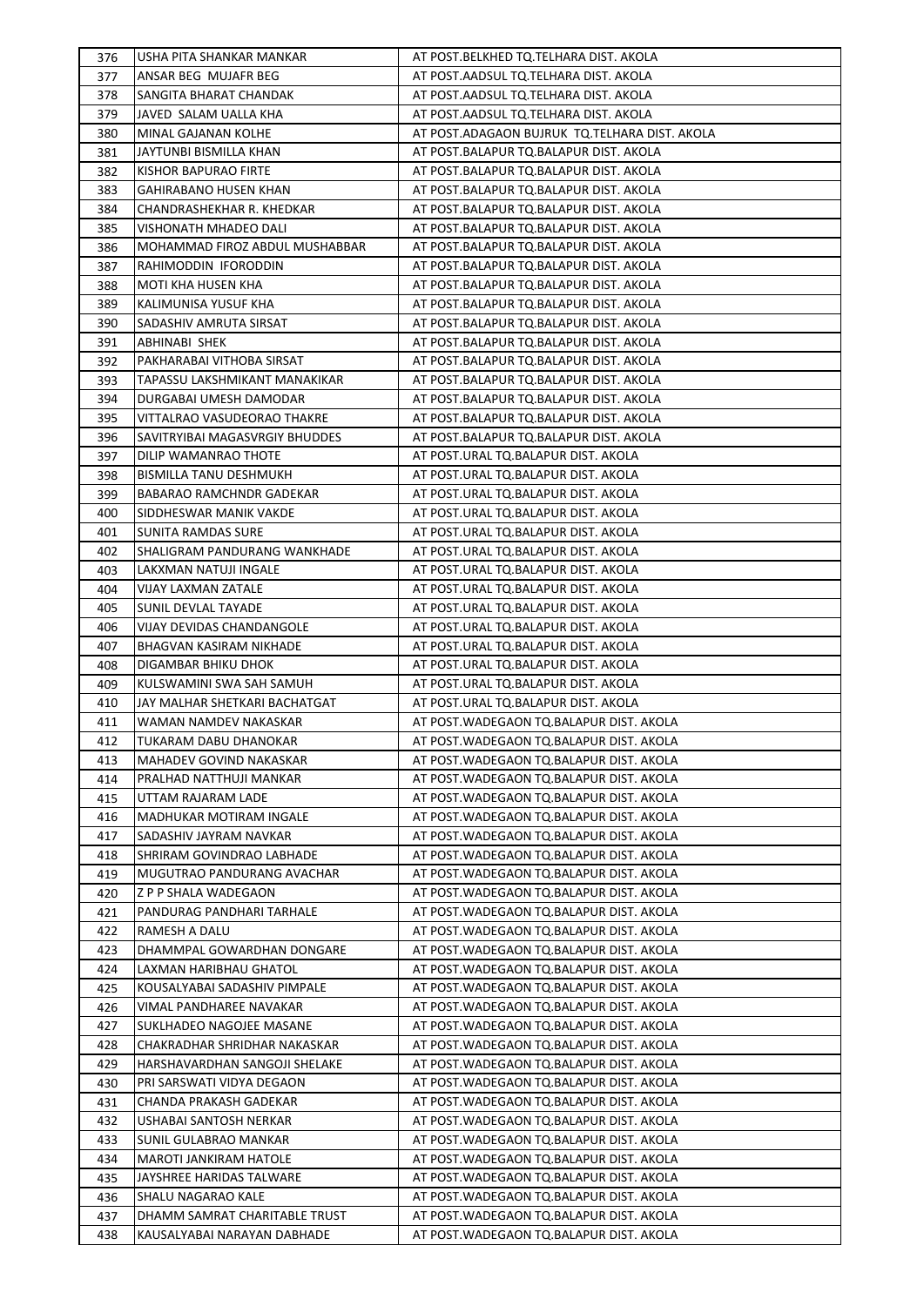| 376 | USHA PITA SHANKAR MANKAR       | AT POST.BELKHED TQ.TELHARA DIST. AKOLA        |
|-----|--------------------------------|-----------------------------------------------|
| 377 | ANSAR BEG MUJAFR BEG           | AT POST.AADSUL TQ.TELHARA DIST. AKOLA         |
| 378 | SANGITA BHARAT CHANDAK         | AT POST.AADSUL TQ.TELHARA DIST. AKOLA         |
| 379 | JAVED SALAM UALLA KHA          | AT POST.AADSUL TQ.TELHARA DIST. AKOLA         |
| 380 | MINAL GAJANAN KOLHE            | AT POST.ADAGAON BUJRUK TQ.TELHARA DIST. AKOLA |
| 381 | JAYTUNBI BISMILLA KHAN         | AT POST.BALAPUR TQ.BALAPUR DIST. AKOLA        |
| 382 | KISHOR BAPURAO FIRTE           | AT POST.BALAPUR TQ.BALAPUR DIST. AKOLA        |
| 383 | <b>GAHIRABANO HUSEN KHAN</b>   | AT POST.BALAPUR TQ.BALAPUR DIST. AKOLA        |
| 384 | CHANDRASHEKHAR R. KHEDKAR      | AT POST.BALAPUR TQ.BALAPUR DIST. AKOLA        |
| 385 | <b>VISHONATH MHADEO DALI</b>   | AT POST.BALAPUR TQ.BALAPUR DIST. AKOLA        |
| 386 | MOHAMMAD FIROZ ABDUL MUSHABBAR | AT POST.BALAPUR TQ.BALAPUR DIST. AKOLA        |
| 387 | RAHIMODDIN IFORODDIN           | AT POST.BALAPUR TQ.BALAPUR DIST. AKOLA        |
| 388 | MOTI KHA HUSEN KHA             | AT POST.BALAPUR TQ.BALAPUR DIST. AKOLA        |
| 389 | KALIMUNISA YUSUF KHA           | AT POST.BALAPUR TQ.BALAPUR DIST. AKOLA        |
| 390 | SADASHIV AMRUTA SIRSAT         | AT POST.BALAPUR TQ.BALAPUR DIST. AKOLA        |
| 391 | ABHINABI SHEK                  | AT POST.BALAPUR TQ.BALAPUR DIST. AKOLA        |
| 392 | PAKHARABAI VITHOBA SIRSAT      | AT POST.BALAPUR TQ.BALAPUR DIST. AKOLA        |
| 393 | TAPASSU LAKSHMIKANT MANAKIKAR  | AT POST.BALAPUR TQ.BALAPUR DIST. AKOLA        |
| 394 | DURGABAI UMESH DAMODAR         | AT POST.BALAPUR TQ.BALAPUR DIST. AKOLA        |
| 395 | VITTALRAO VASUDEORAO THAKRE    | AT POST.BALAPUR TQ.BALAPUR DIST. AKOLA        |
| 396 | SAVITRYIBAI MAGASVRGIY BHUDDES | AT POST.BALAPUR TQ.BALAPUR DIST. AKOLA        |
| 397 | DILIP WAMANRAO THOTE           | AT POST.URAL TQ.BALAPUR DIST. AKOLA           |
| 398 | BISMILLA TANU DESHMUKH         | AT POST.URAL TQ.BALAPUR DIST. AKOLA           |
| 399 | BABARAO RAMCHNDR GADEKAR       | AT POST.URAL TQ.BALAPUR DIST. AKOLA           |
| 400 | SIDDHESWAR MANIK VAKDE         | AT POST.URAL TQ.BALAPUR DIST. AKOLA           |
| 401 | SUNITA RAMDAS SURE             | AT POST.URAL TQ.BALAPUR DIST. AKOLA           |
| 402 | SHALIGRAM PANDURANG WANKHADE   | AT POST.URAL TQ.BALAPUR DIST. AKOLA           |
| 403 | LAKXMAN NATUJI INGALE          | AT POST.URAL TQ.BALAPUR DIST. AKOLA           |
| 404 | VIJAY LAXMAN ZATALE            | AT POST.URAL TQ.BALAPUR DIST. AKOLA           |
| 405 | SUNIL DEVLAL TAYADE            | AT POST.URAL TQ.BALAPUR DIST. AKOLA           |
| 406 | VIJAY DEVIDAS CHANDANGOLE      | AT POST.URAL TQ.BALAPUR DIST. AKOLA           |
| 407 | BHAGVAN KASIRAM NIKHADE        | AT POST.URAL TQ.BALAPUR DIST. AKOLA           |
| 408 | DIGAMBAR BHIKU DHOK            | AT POST.URAL TQ.BALAPUR DIST. AKOLA           |
| 409 | KULSWAMINI SWA SAH SAMUH       | AT POST.URAL TQ.BALAPUR DIST. AKOLA           |
| 410 | JAY MALHAR SHETKARI BACHATGAT  | AT POST.URAL TQ.BALAPUR DIST. AKOLA           |
| 411 | WAMAN NAMDEV NAKASKAR          | AT POST. WADEGAON TO. BALAPUR DIST. AKOLA     |
| 412 | TUKARAM DABU DHANOKAR          | AT POST.WADEGAON TQ.BALAPUR DIST. AKOLA       |
| 413 | MAHADEV GOVIND NAKASKAR        | AT POST. WADEGAON TO. BALAPUR DIST. AKOLA     |
| 414 | PRALHAD NATTHUJI MANKAR        | AT POST. WADEGAON TO BALAPUR DIST. AKOLA      |
| 415 | UTTAM RAJARAM LADE             | AT POST. WADEGAON TO. BALAPUR DIST. AKOLA     |
|     | MADHUKAR MOTIRAM INGALE        | AT POST. WADEGAON TO. BALAPUR DIST. AKOLA     |
| 416 | SADASHIV JAYRAM NAVKAR         |                                               |
| 417 |                                | AT POST. WADEGAON TO. BALAPUR DIST. AKOLA     |
| 418 | SHRIRAM GOVINDRAO LABHADE      | AT POST. WADEGAON TO. BALAPUR DIST. AKOLA     |
| 419 | MUGUTRAO PANDURANG AVACHAR     | AT POST.WADEGAON TQ.BALAPUR DIST. AKOLA       |
| 420 | Z P P SHALA WADEGAON           | AT POST. WADEGAON TO. BALAPUR DIST. AKOLA     |
| 421 | PANDURAG PANDHARI TARHALE      | AT POST. WADEGAON TO BALAPUR DIST. AKOLA      |
| 422 | RAMESH A DALU                  | AT POST.WADEGAON TQ.BALAPUR DIST. AKOLA       |
| 423 | DHAMMPAL GOWARDHAN DONGARE     | AT POST.WADEGAON TQ.BALAPUR DIST. AKOLA       |
| 424 | LAXMAN HARIBHAU GHATOL         | AT POST.WADEGAON TQ.BALAPUR DIST. AKOLA       |
| 425 | KOUSALYABAI SADASHIV PIMPALE   | AT POST.WADEGAON TQ.BALAPUR DIST. AKOLA       |
| 426 | VIMAL PANDHAREE NAVAKAR        | AT POST. WADEGAON TO. BALAPUR DIST. AKOLA     |
| 427 | SUKLHADEO NAGOJEE MASANE       | AT POST. WADEGAON TO. BALAPUR DIST. AKOLA     |
| 428 | CHAKRADHAR SHRIDHAR NAKASKAR   | AT POST. WADEGAON TO. BALAPUR DIST. AKOLA     |
| 429 | HARSHAVARDHAN SANGOJI SHELAKE  | AT POST. WADEGAON TO BALAPUR DIST. AKOLA      |
| 430 | PRI SARSWATI VIDYA DEGAON      | AT POST.WADEGAON TQ.BALAPUR DIST. AKOLA       |
| 431 | CHANDA PRAKASH GADEKAR         | AT POST.WADEGAON TQ.BALAPUR DIST. AKOLA       |
| 432 | USHABAI SANTOSH NERKAR         | AT POST. WADEGAON TO BALAPUR DIST. AKOLA      |
| 433 | SUNIL GULABRAO MANKAR          | AT POST. WADEGAON TO BALAPUR DIST. AKOLA      |
| 434 | MAROTI JANKIRAM HATOLE         | AT POST. WADEGAON TO BALAPUR DIST. AKOLA      |
| 435 | JAYSHREE HARIDAS TALWARE       | AT POST.WADEGAON TQ.BALAPUR DIST. AKOLA       |
| 436 | SHALU NAGARAO KALE             | AT POST.WADEGAON TQ.BALAPUR DIST. AKOLA       |
| 437 | DHAMM SAMRAT CHARITABLE TRUST  | AT POST. WADEGAON TO BALAPUR DIST. AKOLA      |
| 438 | KAUSALYABAI NARAYAN DABHADE    | AT POST. WADEGAON TO BALAPUR DIST. AKOLA      |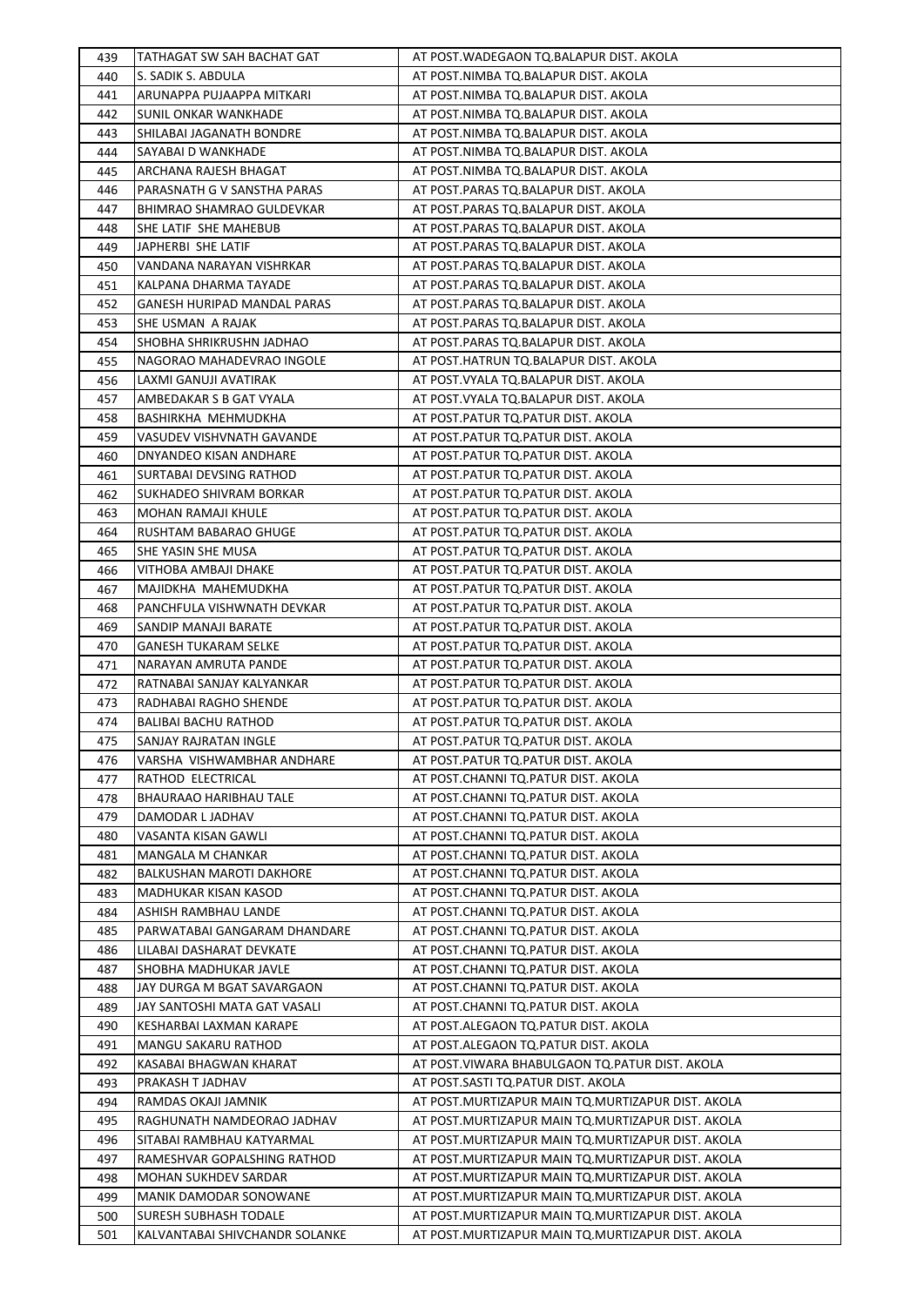| 439 | TATHAGAT SW SAH BACHAT GAT         | AT POST.WADEGAON TQ.BALAPUR DIST. AKOLA           |
|-----|------------------------------------|---------------------------------------------------|
| 440 | S. SADIK S. ABDULA                 | AT POST.NIMBA TQ.BALAPUR DIST. AKOLA              |
| 441 | ARUNAPPA PUJAAPPA MITKARI          | AT POST.NIMBA TQ.BALAPUR DIST. AKOLA              |
| 442 | SUNIL ONKAR WANKHADE               | AT POST.NIMBA TQ.BALAPUR DIST. AKOLA              |
| 443 | SHILABAI JAGANATH BONDRE           | AT POST.NIMBA TQ.BALAPUR DIST. AKOLA              |
| 444 | SAYABAI D WANKHADE                 | AT POST.NIMBA TQ.BALAPUR DIST. AKOLA              |
| 445 | ARCHANA RAJESH BHAGAT              | AT POST.NIMBA TQ.BALAPUR DIST. AKOLA              |
| 446 | PARASNATH G V SANSTHA PARAS        | AT POST.PARAS TQ.BALAPUR DIST. AKOLA              |
| 447 | <b>BHIMRAO SHAMRAO GULDEVKAR</b>   | AT POST.PARAS TO.BALAPUR DIST. AKOLA              |
| 448 | SHE LATIF SHE MAHEBUB              | AT POST.PARAS TQ.BALAPUR DIST. AKOLA              |
| 449 | JAPHERBI SHE LATIF                 | AT POST.PARAS TQ.BALAPUR DIST. AKOLA              |
| 450 | VANDANA NARAYAN VISHRKAR           | AT POST.PARAS TQ.BALAPUR DIST. AKOLA              |
| 451 | KALPANA DHARMA TAYADE              | AT POST.PARAS TQ.BALAPUR DIST. AKOLA              |
| 452 | <b>GANESH HURIPAD MANDAL PARAS</b> | AT POST.PARAS TQ.BALAPUR DIST. AKOLA              |
| 453 | SHE USMAN A RAJAK                  | AT POST.PARAS TQ.BALAPUR DIST. AKOLA              |
| 454 | SHOBHA SHRIKRUSHN JADHAO           | AT POST.PARAS TQ.BALAPUR DIST. AKOLA              |
| 455 | NAGORAO MAHADEVRAO INGOLE          | AT POST.HATRUN TQ.BALAPUR DIST. AKOLA             |
| 456 | LAXMI GANUJI AVATIRAK              | AT POST. VYALA TQ. BALAPUR DIST. AKOLA            |
| 457 | AMBEDAKAR S B GAT VYALA            | AT POST. VYALA TQ. BALAPUR DIST. AKOLA            |
| 458 | BASHIRKHA MEHMUDKHA                | AT POST.PATUR TQ.PATUR DIST. AKOLA                |
| 459 | VASUDEV VISHVNATH GAVANDE          | AT POST.PATUR TQ.PATUR DIST. AKOLA                |
| 460 | DNYANDEO KISAN ANDHARE             | AT POST.PATUR TQ.PATUR DIST. AKOLA                |
| 461 | SURTABAI DEVSING RATHOD            | AT POST.PATUR TQ.PATUR DIST. AKOLA                |
| 462 | SUKHADEO SHIVRAM BORKAR            | AT POST.PATUR TQ.PATUR DIST. AKOLA                |
| 463 | <b>MOHAN RAMAJI KHULE</b>          | AT POST.PATUR TQ.PATUR DIST. AKOLA                |
| 464 | RUSHTAM BABARAO GHUGE              | AT POST.PATUR TQ.PATUR DIST. AKOLA                |
| 465 | SHE YASIN SHE MUSA                 | AT POST.PATUR TQ.PATUR DIST. AKOLA                |
| 466 | VITHOBA AMBAJI DHAKE               | AT POST.PATUR TQ.PATUR DIST. AKOLA                |
| 467 | MAJIDKHA MAHEMUDKHA                | AT POST.PATUR TQ.PATUR DIST. AKOLA                |
| 468 | PANCHFULA VISHWNATH DEVKAR         | AT POST.PATUR TQ.PATUR DIST. AKOLA                |
| 469 | SANDIP MANAJI BARATE               | AT POST.PATUR TQ.PATUR DIST. AKOLA                |
| 470 | <b>GANESH TUKARAM SELKE</b>        | AT POST.PATUR TQ.PATUR DIST. AKOLA                |
| 471 | NARAYAN AMRUTA PANDE               | AT POST.PATUR TQ.PATUR DIST. AKOLA                |
| 472 | RATNABAI SANJAY KALYANKAR          | AT POST.PATUR TQ.PATUR DIST. AKOLA                |
| 473 | RADHABAI RAGHO SHENDE              | AT POST.PATUR TQ.PATUR DIST. AKOLA                |
| 474 | <b>BALIBAI BACHU RATHOD</b>        | AT POST.PATUR TQ.PATUR DIST. AKOLA                |
| 475 | <b>SANJAY RAJRATAN INGLE</b>       | AT POST.PATUR TQ.PATUR DIST. AKOLA                |
| 476 | VARSHA VISHWAMBHAR ANDHARE         | AT POST.PATUR TQ.PATUR DIST. AKOLA                |
| 477 | RATHOD ELECTRICAL                  | AT POST.CHANNI TQ.PATUR DIST. AKOLA               |
| 478 | BHAURAAO HARIBHAU TALE             | AT POST.CHANNI TQ.PATUR DIST. AKOLA               |
| 479 | DAMODAR L JADHAV                   | AT POST.CHANNI TQ.PATUR DIST. AKOLA               |
| 480 | VASANTA KISAN GAWLI                | AT POST.CHANNI TQ.PATUR DIST. AKOLA               |
| 481 | MANGALA M CHANKAR                  | AT POST.CHANNI TQ.PATUR DIST. AKOLA               |
| 482 | BALKUSHAN MAROTI DAKHORE           | AT POST.CHANNI TQ.PATUR DIST. AKOLA               |
| 483 | MADHUKAR KISAN KASOD               | AT POST.CHANNI TQ.PATUR DIST. AKOLA               |
| 484 | ASHISH RAMBHAU LANDE               | AT POST.CHANNI TQ.PATUR DIST. AKOLA               |
| 485 | PARWATABAI GANGARAM DHANDARE       | AT POST.CHANNI TQ.PATUR DIST. AKOLA               |
| 486 | LILABAI DASHARAT DEVKATE           | AT POST.CHANNI TQ.PATUR DIST. AKOLA               |
| 487 | SHOBHA MADHUKAR JAVLE              | AT POST.CHANNI TQ.PATUR DIST. AKOLA               |
| 488 | JAY DURGA M BGAT SAVARGAON         | AT POST.CHANNI TQ.PATUR DIST. AKOLA               |
| 489 | JAY SANTOSHI MATA GAT VASALI       | AT POST.CHANNI TQ.PATUR DIST. AKOLA               |
| 490 | KESHARBAI LAXMAN KARAPE            | AT POST.ALEGAON TQ.PATUR DIST. AKOLA              |
| 491 | MANGU SAKARU RATHOD                | AT POST.ALEGAON TQ.PATUR DIST. AKOLA              |
| 492 | KASABAI BHAGWAN KHARAT             | AT POST.VIWARA BHABULGAON TQ.PATUR DIST. AKOLA    |
| 493 | PRAKASH T JADHAV                   | AT POST.SASTI TQ.PATUR DIST. AKOLA                |
| 494 | RAMDAS OKAJI JAMNIK                | AT POST.MURTIZAPUR MAIN TQ.MURTIZAPUR DIST. AKOLA |
| 495 | RAGHUNATH NAMDEORAO JADHAV         | AT POST.MURTIZAPUR MAIN TQ.MURTIZAPUR DIST. AKOLA |
| 496 | SITABAI RAMBHAU KATYARMAL          | AT POST.MURTIZAPUR MAIN TQ.MURTIZAPUR DIST. AKOLA |
| 497 | RAMESHVAR GOPALSHING RATHOD        | AT POST.MURTIZAPUR MAIN TQ.MURTIZAPUR DIST. AKOLA |
| 498 | MOHAN SUKHDEV SARDAR               | AT POST.MURTIZAPUR MAIN TQ.MURTIZAPUR DIST. AKOLA |
| 499 | MANIK DAMODAR SONOWANE             | AT POST.MURTIZAPUR MAIN TQ.MURTIZAPUR DIST. AKOLA |
| 500 | <b>SURESH SUBHASH TODALE</b>       | AT POST.MURTIZAPUR MAIN TQ.MURTIZAPUR DIST. AKOLA |
| 501 | KALVANTABAI SHIVCHANDR SOLANKE     | AT POST.MURTIZAPUR MAIN TQ.MURTIZAPUR DIST. AKOLA |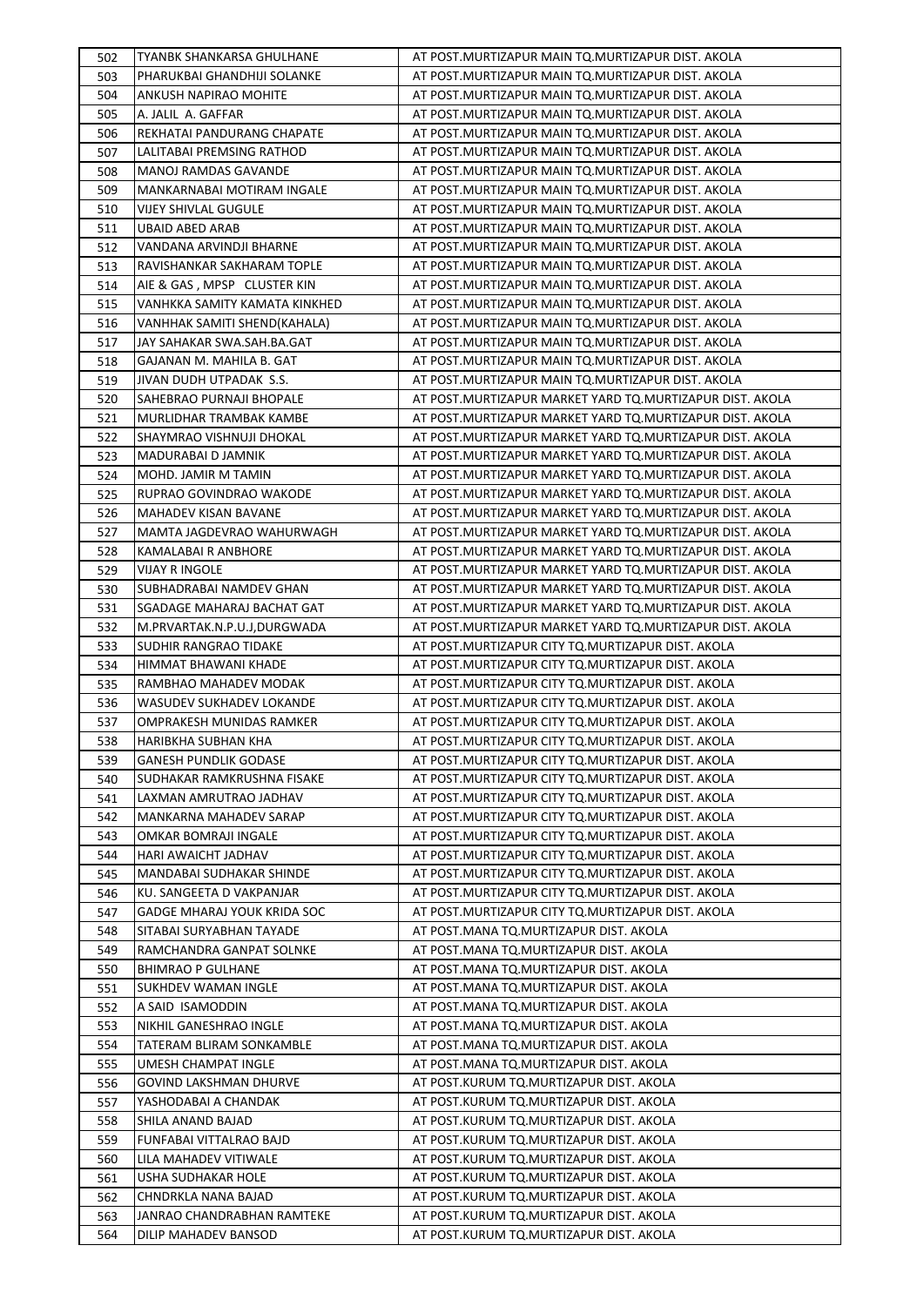| 502 | TYANBK SHANKARSA GHULHANE          | AT POST.MURTIZAPUR MAIN TQ.MURTIZAPUR DIST. AKOLA        |
|-----|------------------------------------|----------------------------------------------------------|
| 503 | PHARUKBAI GHANDHIJI SOLANKE        | AT POST. MURTIZAPUR MAIN TO. MURTIZAPUR DIST. AKOLA      |
| 504 | ANKUSH NAPIRAO MOHITE              | AT POST.MURTIZAPUR MAIN TQ.MURTIZAPUR DIST. AKOLA        |
| 505 | A. JALIL A. GAFFAR                 | AT POST.MURTIZAPUR MAIN TQ.MURTIZAPUR DIST. AKOLA        |
| 506 | REKHATAI PANDURANG CHAPATE         | AT POST.MURTIZAPUR MAIN TQ.MURTIZAPUR DIST. AKOLA        |
| 507 | LALITABAI PREMSING RATHOD          | AT POST.MURTIZAPUR MAIN TQ.MURTIZAPUR DIST. AKOLA        |
| 508 | <b>MANOJ RAMDAS GAVANDE</b>        | AT POST.MURTIZAPUR MAIN TQ.MURTIZAPUR DIST. AKOLA        |
| 509 | MANKARNABAI MOTIRAM INGALE         | AT POST.MURTIZAPUR MAIN TQ.MURTIZAPUR DIST. AKOLA        |
| 510 | <b>VIJEY SHIVLAL GUGULE</b>        | AT POST.MURTIZAPUR MAIN TQ.MURTIZAPUR DIST. AKOLA        |
| 511 | <b>UBAID ABED ARAB</b>             | AT POST. MURTIZAPUR MAIN TO. MURTIZAPUR DIST. AKOLA      |
| 512 | VANDANA ARVINDJI BHARNE            | AT POST. MURTIZAPUR MAIN TO. MURTIZAPUR DIST. AKOLA      |
| 513 | RAVISHANKAR SAKHARAM TOPLE         | AT POST.MURTIZAPUR MAIN TO.MURTIZAPUR DIST. AKOLA        |
| 514 | AIE & GAS, MPSP CLUSTER KIN        | AT POST.MURTIZAPUR MAIN TO.MURTIZAPUR DIST. AKOLA        |
| 515 | VANHKKA SAMITY KAMATA KINKHED      | AT POST.MURTIZAPUR MAIN TQ.MURTIZAPUR DIST. AKOLA        |
| 516 | VANHHAK SAMITI SHEND(KAHALA)       | AT POST.MURTIZAPUR MAIN TO.MURTIZAPUR DIST. AKOLA        |
| 517 | JAY SAHAKAR SWA.SAH.BA.GAT         | AT POST. MURTIZAPUR MAIN TO. MURTIZAPUR DIST. AKOLA      |
| 518 | GAJANAN M. MAHILA B. GAT           | AT POST. MURTIZAPUR MAIN TO. MURTIZAPUR DIST. AKOLA      |
| 519 | JIVAN DUDH UTPADAK S.S.            | AT POST.MURTIZAPUR MAIN TQ.MURTIZAPUR DIST. AKOLA        |
| 520 | SAHEBRAO PURNAJI BHOPALE           | AT POST.MURTIZAPUR MARKET YARD TQ.MURTIZAPUR DIST. AKOLA |
| 521 | MURLIDHAR TRAMBAK KAMBE            | AT POST.MURTIZAPUR MARKET YARD TQ.MURTIZAPUR DIST. AKOLA |
| 522 | SHAYMRAO VISHNUJI DHOKAL           | AT POST.MURTIZAPUR MARKET YARD TQ.MURTIZAPUR DIST. AKOLA |
| 523 | MADURABAI D JAMNIK                 | AT POST.MURTIZAPUR MARKET YARD TO.MURTIZAPUR DIST. AKOLA |
| 524 | MOHD. JAMIR M TAMIN                | AT POST.MURTIZAPUR MARKET YARD TQ.MURTIZAPUR DIST. AKOLA |
| 525 | RUPRAO GOVINDRAO WAKODE            | AT POST.MURTIZAPUR MARKET YARD TO.MURTIZAPUR DIST. AKOLA |
| 526 | MAHADEV KISAN BAVANE               | AT POST.MURTIZAPUR MARKET YARD TQ.MURTIZAPUR DIST. AKOLA |
| 527 | MAMTA JAGDEVRAO WAHURWAGH          | AT POST.MURTIZAPUR MARKET YARD TQ.MURTIZAPUR DIST. AKOLA |
| 528 | KAMALABAI R ANBHORE                | AT POST.MURTIZAPUR MARKET YARD TQ.MURTIZAPUR DIST. AKOLA |
| 529 | <b>VIJAY R INGOLE</b>              | AT POST.MURTIZAPUR MARKET YARD TO.MURTIZAPUR DIST. AKOLA |
| 530 | SUBHADRABAI NAMDEV GHAN            | AT POST.MURTIZAPUR MARKET YARD TQ.MURTIZAPUR DIST. AKOLA |
| 531 | SGADAGE MAHARAJ BACHAT GAT         | AT POST.MURTIZAPUR MARKET YARD TQ.MURTIZAPUR DIST. AKOLA |
| 532 | M.PRVARTAK.N.P.U.J,DURGWADA        | AT POST.MURTIZAPUR MARKET YARD TQ.MURTIZAPUR DIST. AKOLA |
| 533 | SUDHIR RANGRAO TIDAKE              | AT POST.MURTIZAPUR CITY TQ.MURTIZAPUR DIST. AKOLA        |
| 534 | HIMMAT BHAWANI KHADE               | AT POST. MURTIZAPUR CITY TO. MURTIZAPUR DIST. AKOLA      |
| 535 | RAMBHAO MAHADEV MODAK              | AT POST.MURTIZAPUR CITY TQ.MURTIZAPUR DIST. AKOLA        |
| 536 | <b>WASUDEV SUKHADEV LOKANDE</b>    | AT POST.MURTIZAPUR CITY TQ.MURTIZAPUR DIST. AKOLA        |
| 537 | OMPRAKESH MUNIDAS RAMKER           | AT POST. MURTIZAPUR CITY TO. MURTIZAPUR DIST. AKOLA      |
| 538 | <b>HARIBKHA SUBHAN KHA</b>         | AT POST. MURTIZAPUR CITY TQ. MURTIZAPUR DIST. AKOLA      |
| 539 | <b>GANESH PUNDLIK GODASE</b>       | AT POST.MURTIZAPUR CITY TQ.MURTIZAPUR DIST. AKOLA        |
| 540 | SUDHAKAR RAMKRUSHNA FISAKE         | AT POST.MURTIZAPUR CITY TQ.MURTIZAPUR DIST. AKOLA        |
| 541 | LAXMAN AMRUTRAO JADHAV             | AT POST. MURTIZAPUR CITY TO. MURTIZAPUR DIST. AKOLA      |
| 542 | MANKARNA MAHADEV SARAP             | AT POST.MURTIZAPUR CITY TQ.MURTIZAPUR DIST. AKOLA        |
| 543 | OMKAR BOMRAJI INGALE               | AT POST. MURTIZAPUR CITY TO. MURTIZAPUR DIST. AKOLA      |
| 544 | HARI AWAICHT JADHAV                | AT POST.MURTIZAPUR CITY TQ.MURTIZAPUR DIST. AKOLA        |
| 545 | MANDABAI SUDHAKAR SHINDE           | AT POST.MURTIZAPUR CITY TQ.MURTIZAPUR DIST. AKOLA        |
| 546 | KU. SANGEETA D VAKPANJAR           | AT POST.MURTIZAPUR CITY TQ.MURTIZAPUR DIST. AKOLA        |
| 547 | <b>GADGE MHARAJ YOUK KRIDA SOC</b> | AT POST.MURTIZAPUR CITY TO.MURTIZAPUR DIST. AKOLA        |
| 548 | SITABAI SURYABHAN TAYADE           | AT POST.MANA TQ.MURTIZAPUR DIST. AKOLA                   |
| 549 | RAMCHANDRA GANPAT SOLNKE           | AT POST.MANA TQ.MURTIZAPUR DIST. AKOLA                   |
| 550 | <b>BHIMRAO P GULHANE</b>           | AT POST.MANA TQ.MURTIZAPUR DIST. AKOLA                   |
| 551 | SUKHDEV WAMAN INGLE                | AT POST.MANA TQ.MURTIZAPUR DIST. AKOLA                   |
| 552 | A SAID ISAMODDIN                   | AT POST.MANA TQ.MURTIZAPUR DIST. AKOLA                   |
| 553 | NIKHIL GANESHRAO INGLE             | AT POST.MANA TQ.MURTIZAPUR DIST. AKOLA                   |
| 554 | TATERAM BLIRAM SONKAMBLE           | AT POST.MANA TQ.MURTIZAPUR DIST. AKOLA                   |
| 555 | UMESH CHAMPAT INGLE                | AT POST.MANA TQ.MURTIZAPUR DIST. AKOLA                   |
| 556 | <b>GOVIND LAKSHMAN DHURVE</b>      | AT POST.KURUM TQ.MURTIZAPUR DIST. AKOLA                  |
| 557 | YASHODABAI A CHANDAK               | AT POST.KURUM TQ.MURTIZAPUR DIST. AKOLA                  |
| 558 | SHILA ANAND BAJAD                  | AT POST.KURUM TQ.MURTIZAPUR DIST. AKOLA                  |
| 559 | FUNFABAI VITTALRAO BAJD            | AT POST.KURUM TQ.MURTIZAPUR DIST. AKOLA                  |
| 560 | LILA MAHADEV VITIWALE              | AT POST.KURUM TQ.MURTIZAPUR DIST. AKOLA                  |
| 561 | USHA SUDHAKAR HOLE                 | AT POST.KURUM TQ.MURTIZAPUR DIST. AKOLA                  |
| 562 | CHNDRKLA NANA BAJAD                | AT POST.KURUM TQ.MURTIZAPUR DIST. AKOLA                  |
| 563 | JANRAO CHANDRABHAN RAMTEKE         | AT POST.KURUM TQ.MURTIZAPUR DIST. AKOLA                  |
| 564 | DILIP MAHADEV BANSOD               | AT POST.KURUM TQ.MURTIZAPUR DIST. AKOLA                  |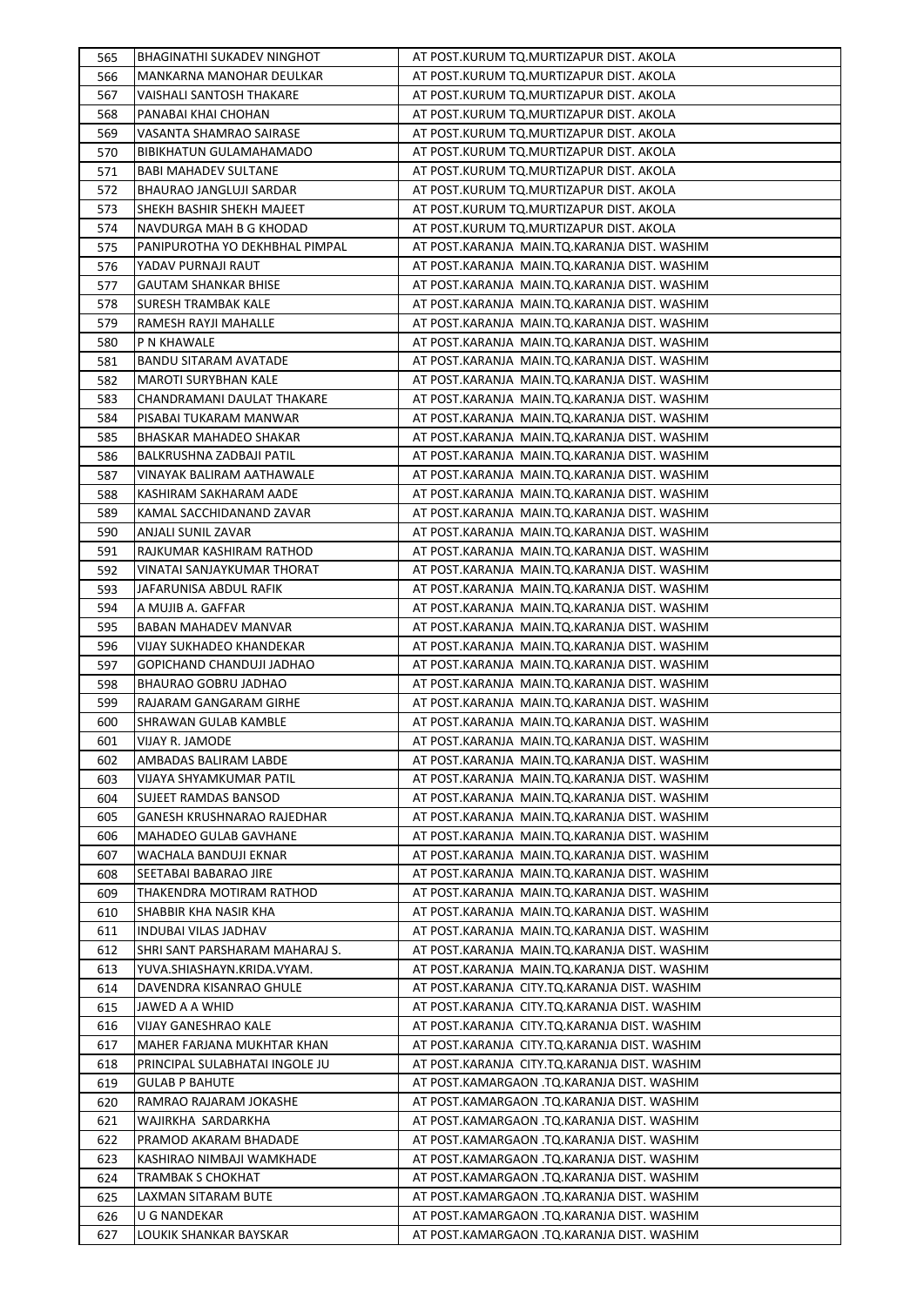| 565        | <b>BHAGINATHI SUKADEV NINGHOT</b>                   | AT POST.KURUM TQ.MURTIZAPUR DIST. AKOLA                                                      |
|------------|-----------------------------------------------------|----------------------------------------------------------------------------------------------|
| 566        | MANKARNA MANOHAR DEULKAR                            | AT POST.KURUM TO.MURTIZAPUR DIST. AKOLA                                                      |
| 567        | VAISHALI SANTOSH THAKARE                            | AT POST.KURUM TQ.MURTIZAPUR DIST. AKOLA                                                      |
| 568        | PANABAI KHAI CHOHAN                                 | AT POST.KURUM TQ.MURTIZAPUR DIST. AKOLA                                                      |
| 569        | VASANTA SHAMRAO SAIRASE                             | AT POST.KURUM TQ.MURTIZAPUR DIST. AKOLA                                                      |
| 570        | <b>BIBIKHATUN GULAMAHAMADO</b>                      | AT POST.KURUM TQ.MURTIZAPUR DIST. AKOLA                                                      |
| 571        | <b>BABI MAHADEV SULTANE</b>                         | AT POST.KURUM TQ.MURTIZAPUR DIST. AKOLA                                                      |
| 572        | BHAURAO JANGLUJI SARDAR                             | AT POST.KURUM TQ.MURTIZAPUR DIST. AKOLA                                                      |
| 573        | SHEKH BASHIR SHEKH MAJEET                           | AT POST.KURUM TQ.MURTIZAPUR DIST. AKOLA                                                      |
| 574        | NAVDURGA MAH B G KHODAD                             | AT POST.KURUM TQ.MURTIZAPUR DIST. AKOLA                                                      |
| 575        | PANIPUROTHA YO DEKHBHAL PIMPAL                      | AT POST.KARANJA MAIN.TQ.KARANJA DIST. WASHIM                                                 |
| 576        | YADAV PURNAJI RAUT                                  | AT POST.KARANJA MAIN.TQ.KARANJA DIST. WASHIM                                                 |
| 577        | <b>GAUTAM SHANKAR BHISE</b>                         | AT POST.KARANJA MAIN.TQ.KARANJA DIST. WASHIM                                                 |
| 578        | SURESH TRAMBAK KALE                                 | AT POST.KARANJA MAIN.TQ.KARANJA DIST. WASHIM                                                 |
| 579        | RAMESH RAYJI MAHALLE                                | AT POST.KARANJA MAIN.TQ.KARANJA DIST. WASHIM                                                 |
| 580        | P N KHAWALE                                         | AT POST.KARANJA MAIN.TQ.KARANJA DIST. WASHIM                                                 |
| 581        | <b>BANDU SITARAM AVATADE</b>                        | AT POST.KARANJA MAIN.TQ.KARANJA DIST. WASHIM                                                 |
| 582        | <b>MAROTI SURYBHAN KALE</b>                         | AT POST.KARANJA MAIN.TQ.KARANJA DIST. WASHIM                                                 |
| 583        | CHANDRAMANI DAULAT THAKARE                          | AT POST.KARANJA MAIN.TQ.KARANJA DIST. WASHIM                                                 |
| 584        | PISABAI TUKARAM MANWAR                              | AT POST.KARANJA MAIN.TQ.KARANJA DIST. WASHIM                                                 |
| 585        | BHASKAR MAHADEO SHAKAR                              | AT POST.KARANJA MAIN.TQ.KARANJA DIST. WASHIM                                                 |
| 586        | BALKRUSHNA ZADBAJI PATIL                            | AT POST.KARANJA MAIN.TQ.KARANJA DIST. WASHIM                                                 |
| 587        | VINAYAK BALIRAM AATHAWALE                           | AT POST.KARANJA MAIN.TQ.KARANJA DIST. WASHIM                                                 |
| 588        | KASHIRAM SAKHARAM AADE                              | AT POST.KARANJA MAIN.TQ.KARANJA DIST. WASHIM                                                 |
| 589        | KAMAL SACCHIDANAND ZAVAR                            | AT POST.KARANJA MAIN.TQ.KARANJA DIST. WASHIM                                                 |
| 590        | ANJALI SUNIL ZAVAR                                  | AT POST.KARANJA MAIN.TQ.KARANJA DIST. WASHIM                                                 |
| 591        | RAJKUMAR KASHIRAM RATHOD                            | AT POST.KARANJA MAIN.TQ.KARANJA DIST. WASHIM                                                 |
| 592        | VINATAI SANJAYKUMAR THORAT                          | AT POST.KARANJA MAIN.TQ.KARANJA DIST. WASHIM                                                 |
| 593        | JAFARUNISA ABDUL RAFIK                              | AT POST.KARANJA MAIN.TQ.KARANJA DIST. WASHIM                                                 |
| 594        | A MUJIB A. GAFFAR                                   | AT POST.KARANJA MAIN.TQ.KARANJA DIST. WASHIM                                                 |
| 595        | BABAN MAHADEV MANVAR                                | AT POST.KARANJA MAIN.TQ.KARANJA DIST. WASHIM                                                 |
| 596        | VIJAY SUKHADEO KHANDEKAR                            | AT POST.KARANJA MAIN.TQ.KARANJA DIST. WASHIM                                                 |
| 597        | GOPICHAND CHANDUJI JADHAO                           | AT POST.KARANJA MAIN.TQ.KARANJA DIST. WASHIM                                                 |
| 598        | BHAURAO GOBRU JADHAO                                | AT POST.KARANJA MAIN.TQ.KARANJA DIST. WASHIM                                                 |
| 599        | RAJARAM GANGARAM GIRHE                              | AT POST.KARANJA MAIN.TQ.KARANJA DIST. WASHIM                                                 |
| 600        | SHRAWAN GULAB KAMBLE                                | AT POST.KARANJA MAIN.TQ.KARANJA DIST. WASHIM                                                 |
| 601        | <b>VIJAY R. JAMODE</b>                              | AT POST.KARANJA MAIN.TQ.KARANJA DIST. WASHIM                                                 |
| 602        | AMBADAS BALIRAM LABDE                               | AT POST.KARANJA MAIN.TQ.KARANJA DIST. WASHIM                                                 |
| 603        | VIJAYA SHYAMKUMAR PATIL                             | AT POST.KARANJA MAIN.TQ.KARANJA DIST. WASHIM<br>AT POST.KARANJA MAIN.TQ.KARANJA DIST. WASHIM |
| 604        | SUJEET RAMDAS BANSOD                                | AT POST.KARANJA MAIN.TO.KARANJA DIST. WASHIM                                                 |
| 605        | GANESH KRUSHNARAO RAJEDHAR<br>MAHADEO GULAB GAVHANE | AT POST.KARANJA MAIN.TQ.KARANJA DIST. WASHIM                                                 |
| 606        | WACHALA BANDUJI EKNAR                               | AT POST.KARANJA MAIN.TQ.KARANJA DIST. WASHIM                                                 |
| 607        | SEETABAI BABARAO JIRE                               | AT POST.KARANJA MAIN.TQ.KARANJA DIST. WASHIM                                                 |
| 608<br>609 | THAKENDRA MOTIRAM RATHOD                            | AT POST.KARANJA MAIN.TQ.KARANJA DIST. WASHIM                                                 |
| 610        | SHABBIR KHA NASIR KHA                               | AT POST.KARANJA MAIN.TQ.KARANJA DIST. WASHIM                                                 |
| 611        | INDUBAI VILAS JADHAV                                | AT POST.KARANJA MAIN.TQ.KARANJA DIST. WASHIM                                                 |
| 612        | SHRI SANT PARSHARAM MAHARAJ S.                      | AT POST.KARANJA MAIN.TQ.KARANJA DIST. WASHIM                                                 |
| 613        | YUVA.SHIASHAYN.KRIDA.VYAM.                          | AT POST.KARANJA MAIN.TQ.KARANJA DIST. WASHIM                                                 |
| 614        | DAVENDRA KISANRAO GHULE                             | AT POST.KARANJA CITY.TQ.KARANJA DIST. WASHIM                                                 |
| 615        | JAWED A A WHID                                      | AT POST.KARANJA CITY.TQ.KARANJA DIST. WASHIM                                                 |
| 616        | VIJAY GANESHRAO KALE                                | AT POST.KARANJA CITY.TQ.KARANJA DIST. WASHIM                                                 |
| 617        | MAHER FARJANA MUKHTAR KHAN                          | AT POST.KARANJA CITY.TQ.KARANJA DIST. WASHIM                                                 |
| 618        | PRINCIPAL SULABHATAI INGOLE JU                      | AT POST.KARANJA CITY.TQ.KARANJA DIST. WASHIM                                                 |
| 619        | <b>GULAB P BAHUTE</b>                               | AT POST.KAMARGAON .TQ.KARANJA DIST. WASHIM                                                   |
| 620        | RAMRAO RAJARAM JOKASHE                              | AT POST.KAMARGAON .TQ.KARANJA DIST. WASHIM                                                   |
| 621        | WAJIRKHA SARDARKHA                                  | AT POST.KAMARGAON .TQ.KARANJA DIST. WASHIM                                                   |
| 622        | PRAMOD AKARAM BHADADE                               | AT POST.KAMARGAON .TQ.KARANJA DIST. WASHIM                                                   |
| 623        | KASHIRAO NIMBAJI WAMKHADE                           | AT POST.KAMARGAON .TQ.KARANJA DIST. WASHIM                                                   |
| 624        | TRAMBAK S CHOKHAT                                   | AT POST.KAMARGAON .TQ.KARANJA DIST. WASHIM                                                   |
| 625        | LAXMAN SITARAM BUTE                                 | AT POST.KAMARGAON .TQ.KARANJA DIST. WASHIM                                                   |
| 626        | U G NANDEKAR                                        | AT POST.KAMARGAON .TQ.KARANJA DIST. WASHIM                                                   |
| 627        | LOUKIK SHANKAR BAYSKAR                              | AT POST.KAMARGAON .TQ.KARANJA DIST. WASHIM                                                   |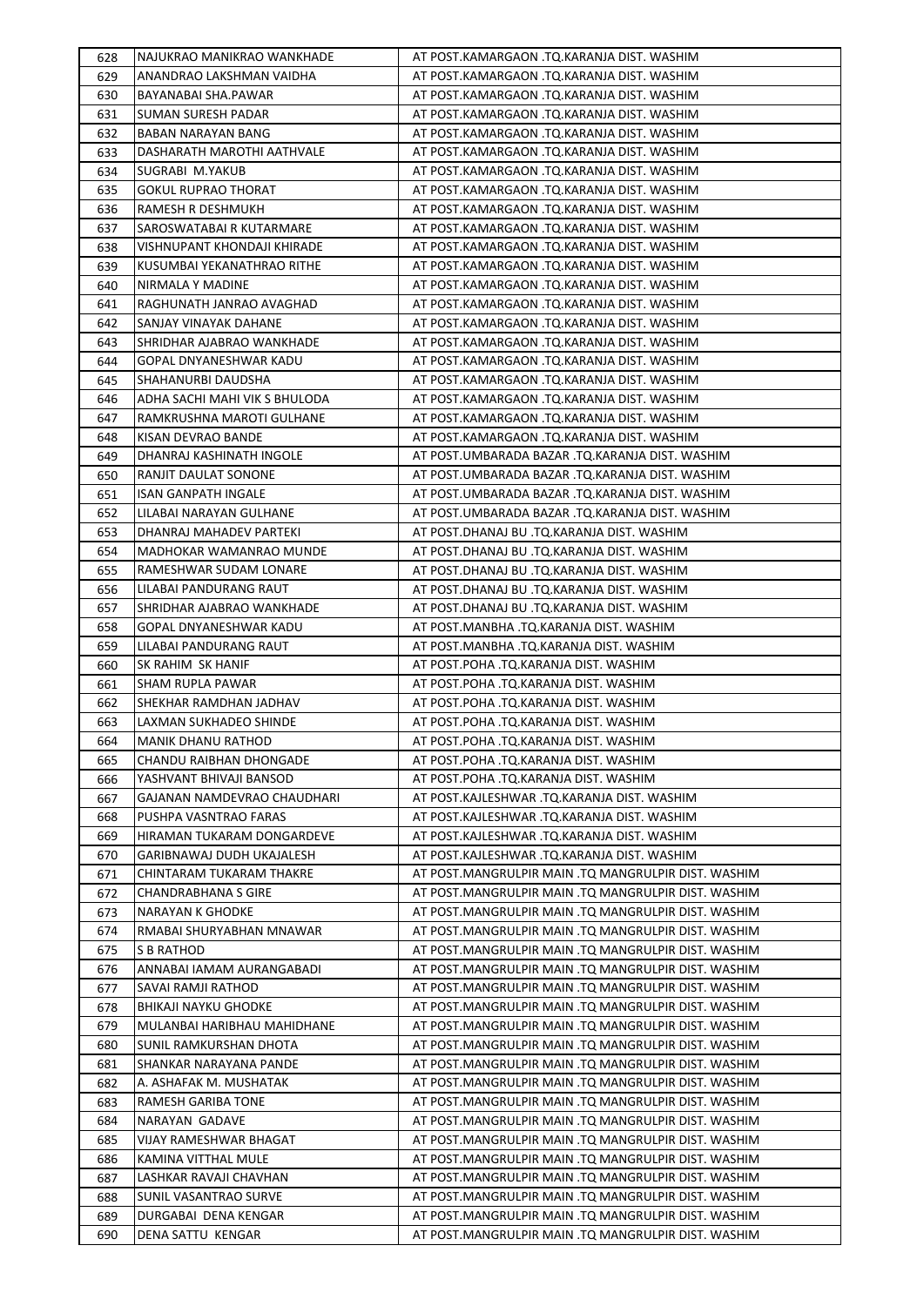| 628        | NAJUKRAO MANIKRAO WANKHADE                              | AT POST.KAMARGAON .TQ.KARANJA DIST. WASHIM                                                                 |
|------------|---------------------------------------------------------|------------------------------------------------------------------------------------------------------------|
| 629        | ANANDRAO LAKSHMAN VAIDHA                                | AT POST.KAMARGAON .TO.KARANJA DIST. WASHIM                                                                 |
| 630        | BAYANABAI SHA.PAWAR                                     | AT POST.KAMARGAON .TQ.KARANJA DIST. WASHIM                                                                 |
| 631        | SUMAN SURESH PADAR                                      | AT POST.KAMARGAON .TQ.KARANJA DIST. WASHIM                                                                 |
| 632        | BABAN NARAYAN BANG                                      | AT POST.KAMARGAON .TQ.KARANJA DIST. WASHIM                                                                 |
| 633        | DASHARATH MAROTHI AATHVALE                              | AT POST.KAMARGAON .TQ.KARANJA DIST. WASHIM                                                                 |
| 634        | SUGRABI M.YAKUB                                         | AT POST.KAMARGAON .TQ.KARANJA DIST. WASHIM                                                                 |
| 635        | <b>GOKUL RUPRAO THORAT</b>                              | AT POST.KAMARGAON .TQ.KARANJA DIST. WASHIM                                                                 |
| 636        | RAMESH R DESHMUKH                                       | AT POST.KAMARGAON .TQ.KARANJA DIST. WASHIM                                                                 |
| 637        | SAROSWATABAI R KUTARMARE                                | AT POST.KAMARGAON .TQ.KARANJA DIST. WASHIM                                                                 |
| 638        | VISHNUPANT KHONDAJI KHIRADE                             | AT POST.KAMARGAON .TQ.KARANJA DIST. WASHIM                                                                 |
| 639        | KUSUMBAI YEKANATHRAO RITHE                              | AT POST.KAMARGAON .TQ.KARANJA DIST. WASHIM                                                                 |
| 640        | NIRMALA Y MADINE                                        | AT POST.KAMARGAON .TQ.KARANJA DIST. WASHIM                                                                 |
| 641        | RAGHUNATH JANRAO AVAGHAD                                | AT POST.KAMARGAON .TQ.KARANJA DIST. WASHIM                                                                 |
| 642        | SANJAY VINAYAK DAHANE                                   | AT POST.KAMARGAON .TQ.KARANJA DIST. WASHIM                                                                 |
| 643        | SHRIDHAR AJABRAO WANKHADE                               | AT POST.KAMARGAON .TQ.KARANJA DIST. WASHIM                                                                 |
| 644        | GOPAL DNYANESHWAR KADU                                  | AT POST.KAMARGAON .TQ.KARANJA DIST. WASHIM                                                                 |
| 645        | SHAHANURBI DAUDSHA                                      | AT POST.KAMARGAON .TQ.KARANJA DIST. WASHIM                                                                 |
| 646        | ADHA SACHI MAHI VIK S BHULODA                           | AT POST.KAMARGAON .TQ.KARANJA DIST. WASHIM                                                                 |
| 647        | RAMKRUSHNA MAROTI GULHANE                               | AT POST.KAMARGAON .TQ.KARANJA DIST. WASHIM                                                                 |
| 648        | KISAN DEVRAO BANDE                                      | AT POST.KAMARGAON .TQ.KARANJA DIST. WASHIM                                                                 |
| 649        | DHANRAJ KASHINATH INGOLE                                | AT POST.UMBARADA BAZAR .TQ.KARANJA DIST. WASHIM                                                            |
| 650        | RANJIT DAULAT SONONE                                    | AT POST.UMBARADA BAZAR .TQ.KARANJA DIST. WASHIM                                                            |
| 651        | ISAN GANPATH INGALE                                     | AT POST.UMBARADA BAZAR .TQ.KARANJA DIST. WASHIM                                                            |
| 652        | LILABAI NARAYAN GULHANE                                 | AT POST.UMBARADA BAZAR .TQ.KARANJA DIST. WASHIM                                                            |
| 653        | DHANRAJ MAHADEV PARTEKI                                 | AT POST.DHANAJ BU .TQ.KARANJA DIST. WASHIM                                                                 |
| 654        | MADHOKAR WAMANRAO MUNDE                                 | AT POST.DHANAJ BU .TQ.KARANJA DIST. WASHIM                                                                 |
| 655        | RAMESHWAR SUDAM LONARE                                  | AT POST.DHANAJ BU .TQ.KARANJA DIST. WASHIM                                                                 |
| 656        | LILABAI PANDURANG RAUT                                  | AT POST.DHANAJ BU .TQ.KARANJA DIST. WASHIM                                                                 |
| 657        | SHRIDHAR AJABRAO WANKHADE                               | AT POST.DHANAJ BU .TQ.KARANJA DIST. WASHIM                                                                 |
| 658        | GOPAL DNYANESHWAR KADU                                  | AT POST.MANBHA .TQ.KARANJA DIST. WASHIM                                                                    |
| 659        | LILABAI PANDURANG RAUT                                  | AT POST.MANBHA .TQ.KARANJA DIST. WASHIM                                                                    |
| 660        | SK RAHIM SK HANIF                                       | AT POST.POHA .TQ.KARANJA DIST. WASHIM                                                                      |
| 661        | <b>SHAM RUPLA PAWAR</b>                                 | AT POST.POHA .TQ.KARANJA DIST. WASHIM                                                                      |
| 662        | SHEKHAR RAMDHAN JADHAV                                  | AT POST.POHA .TQ.KARANJA DIST. WASHIM                                                                      |
| 663        | LAXMAN SUKHADEO SHINDE                                  | AT POST.POHA .TQ.KARANJA DIST. WASHIM                                                                      |
| 664        | <b>MANIK DHANU RATHOD</b>                               | AT POST.POHA .TQ.KARANJA DIST. WASHIM                                                                      |
| 665        | CHANDU RAIBHAN DHONGADE                                 | AT POST.POHA .TQ.KARANJA DIST. WASHIM                                                                      |
| 666        | YASHVANT BHIVAJI BANSOD                                 | AT POST.POHA .TQ.KARANJA DIST. WASHIM                                                                      |
| 667        | GAJANAN NAMDEVRAO CHAUDHARI<br>PUSHPA VASNTRAO FARAS    | AT POST.KAJLESHWAR .TO.KARANJA DIST. WASHIM<br>AT POST.KAJLESHWAR .TO.KARANJA DIST. WASHIM                 |
| 668        |                                                         |                                                                                                            |
| 669        | HIRAMAN TUKARAM DONGARDEVE<br>GARIBNAWAJ DUDH UKAJALESH | AT POST.KAJLESHWAR .TQ.KARANJA DIST. WASHIM<br>AT POST.KAJLESHWAR .TQ.KARANJA DIST. WASHIM                 |
| 670        |                                                         |                                                                                                            |
| 671<br>672 | CHINTARAM TUKARAM THAKRE<br><b>CHANDRABHANA S GIRE</b>  | AT POST.MANGRULPIR MAIN .TQ MANGRULPIR DIST. WASHIM<br>AT POST.MANGRULPIR MAIN .TQ MANGRULPIR DIST. WASHIM |
| 673        | NARAYAN K GHODKE                                        | AT POST.MANGRULPIR MAIN .TQ MANGRULPIR DIST. WASHIM                                                        |
| 674        | RMABAI SHURYABHAN MNAWAR                                | AT POST.MANGRULPIR MAIN .TO MANGRULPIR DIST. WASHIM                                                        |
| 675        | S B RATHOD                                              | AT POST.MANGRULPIR MAIN .TQ MANGRULPIR DIST. WASHIM                                                        |
| 676        | ANNABAI IAMAM AURANGABADI                               | AT POST.MANGRULPIR MAIN .TQ MANGRULPIR DIST. WASHIM                                                        |
| 677        | SAVAI RAMJI RATHOD                                      | AT POST.MANGRULPIR MAIN .TQ MANGRULPIR DIST. WASHIM                                                        |
| 678        | <b>BHIKAJI NAYKU GHODKE</b>                             | AT POST.MANGRULPIR MAIN .TQ MANGRULPIR DIST. WASHIM                                                        |
| 679        | MULANBAI HARIBHAU MAHIDHANE                             | AT POST.MANGRULPIR MAIN .TQ MANGRULPIR DIST. WASHIM                                                        |
| 680        | SUNIL RAMKURSHAN DHOTA                                  | AT POST.MANGRULPIR MAIN .TQ MANGRULPIR DIST. WASHIM                                                        |
| 681        | SHANKAR NARAYANA PANDE                                  | AT POST.MANGRULPIR MAIN .TQ MANGRULPIR DIST. WASHIM                                                        |
| 682        | A. ASHAFAK M. MUSHATAK                                  | AT POST.MANGRULPIR MAIN .TQ MANGRULPIR DIST. WASHIM                                                        |
| 683        | RAMESH GARIBA TONE                                      | AT POST.MANGRULPIR MAIN .TQ MANGRULPIR DIST. WASHIM                                                        |
| 684        | NARAYAN GADAVE                                          | AT POST.MANGRULPIR MAIN .TQ MANGRULPIR DIST. WASHIM                                                        |
| 685        | VIJAY RAMESHWAR BHAGAT                                  | AT POST.MANGRULPIR MAIN .TQ MANGRULPIR DIST. WASHIM                                                        |
| 686        | KAMINA VITTHAL MULE                                     | AT POST.MANGRULPIR MAIN .TQ MANGRULPIR DIST. WASHIM                                                        |
| 687        | LASHKAR RAVAJI CHAVHAN                                  | AT POST.MANGRULPIR MAIN .TQ MANGRULPIR DIST. WASHIM                                                        |
| 688        | SUNIL VASANTRAO SURVE                                   | AT POST.MANGRULPIR MAIN .TQ MANGRULPIR DIST. WASHIM                                                        |
| 689        | DURGABAI DENA KENGAR                                    | AT POST.MANGRULPIR MAIN .TQ MANGRULPIR DIST. WASHIM                                                        |
| 690        | DENA SATTU KENGAR                                       | AT POST.MANGRULPIR MAIN .TQ MANGRULPIR DIST. WASHIM                                                        |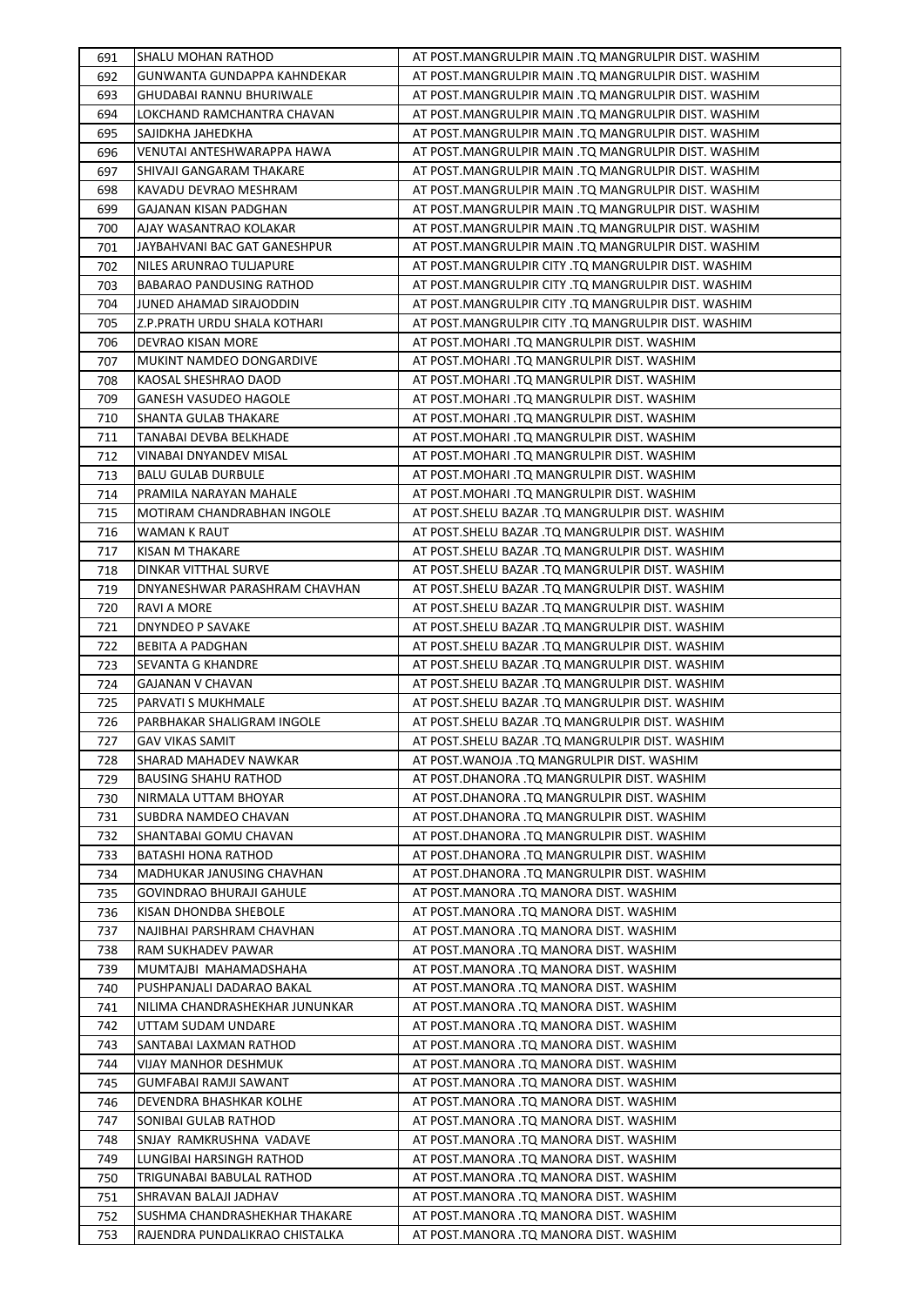| 691        | <b>SHALU MOHAN RATHOD</b>                    | AT POST.MANGRULPIR MAIN .TO MANGRULPIR DIST. WASHIM                                                 |
|------------|----------------------------------------------|-----------------------------------------------------------------------------------------------------|
| 692        | GUNWANTA GUNDAPPA KAHNDEKAR                  | AT POST.MANGRULPIR MAIN .TQ MANGRULPIR DIST. WASHIM                                                 |
| 693        | <b>GHUDABAI RANNU BHURIWALE</b>              | AT POST.MANGRULPIR MAIN .TQ MANGRULPIR DIST. WASHIM                                                 |
| 694        | LOKCHAND RAMCHANTRA CHAVAN                   | AT POST.MANGRULPIR MAIN .TQ MANGRULPIR DIST. WASHIM                                                 |
| 695        | SAJIDKHA JAHEDKHA                            | AT POST.MANGRULPIR MAIN .TQ MANGRULPIR DIST. WASHIM                                                 |
| 696        | VENUTAI ANTESHWARAPPA HAWA                   | AT POST.MANGRULPIR MAIN .TQ MANGRULPIR DIST. WASHIM                                                 |
| 697        | SHIVAJI GANGARAM THAKARE                     | AT POST.MANGRULPIR MAIN .TQ MANGRULPIR DIST. WASHIM                                                 |
| 698        | KAVADU DEVRAO MESHRAM                        | AT POST.MANGRULPIR MAIN .TQ MANGRULPIR DIST. WASHIM                                                 |
| 699        | GAJANAN KISAN PADGHAN                        | AT POST.MANGRULPIR MAIN .TQ MANGRULPIR DIST. WASHIM                                                 |
| 700        | AJAY WASANTRAO KOLAKAR                       | AT POST.MANGRULPIR MAIN .TQ MANGRULPIR DIST. WASHIM                                                 |
| 701        | JAYBAHVANI BAC GAT GANESHPUR                 | AT POST.MANGRULPIR MAIN .TQ MANGRULPIR DIST. WASHIM                                                 |
| 702        | NILES ARUNRAO TULJAPURE                      | AT POST.MANGRULPIR CITY .TQ MANGRULPIR DIST. WASHIM                                                 |
| 703        | <b>BABARAO PANDUSING RATHOD</b>              | AT POST.MANGRULPIR CITY .TQ MANGRULPIR DIST. WASHIM                                                 |
| 704        | JUNED AHAMAD SIRAJODDIN                      | AT POST.MANGRULPIR CITY .TQ MANGRULPIR DIST. WASHIM                                                 |
| 705        | Z.P.PRATH URDU SHALA KOTHARI                 | AT POST.MANGRULPIR CITY .TQ MANGRULPIR DIST. WASHIM                                                 |
| 706        | DEVRAO KISAN MORE                            | AT POST.MOHARI .TQ MANGRULPIR DIST. WASHIM                                                          |
| 707        | MUKINT NAMDEO DONGARDIVE                     | AT POST.MOHARI .TQ MANGRULPIR DIST. WASHIM                                                          |
| 708        | KAOSAL SHESHRAO DAOD                         | AT POST.MOHARI .TQ MANGRULPIR DIST. WASHIM                                                          |
| 709        | <b>GANESH VASUDEO HAGOLE</b>                 | AT POST.MOHARI .TQ MANGRULPIR DIST. WASHIM                                                          |
| 710        | SHANTA GULAB THAKARE                         | AT POST.MOHARI .TQ MANGRULPIR DIST. WASHIM                                                          |
| 711        | TANABAI DEVBA BELKHADE                       | AT POST.MOHARI .TQ MANGRULPIR DIST. WASHIM                                                          |
| 712        | VINABAI DNYANDEV MISAL                       | AT POST.MOHARI .TQ MANGRULPIR DIST. WASHIM                                                          |
| 713        | <b>BALU GULAB DURBULE</b>                    | AT POST.MOHARI .TQ MANGRULPIR DIST. WASHIM                                                          |
| 714        | PRAMILA NARAYAN MAHALE                       | AT POST.MOHARI .TQ MANGRULPIR DIST. WASHIM                                                          |
| 715        | MOTIRAM CHANDRABHAN INGOLE                   | AT POST.SHELU BAZAR .TQ MANGRULPIR DIST. WASHIM                                                     |
| 716        | WAMAN K RAUT                                 | AT POST.SHELU BAZAR .TQ MANGRULPIR DIST. WASHIM                                                     |
| 717        | KISAN M THAKARE                              | AT POST.SHELU BAZAR .TQ MANGRULPIR DIST. WASHIM                                                     |
| 718        | DINKAR VITTHAL SURVE                         | AT POST.SHELU BAZAR .TQ MANGRULPIR DIST. WASHIM                                                     |
| 719        | DNYANESHWAR PARASHRAM CHAVHAN                | AT POST.SHELU BAZAR .TQ MANGRULPIR DIST. WASHIM                                                     |
| 720        | RAVI A MORE                                  | AT POST.SHELU BAZAR .TQ MANGRULPIR DIST. WASHIM                                                     |
| 721        | <b>DNYNDEO P SAVAKE</b>                      | AT POST.SHELU BAZAR .TQ MANGRULPIR DIST. WASHIM                                                     |
| 722<br>723 | <b>BEBITA A PADGHAN</b><br>SEVANTA G KHANDRE | AT POST.SHELU BAZAR .TQ MANGRULPIR DIST. WASHIM                                                     |
| 724        | GAJANAN V CHAVAN                             | AT POST.SHELU BAZAR .TQ MANGRULPIR DIST. WASHIM<br>AT POST. SHELU BAZAR .TQ MANGRULPIR DIST. WASHIM |
| 725        | PARVATI S MUKHMALE                           | AT POST.SHELU BAZAR .TQ MANGRULPIR DIST. WASHIM                                                     |
| 726        | PARBHAKAR SHALIGRAM INGOLE                   | AT POST.SHELU BAZAR .TQ MANGRULPIR DIST. WASHIM                                                     |
| 727        | <b>GAV VIKAS SAMIT</b>                       | AT POST.SHELU BAZAR .TQ MANGRULPIR DIST. WASHIM                                                     |
| 728        | SHARAD MAHADEV NAWKAR                        | AT POST.WANOJA .TQ MANGRULPIR DIST. WASHIM                                                          |
| 729        | <b>BAUSING SHAHU RATHOD</b>                  | AT POST.DHANORA .TQ MANGRULPIR DIST. WASHIM                                                         |
| 730        | NIRMALA UTTAM BHOYAR                         | AT POST.DHANORA .TQ MANGRULPIR DIST. WASHIM                                                         |
| 731        | SUBDRA NAMDEO CHAVAN                         | AT POST.DHANORA .TQ MANGRULPIR DIST. WASHIM                                                         |
| 732        | SHANTABAI GOMU CHAVAN                        | AT POST.DHANORA .TQ MANGRULPIR DIST. WASHIM                                                         |
| 733        | BATASHI HONA RATHOD                          | AT POST.DHANORA .TQ MANGRULPIR DIST. WASHIM                                                         |
| 734        | MADHUKAR JANUSING CHAVHAN                    | AT POST.DHANORA .TQ MANGRULPIR DIST. WASHIM                                                         |
| 735        | <b>GOVINDRAO BHURAJI GAHULE</b>              | AT POST.MANORA .TQ MANORA DIST. WASHIM                                                              |
| 736        | KISAN DHONDBA SHEBOLE                        | AT POST.MANORA .TQ MANORA DIST. WASHIM                                                              |
| 737        | NAJIBHAI PARSHRAM CHAVHAN                    | AT POST.MANORA .TQ MANORA DIST. WASHIM                                                              |
| 738        | RAM SUKHADEV PAWAR                           | AT POST.MANORA .TQ MANORA DIST. WASHIM                                                              |
| 739        | MUMTAJBI MAHAMADSHAHA                        | AT POST.MANORA .TQ MANORA DIST. WASHIM                                                              |
| 740        | PUSHPANJALI DADARAO BAKAL                    | AT POST.MANORA .TQ MANORA DIST. WASHIM                                                              |
| 741        | NILIMA CHANDRASHEKHAR JUNUNKAR               | AT POST.MANORA .TQ MANORA DIST. WASHIM                                                              |
| 742        | UTTAM SUDAM UNDARE                           | AT POST.MANORA .TQ MANORA DIST. WASHIM                                                              |
| 743        | SANTABAI LAXMAN RATHOD                       | AT POST.MANORA .TQ MANORA DIST. WASHIM                                                              |
| 744        | VIJAY MANHOR DESHMUK                         | AT POST.MANORA .TQ MANORA DIST. WASHIM                                                              |
| 745        | GUMFABAI RAMJI SAWANT                        | AT POST.MANORA .TQ MANORA DIST. WASHIM                                                              |
| 746        | DEVENDRA BHASHKAR KOLHE                      | AT POST.MANORA .TQ MANORA DIST. WASHIM                                                              |
| 747        | SONIBAI GULAB RATHOD                         | AT POST.MANORA .TQ MANORA DIST. WASHIM                                                              |
| 748        | SNJAY RAMKRUSHNA VADAVE                      | AT POST.MANORA .TQ MANORA DIST. WASHIM                                                              |
| 749        | LUNGIBAI HARSINGH RATHOD                     | AT POST.MANORA .TQ MANORA DIST. WASHIM                                                              |
| 750        | TRIGUNABAI BABULAL RATHOD                    | AT POST.MANORA .TQ MANORA DIST. WASHIM                                                              |
| 751        | SHRAVAN BALAJI JADHAV                        | AT POST.MANORA .TQ MANORA DIST. WASHIM                                                              |
| 752        | SUSHMA CHANDRASHEKHAR THAKARE                | AT POST.MANORA .TQ MANORA DIST. WASHIM                                                              |
| 753        | RAJENDRA PUNDALIKRAO CHISTALKA               | AT POST.MANORA .TQ MANORA DIST. WASHIM                                                              |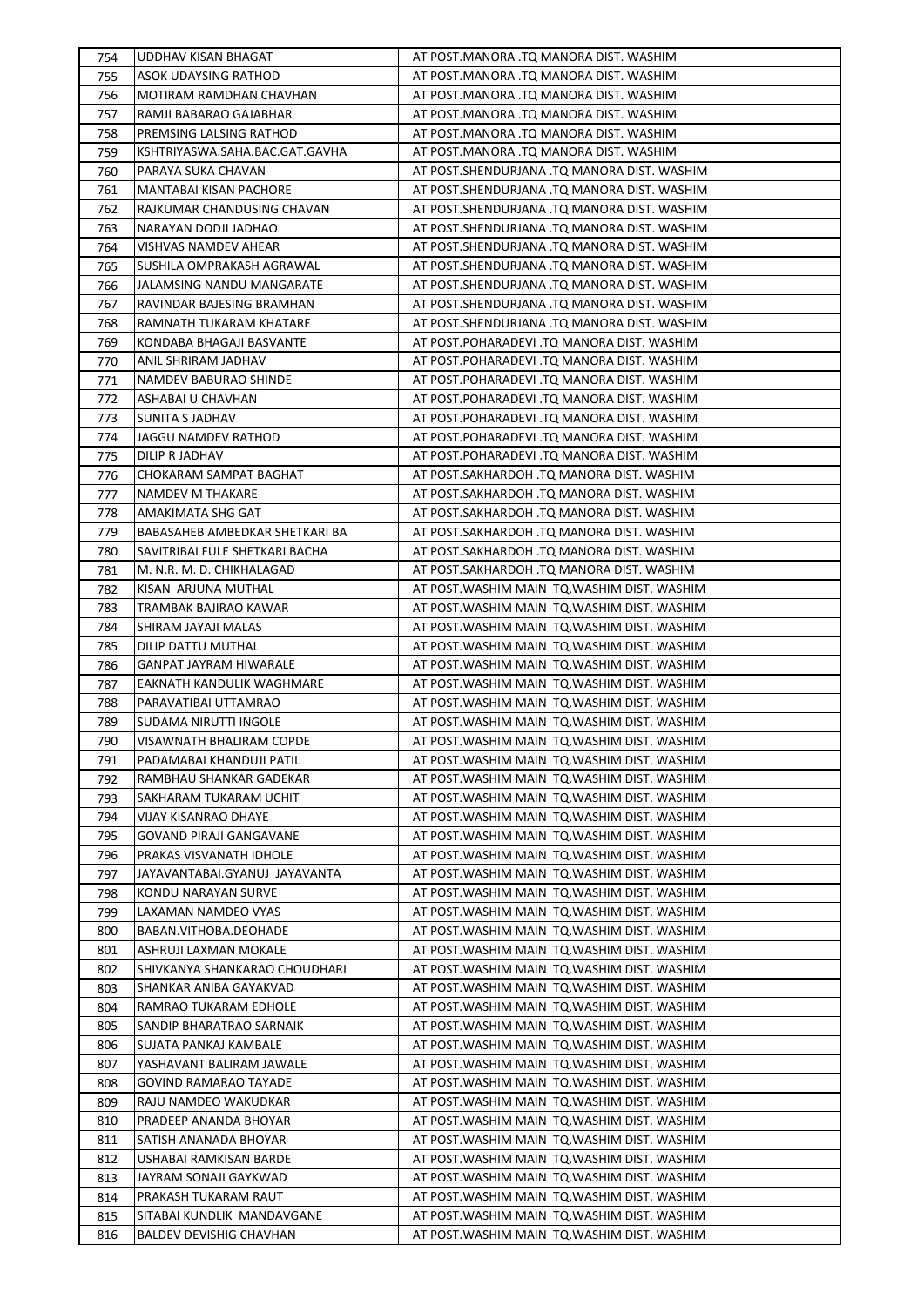| 754        | UDDHAV KISAN BHAGAT            | AT POST.MANORA .TQ MANORA DIST. WASHIM                                                       |
|------------|--------------------------------|----------------------------------------------------------------------------------------------|
| 755        | ASOK UDAYSING RATHOD           | AT POST.MANORA .TO MANORA DIST. WASHIM                                                       |
| 756        | MOTIRAM RAMDHAN CHAVHAN        | AT POST.MANORA .TQ MANORA DIST. WASHIM                                                       |
| 757        | RAMJI BABARAO GAJABHAR         | AT POST.MANORA .TQ MANORA DIST. WASHIM                                                       |
| 758        | PREMSING LALSING RATHOD        | AT POST.MANORA .TQ MANORA DIST. WASHIM                                                       |
| 759        | KSHTRIYASWA.SAHA.BAC.GAT.GAVHA | AT POST.MANORA .TQ MANORA DIST. WASHIM                                                       |
| 760        | PARAYA SUKA CHAVAN             | AT POST.SHENDURJANA .TQ MANORA DIST. WASHIM                                                  |
| 761        | <b>MANTABAI KISAN PACHORE</b>  | AT POST.SHENDURJANA .TQ MANORA DIST. WASHIM                                                  |
| 762        | RAJKUMAR CHANDUSING CHAVAN     | AT POST.SHENDURJANA .TQ MANORA DIST. WASHIM                                                  |
| 763        | NARAYAN DODJI JADHAO           | AT POST.SHENDURJANA .TQ MANORA DIST. WASHIM                                                  |
| 764        | <b>VISHVAS NAMDEV AHEAR</b>    | AT POST.SHENDURJANA .TQ MANORA DIST. WASHIM                                                  |
| 765        | SUSHILA OMPRAKASH AGRAWAL      | AT POST.SHENDURJANA .TQ MANORA DIST. WASHIM                                                  |
| 766        | JALAMSING NANDU MANGARATE      | AT POST.SHENDURJANA .TQ MANORA DIST. WASHIM                                                  |
| 767        | RAVINDAR BAJESING BRAMHAN      | AT POST.SHENDURJANA .TQ MANORA DIST. WASHIM                                                  |
| 768        | RAMNATH TUKARAM KHATARE        | AT POST.SHENDURJANA .TQ MANORA DIST. WASHIM                                                  |
| 769        | KONDABA BHAGAJI BASVANTE       | AT POST.POHARADEVI .TQ MANORA DIST. WASHIM                                                   |
| 770        | ANIL SHRIRAM JADHAV            | AT POST.POHARADEVI .TQ MANORA DIST. WASHIM                                                   |
| 771        | NAMDEV BABURAO SHINDE          | AT POST.POHARADEVI .TQ MANORA DIST. WASHIM                                                   |
| 772        | ASHABAI U CHAVHAN              | AT POST.POHARADEVI .TQ MANORA DIST. WASHIM                                                   |
| 773        | SUNITA S JADHAV                | AT POST.POHARADEVI .TQ MANORA DIST. WASHIM                                                   |
| 774        | JAGGU NAMDEV RATHOD            | AT POST.POHARADEVI .TQ MANORA DIST. WASHIM                                                   |
| 775        | DILIP R JADHAV                 | AT POST.POHARADEVI .TQ MANORA DIST. WASHIM                                                   |
| 776        | CHOKARAM SAMPAT BAGHAT         | AT POST.SAKHARDOH .TQ MANORA DIST. WASHIM                                                    |
| 777        | NAMDEV M THAKARE               | AT POST.SAKHARDOH .TQ MANORA DIST. WASHIM                                                    |
| 778        | AMAKIMATA SHG GAT              | AT POST.SAKHARDOH .TQ MANORA DIST. WASHIM                                                    |
| 779        | BABASAHEB AMBEDKAR SHETKARI BA | AT POST.SAKHARDOH .TQ MANORA DIST. WASHIM                                                    |
| 780        | SAVITRIBAI FULE SHETKARI BACHA | AT POST.SAKHARDOH .TQ MANORA DIST. WASHIM                                                    |
| 781        | M. N.R. M. D. CHIKHALAGAD      | AT POST.SAKHARDOH .TQ MANORA DIST. WASHIM                                                    |
| 782        | KISAN ARJUNA MUTHAL            | AT POST. WASHIM MAIN TO. WASHIM DIST. WASHIM                                                 |
| 783        | TRAMBAK BAJIRAO KAWAR          | AT POST. WASHIM MAIN TO. WASHIM DIST. WASHIM                                                 |
| 784        | SHIRAM JAYAJI MALAS            | AT POST. WASHIM MAIN TO. WASHIM DIST. WASHIM                                                 |
| 785        | DILIP DATTU MUTHAL             | AT POST. WASHIM MAIN TQ. WASHIM DIST. WASHIM                                                 |
| 786        | <b>GANPAT JAYRAM HIWARALE</b>  | AT POST. WASHIM MAIN TQ. WASHIM DIST. WASHIM                                                 |
| 787        | EAKNATH KANDULIK WAGHMARE      | AT POST. WASHIM MAIN TO. WASHIM DIST. WASHIM                                                 |
| 788        | PARAVATIBAI UTTAMRAO           | AT POST. WASHIM MAIN TO. WASHIM DIST. WASHIM                                                 |
| 789        | SUDAMA NIRUTTI INGOLE          | AT POST. WASHIM MAIN TO. WASHIM DIST. WASHIM                                                 |
| 790        | VISAWNATH BHALIRAM COPDE       | AT POST. WASHIM MAIN TO. WASHIM DIST. WASHIM                                                 |
|            | PADAMABAI KHANDUJI PATIL       | AT POST.WASHIM MAIN TQ.WASHIM DIST. WASHIM                                                   |
| 791<br>792 | RAMBHAU SHANKAR GADEKAR        |                                                                                              |
|            |                                | AT POST. WASHIM MAIN TO. WASHIM DIST. WASHIM<br>AT POST. WASHIM MAIN TO. WASHIM DIST. WASHIM |
| 793        | SAKHARAM TUKARAM UCHIT         |                                                                                              |
| 794        | VIJAY KISANRAO DHAYE           | AT POST. WASHIM MAIN TO. WASHIM DIST. WASHIM                                                 |
| 795        | <b>GOVAND PIRAJI GANGAVANE</b> | AT POST. WASHIM MAIN TO. WASHIM DIST. WASHIM                                                 |
| 796        | PRAKAS VISVANATH IDHOLE        | AT POST. WASHIM MAIN TO. WASHIM DIST. WASHIM                                                 |
| 797        | JAYAVANTABAI.GYANUJ JAYAVANTA  | AT POST. WASHIM MAIN TO. WASHIM DIST. WASHIM                                                 |
| 798        | KONDU NARAYAN SURVE            | AT POST. WASHIM MAIN TO. WASHIM DIST. WASHIM                                                 |
| 799        | LAXAMAN NAMDEO VYAS            | AT POST.WASHIM MAIN TQ.WASHIM DIST. WASHIM                                                   |
| 800        | BABAN.VITHOBA.DEOHADE          | AT POST. WASHIM MAIN TO. WASHIM DIST. WASHIM                                                 |
| 801        | ASHRUJI LAXMAN MOKALE          | AT POST. WASHIM MAIN TO. WASHIM DIST. WASHIM                                                 |
| 802        | SHIVKANYA SHANKARAO CHOUDHARI  | AT POST.WASHIM MAIN TQ.WASHIM DIST. WASHIM                                                   |
| 803        | SHANKAR ANIBA GAYAKVAD         | AT POST.WASHIM MAIN TQ.WASHIM DIST. WASHIM                                                   |
| 804        | RAMRAO TUKARAM EDHOLE          | AT POST. WASHIM MAIN TO. WASHIM DIST. WASHIM                                                 |
| 805        | SANDIP BHARATRAO SARNAIK       | AT POST. WASHIM MAIN TO. WASHIM DIST. WASHIM                                                 |
| 806        | SUJATA PANKAJ KAMBALE          | AT POST. WASHIM MAIN TO. WASHIM DIST. WASHIM                                                 |
| 807        | YASHAVANT BALIRAM JAWALE       | AT POST.WASHIM MAIN TQ.WASHIM DIST. WASHIM                                                   |
| 808        | GOVIND RAMARAO TAYADE          | AT POST.WASHIM MAIN TQ.WASHIM DIST. WASHIM                                                   |
| 809        | RAJU NAMDEO WAKUDKAR           | AT POST.WASHIM MAIN TQ.WASHIM DIST. WASHIM                                                   |
| 810        | PRADEEP ANANDA BHOYAR          | AT POST.WASHIM MAIN TQ.WASHIM DIST. WASHIM                                                   |
| 811        | SATISH ANANADA BHOYAR          | AT POST.WASHIM MAIN TQ.WASHIM DIST. WASHIM                                                   |
| 812        | USHABAI RAMKISAN BARDE         | AT POST.WASHIM MAIN TQ.WASHIM DIST. WASHIM                                                   |
| 813        | JAYRAM SONAJI GAYKWAD          | AT POST.WASHIM MAIN TQ.WASHIM DIST. WASHIM                                                   |
| 814        | PRAKASH TUKARAM RAUT           | AT POST.WASHIM MAIN TQ.WASHIM DIST. WASHIM                                                   |
| 815        | SITABAI KUNDLIK MANDAVGANE     | AT POST. WASHIM MAIN TQ. WASHIM DIST. WASHIM                                                 |
| 816        | <b>BALDEV DEVISHIG CHAVHAN</b> | AT POST. WASHIM MAIN TQ. WASHIM DIST. WASHIM                                                 |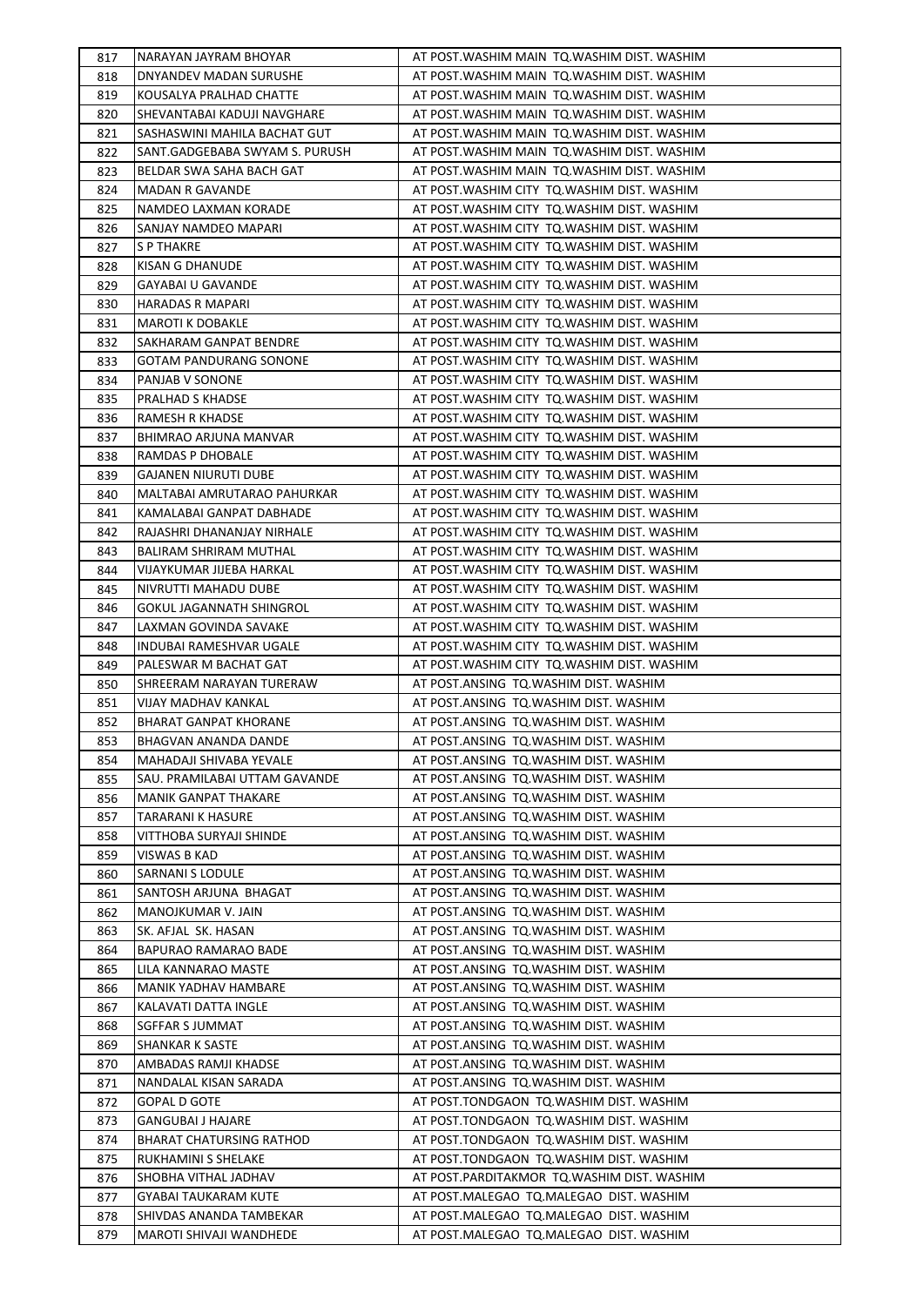| 817 | NARAYAN JAYRAM BHOYAR          | AT POST. WASHIM MAIN TO. WASHIM DIST. WASHIM |
|-----|--------------------------------|----------------------------------------------|
| 818 | DNYANDEV MADAN SURUSHE         | AT POST. WASHIM MAIN TO. WASHIM DIST. WASHIM |
| 819 | KOUSALYA PRALHAD CHATTE        | AT POST. WASHIM MAIN TO. WASHIM DIST. WASHIM |
| 820 | SHEVANTABAI KADUJI NAVGHARE    | AT POST. WASHIM MAIN TO. WASHIM DIST. WASHIM |
| 821 | SASHASWINI MAHILA BACHAT GUT   | AT POST. WASHIM MAIN TO. WASHIM DIST. WASHIM |
| 822 | SANT.GADGEBABA SWYAM S. PURUSH | AT POST. WASHIM MAIN TO. WASHIM DIST. WASHIM |
| 823 | BELDAR SWA SAHA BACH GAT       | AT POST. WASHIM MAIN TO. WASHIM DIST. WASHIM |
| 824 | <b>MADAN R GAVANDE</b>         | AT POST. WASHIM CITY TO. WASHIM DIST. WASHIM |
| 825 | NAMDEO LAXMAN KORADE           | AT POST. WASHIM CITY TO. WASHIM DIST. WASHIM |
| 826 | SANJAY NAMDEO MAPARI           | AT POST. WASHIM CITY TQ. WASHIM DIST. WASHIM |
| 827 | <b>S P THAKRE</b>              | AT POST. WASHIM CITY TQ. WASHIM DIST. WASHIM |
| 828 | KISAN G DHANUDE                | AT POST. WASHIM CITY TQ. WASHIM DIST. WASHIM |
| 829 | <b>GAYABAI U GAVANDE</b>       | AT POST. WASHIM CITY TO. WASHIM DIST. WASHIM |
| 830 | HARADAS R MAPARI               | AT POST. WASHIM CITY TO. WASHIM DIST. WASHIM |
| 831 | <b>MAROTI K DOBAKLE</b>        | AT POST. WASHIM CITY TO. WASHIM DIST. WASHIM |
| 832 | SAKHARAM GANPAT BENDRE         | AT POST. WASHIM CITY TO. WASHIM DIST. WASHIM |
| 833 | <b>GOTAM PANDURANG SONONE</b>  | AT POST. WASHIM CITY TO. WASHIM DIST. WASHIM |
| 834 | PANJAB V SONONE                | AT POST. WASHIM CITY TO. WASHIM DIST. WASHIM |
| 835 | PRALHAD S KHADSE               | AT POST. WASHIM CITY TO. WASHIM DIST. WASHIM |
| 836 | RAMESH R KHADSE                | AT POST. WASHIM CITY TO. WASHIM DIST. WASHIM |
| 837 | <b>BHIMRAO ARJUNA MANVAR</b>   | AT POST. WASHIM CITY TO. WASHIM DIST. WASHIM |
| 838 | RAMDAS P DHOBALE               | AT POST. WASHIM CITY TO. WASHIM DIST. WASHIM |
| 839 | <b>GAJANEN NIURUTI DUBE</b>    | AT POST. WASHIM CITY TO. WASHIM DIST. WASHIM |
| 840 | MALTABAI AMRUTARAO PAHURKAR    | AT POST. WASHIM CITY TO. WASHIM DIST. WASHIM |
| 841 | KAMALABAI GANPAT DABHADE       | AT POST. WASHIM CITY TO. WASHIM DIST. WASHIM |
| 842 | RAJASHRI DHANANJAY NIRHALE     | AT POST. WASHIM CITY TO. WASHIM DIST. WASHIM |
| 843 | <b>BALIRAM SHRIRAM MUTHAL</b>  | AT POST. WASHIM CITY TO. WASHIM DIST. WASHIM |
| 844 | VIJAYKUMAR JIJEBA HARKAL       | AT POST. WASHIM CITY TO. WASHIM DIST. WASHIM |
| 845 | NIVRUTTI MAHADU DUBE           | AT POST. WASHIM CITY TO. WASHIM DIST. WASHIM |
| 846 | GOKUL JAGANNATH SHINGROL       | AT POST. WASHIM CITY TO. WASHIM DIST. WASHIM |
| 847 | LAXMAN GOVINDA SAVAKE          | AT POST. WASHIM CITY TO. WASHIM DIST. WASHIM |
| 848 | INDUBAI RAMESHVAR UGALE        | AT POST. WASHIM CITY TO. WASHIM DIST. WASHIM |
| 849 | PALESWAR M BACHAT GAT          | AT POST. WASHIM CITY TQ. WASHIM DIST. WASHIM |
| 850 | SHREERAM NARAYAN TURERAW       | AT POST.ANSING TQ.WASHIM DIST. WASHIM        |
| 851 | VIJAY MADHAV KANKAL            | AT POST.ANSING TQ.WASHIM DIST. WASHIM        |
| 852 | <b>BHARAT GANPAT KHORANE</b>   | AT POST.ANSING TQ.WASHIM DIST. WASHIM        |
| 853 | BHAGVAN ANANDA DANDE           | AT POST.ANSING TQ.WASHIM DIST. WASHIM        |
| 854 | MAHADAJI SHIVABA YEVALE        | AT POST.ANSING TQ.WASHIM DIST. WASHIM        |
| 855 | SAU. PRAMILABAI UTTAM GAVANDE  | AT POST.ANSING TQ.WASHIM DIST. WASHIM        |
| 856 | MANIK GANPAT THAKARE           | AT POST.ANSING TQ.WASHIM DIST. WASHIM        |
| 857 | TARARANI K HASURE              | AT POST.ANSING TQ.WASHIM DIST. WASHIM        |
| 858 | VITTHOBA SURYAJI SHINDE        | AT POST.ANSING TQ.WASHIM DIST. WASHIM        |
| 859 | VISWAS B KAD                   | AT POST.ANSING TQ.WASHIM DIST. WASHIM        |
| 860 | SARNANI S LODULE               | AT POST.ANSING TQ.WASHIM DIST. WASHIM        |
| 861 | SANTOSH ARJUNA BHAGAT          | AT POST.ANSING TQ.WASHIM DIST. WASHIM        |
| 862 | MANOJKUMAR V. JAIN             | AT POST.ANSING TQ.WASHIM DIST. WASHIM        |
| 863 | SK. AFJAL SK. HASAN            | AT POST.ANSING TQ.WASHIM DIST. WASHIM        |
| 864 | BAPURAO RAMARAO BADE           | AT POST.ANSING TQ.WASHIM DIST. WASHIM        |
| 865 | LILA KANNARAO MASTE            | AT POST.ANSING TQ.WASHIM DIST. WASHIM        |
| 866 | MANIK YADHAV HAMBARE           | AT POST.ANSING TQ.WASHIM DIST. WASHIM        |
| 867 | KALAVATI DATTA INGLE           | AT POST.ANSING TQ.WASHIM DIST. WASHIM        |
| 868 | SGFFAR S JUMMAT                | AT POST.ANSING TQ.WASHIM DIST. WASHIM        |
| 869 | SHANKAR K SASTE                | AT POST.ANSING TQ.WASHIM DIST. WASHIM        |
| 870 | AMBADAS RAMJI KHADSE           | AT POST.ANSING TQ.WASHIM DIST. WASHIM        |
| 871 | NANDALAL KISAN SARADA          | AT POST.ANSING TQ.WASHIM DIST. WASHIM        |
| 872 | <b>GOPAL D GOTE</b>            | AT POST.TONDGAON TQ.WASHIM DIST. WASHIM      |
| 873 | <b>GANGUBAI J HAJARE</b>       | AT POST.TONDGAON TQ.WASHIM DIST. WASHIM      |
| 874 | BHARAT CHATURSING RATHOD       | AT POST.TONDGAON TQ.WASHIM DIST. WASHIM      |
| 875 | RUKHAMINI S SHELAKE            | AT POST.TONDGAON TQ.WASHIM DIST. WASHIM      |
| 876 | SHOBHA VITHAL JADHAV           | AT POST.PARDITAKMOR TQ.WASHIM DIST. WASHIM   |
| 877 | <b>GYABAI TAUKARAM KUTE</b>    | AT POST.MALEGAO TQ.MALEGAO DIST. WASHIM      |
| 878 | SHIVDAS ANANDA TAMBEKAR        | AT POST.MALEGAO TQ.MALEGAO DIST. WASHIM      |
| 879 | MAROTI SHIVAJI WANDHEDE        | AT POST.MALEGAO TQ.MALEGAO DIST. WASHIM      |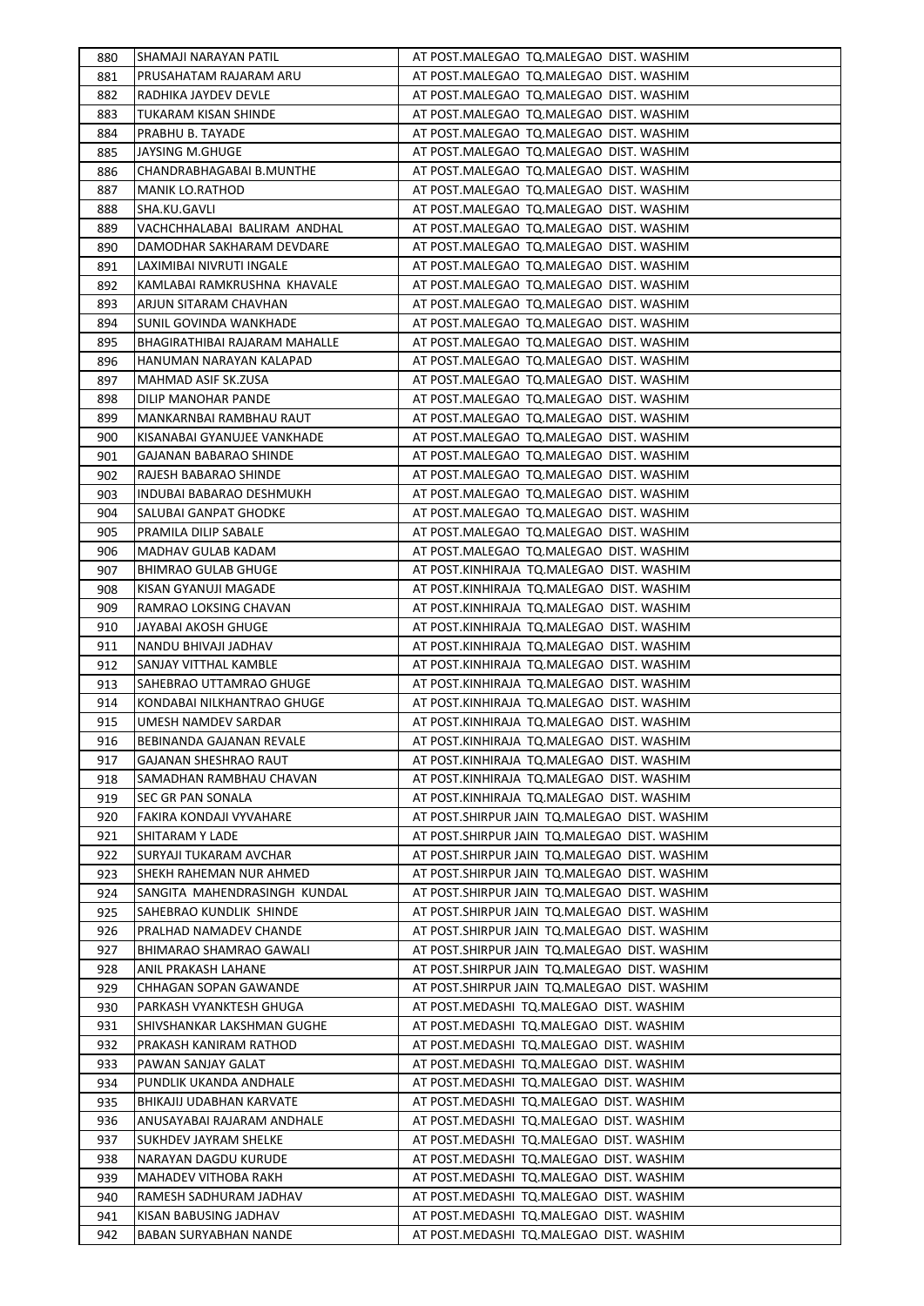| 880        | SHAMAJI NARAYAN PATIL                             | AT POST.MALEGAO TQ.MALEGAO DIST. WASHIM                                                |
|------------|---------------------------------------------------|----------------------------------------------------------------------------------------|
| 881        | PRUSAHATAM RAJARAM ARU                            | AT POST.MALEGAO TQ.MALEGAO DIST. WASHIM                                                |
| 882        | RADHIKA JAYDEV DEVLE                              | AT POST.MALEGAO TQ.MALEGAO DIST. WASHIM                                                |
| 883        | TUKARAM KISAN SHINDE                              | AT POST.MALEGAO TQ.MALEGAO DIST. WASHIM                                                |
| 884        | PRABHU B. TAYADE                                  | AT POST.MALEGAO TQ.MALEGAO DIST. WASHIM                                                |
| 885        | JAYSING M.GHUGE                                   | AT POST.MALEGAO TQ.MALEGAO DIST. WASHIM                                                |
| 886        | CHANDRABHAGABAI B.MUNTHE                          | AT POST.MALEGAO TQ.MALEGAO DIST. WASHIM                                                |
| 887        | MANIK LO.RATHOD                                   | AT POST.MALEGAO TQ.MALEGAO DIST. WASHIM                                                |
| 888        | SHA.KU.GAVLI                                      | AT POST.MALEGAO TQ.MALEGAO DIST. WASHIM                                                |
| 889        | VACHCHHALABAI BALIRAM ANDHAL                      | AT POST.MALEGAO TQ.MALEGAO DIST. WASHIM                                                |
| 890        | DAMODHAR SAKHARAM DEVDARE                         | AT POST.MALEGAO TQ.MALEGAO DIST. WASHIM                                                |
| 891        | LAXIMIBAI NIVRUTI INGALE                          | AT POST.MALEGAO TQ.MALEGAO DIST. WASHIM                                                |
| 892        | KAMLABAI RAMKRUSHNA KHAVALE                       | AT POST.MALEGAO TQ.MALEGAO DIST. WASHIM                                                |
| 893        | ARJUN SITARAM CHAVHAN                             | AT POST.MALEGAO TQ.MALEGAO DIST. WASHIM                                                |
| 894        | SUNIL GOVINDA WANKHADE                            | AT POST.MALEGAO TQ.MALEGAO DIST. WASHIM                                                |
| 895        | BHAGIRATHIBAI RAJARAM MAHALLE                     | AT POST.MALEGAO TQ.MALEGAO DIST. WASHIM                                                |
| 896        | HANUMAN NARAYAN KALAPAD                           | AT POST.MALEGAO TQ.MALEGAO DIST. WASHIM                                                |
| 897        | MAHMAD ASIF SK.ZUSA                               | AT POST.MALEGAO TQ.MALEGAO DIST. WASHIM                                                |
| 898        | DILIP MANOHAR PANDE                               | AT POST.MALEGAO TQ.MALEGAO DIST. WASHIM                                                |
| 899        | MANKARNBAI RAMBHAU RAUT                           | AT POST.MALEGAO TQ.MALEGAO DIST. WASHIM                                                |
| 900        | KISANABAI GYANUJEE VANKHADE                       | AT POST.MALEGAO TQ.MALEGAO DIST. WASHIM                                                |
| 901        | GAJANAN BABARAO SHINDE                            | AT POST.MALEGAO TQ.MALEGAO DIST. WASHIM                                                |
| 902        | RAJESH BABARAO SHINDE                             | AT POST.MALEGAO TQ.MALEGAO DIST. WASHIM                                                |
| 903        | INDUBAI BABARAO DESHMUKH                          | AT POST.MALEGAO TQ.MALEGAO DIST. WASHIM                                                |
| 904        | SALUBAI GANPAT GHODKE                             | AT POST.MALEGAO TQ.MALEGAO DIST. WASHIM                                                |
| 905        | PRAMILA DILIP SABALE                              | AT POST.MALEGAO TQ.MALEGAO DIST. WASHIM                                                |
| 906        | MADHAV GULAB KADAM                                | AT POST.MALEGAO TQ.MALEGAO DIST. WASHIM                                                |
| 907        | <b>BHIMRAO GULAB GHUGE</b>                        | AT POST.KINHIRAJA TQ.MALEGAO DIST. WASHIM                                              |
| 908        | KISAN GYANUJI MAGADE                              | AT POST.KINHIRAJA TQ.MALEGAO DIST. WASHIM                                              |
| 909        | RAMRAO LOKSING CHAVAN                             | AT POST.KINHIRAJA TQ.MALEGAO DIST. WASHIM                                              |
| 910        | JAYABAI AKOSH GHUGE                               | AT POST.KINHIRAJA TQ.MALEGAO DIST. WASHIM                                              |
| 911        | NANDU BHIVAJI JADHAV                              | AT POST.KINHIRAJA TQ.MALEGAO DIST. WASHIM                                              |
| 912        | SANJAY VITTHAL KAMBLE                             | AT POST.KINHIRAJA TQ.MALEGAO DIST. WASHIM                                              |
| 913        | SAHEBRAO UTTAMRAO GHUGE                           | AT POST.KINHIRAJA TQ.MALEGAO DIST. WASHIM<br>AT POST.KINHIRAJA TQ.MALEGAO DIST. WASHIM |
| 914<br>915 | KONDABAI NILKHANTRAO GHUGE<br>UMESH NAMDEV SARDAR | AT POST.KINHIRAJA TQ.MALEGAO DIST. WASHIM                                              |
| 916        | BEBINANDA GAJANAN REVALE                          | AT POST.KINHIRAJA TQ.MALEGAO DIST. WASHIM                                              |
| 917        | <b>GAJANAN SHESHRAO RAUT</b>                      | AT POST.KINHIRAJA TQ.MALEGAO DIST. WASHIM                                              |
| 918        | SAMADHAN RAMBHAU CHAVAN                           | AT POST.KINHIRAJA TO.MALEGAO DIST. WASHIM                                              |
| 919        | SEC GR PAN SONALA                                 | AT POST.KINHIRAJA TQ.MALEGAO DIST. WASHIM                                              |
| 920        | FAKIRA KONDAJI VYVAHARE                           | AT POST.SHIRPUR JAIN TQ.MALEGAO DIST. WASHIM                                           |
| 921        | SHITARAM Y LADE                                   | AT POST. SHIRPUR JAIN TO. MALEGAO DIST. WASHIM                                         |
| 922        | SURYAJI TUKARAM AVCHAR                            | AT POST. SHIRPUR JAIN TO. MALEGAO DIST. WASHIM                                         |
| 923        | SHEKH RAHEMAN NUR AHMED                           | AT POST.SHIRPUR JAIN TQ.MALEGAO DIST. WASHIM                                           |
| 924        | SANGITA MAHENDRASINGH KUNDAL                      | AT POST.SHIRPUR JAIN TQ.MALEGAO DIST. WASHIM                                           |
| 925        | SAHEBRAO KUNDLIK SHINDE                           | AT POST.SHIRPUR JAIN TQ.MALEGAO DIST. WASHIM                                           |
| 926        | PRALHAD NAMADEV CHANDE                            | AT POST.SHIRPUR JAIN TQ.MALEGAO DIST. WASHIM                                           |
| 927        | BHIMARAO SHAMRAO GAWALI                           | AT POST.SHIRPUR JAIN TQ.MALEGAO DIST. WASHIM                                           |
| 928        | ANIL PRAKASH LAHANE                               | AT POST.SHIRPUR JAIN TQ.MALEGAO DIST. WASHIM                                           |
| 929        | CHHAGAN SOPAN GAWANDE                             | AT POST.SHIRPUR JAIN TQ.MALEGAO DIST. WASHIM                                           |
| 930        | PARKASH VYANKTESH GHUGA                           | AT POST.MEDASHI TQ.MALEGAO DIST. WASHIM                                                |
| 931        | SHIVSHANKAR LAKSHMAN GUGHE                        | AT POST.MEDASHI TQ.MALEGAO DIST. WASHIM                                                |
| 932        | PRAKASH KANIRAM RATHOD                            | AT POST.MEDASHI TQ.MALEGAO DIST. WASHIM                                                |
| 933        | PAWAN SANJAY GALAT                                | AT POST.MEDASHI TQ.MALEGAO DIST. WASHIM                                                |
| 934        | PUNDLIK UKANDA ANDHALE                            | AT POST.MEDASHI TQ.MALEGAO DIST. WASHIM                                                |
| 935        | BHIKAJIJ UDABHAN KARVATE                          | AT POST.MEDASHI TQ.MALEGAO DIST. WASHIM                                                |
| 936        | ANUSAYABAI RAJARAM ANDHALE                        | AT POST.MEDASHI TQ.MALEGAO DIST. WASHIM                                                |
| 937        | SUKHDEV JAYRAM SHELKE                             | AT POST.MEDASHI TQ.MALEGAO DIST. WASHIM                                                |
| 938        | NARAYAN DAGDU KURUDE                              | AT POST.MEDASHI TQ.MALEGAO DIST. WASHIM                                                |
| 939        | MAHADEV VITHOBA RAKH                              | AT POST.MEDASHI TQ.MALEGAO DIST. WASHIM                                                |
| 940        | RAMESH SADHURAM JADHAV                            | AT POST.MEDASHI TQ.MALEGAO DIST. WASHIM                                                |
| 941        | KISAN BABUSING JADHAV                             | AT POST.MEDASHI TQ.MALEGAO DIST. WASHIM                                                |
| 942        | <b>BABAN SURYABHAN NANDE</b>                      | AT POST.MEDASHI TQ.MALEGAO DIST. WASHIM                                                |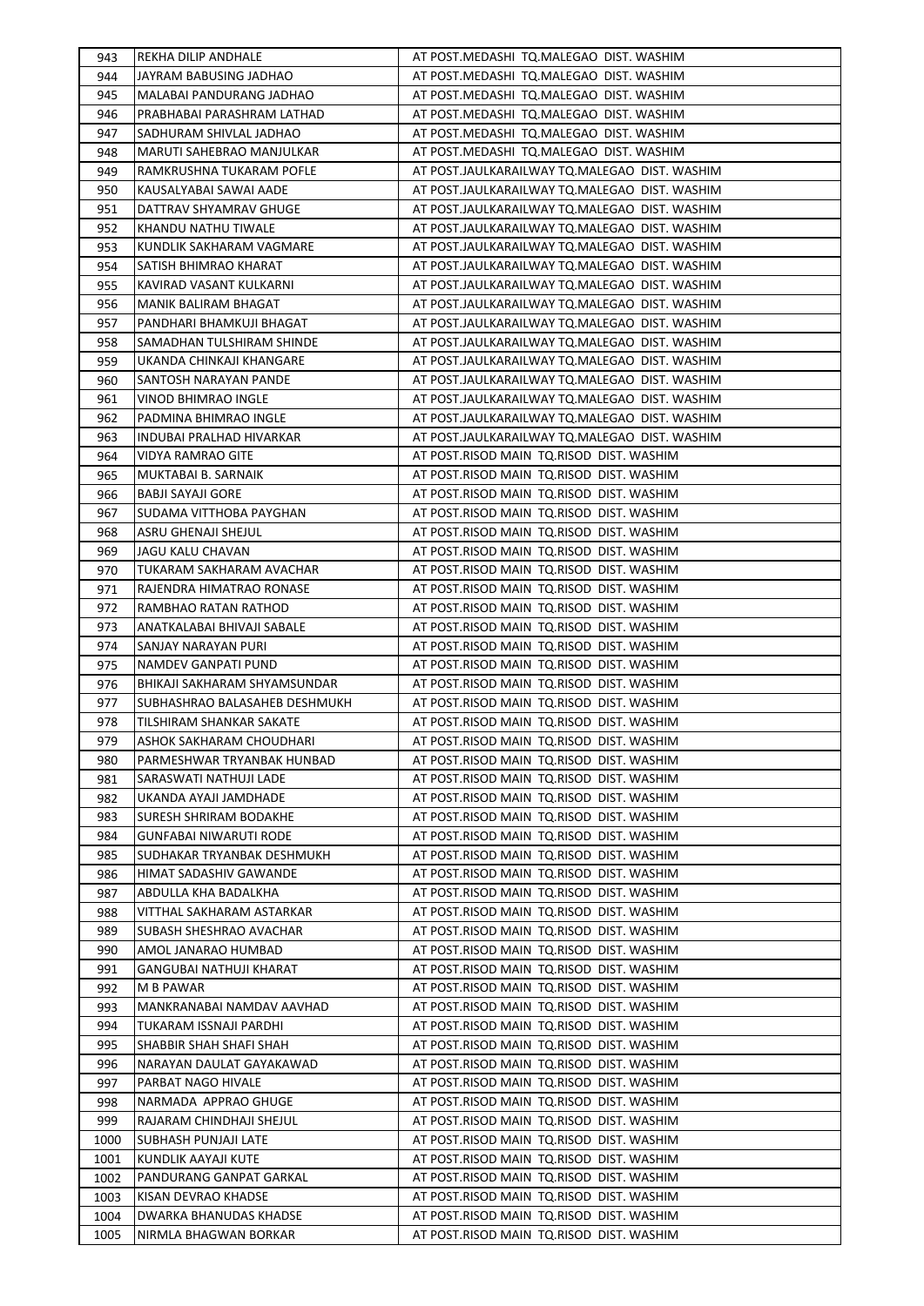| 943        | REKHA DILIP ANDHALE                               | AT POST.MEDASHI TQ.MALEGAO DIST. WASHIM       |
|------------|---------------------------------------------------|-----------------------------------------------|
| 944        | JAYRAM BABUSING JADHAO                            | AT POST.MEDASHI TO.MALEGAO DIST. WASHIM       |
| 945        | MALABAI PANDURANG JADHAO                          | AT POST.MEDASHI TQ.MALEGAO DIST. WASHIM       |
| 946        | PRABHABAI PARASHRAM LATHAD                        | AT POST.MEDASHI TQ.MALEGAO DIST. WASHIM       |
| 947        | SADHURAM SHIVLAL JADHAO                           | AT POST.MEDASHI TQ.MALEGAO DIST. WASHIM       |
| 948        | <b>MARUTI SAHEBRAO MANJULKAR</b>                  | AT POST.MEDASHI TQ.MALEGAO DIST. WASHIM       |
| 949        | RAMKRUSHNA TUKARAM POFLE                          | AT POST.JAULKARAILWAY TQ.MALEGAO DIST. WASHIM |
| 950        | KAUSALYABAI SAWAI AADE                            | AT POST.JAULKARAILWAY TQ.MALEGAO DIST. WASHIM |
| 951        | DATTRAV SHYAMRAV GHUGE                            | AT POST.JAULKARAILWAY TQ.MALEGAO DIST. WASHIM |
| 952        | KHANDU NATHU TIWALE                               | AT POST.JAULKARAILWAY TQ.MALEGAO DIST. WASHIM |
| 953        | KUNDLIK SAKHARAM VAGMARE                          | AT POST.JAULKARAILWAY TQ.MALEGAO DIST. WASHIM |
| 954        | SATISH BHIMRAO KHARAT                             | AT POST.JAULKARAILWAY TQ.MALEGAO DIST. WASHIM |
| 955        | KAVIRAD VASANT KULKARNI                           | AT POST.JAULKARAILWAY TQ.MALEGAO DIST. WASHIM |
| 956        | MANIK BALIRAM BHAGAT                              | AT POST.JAULKARAILWAY TQ.MALEGAO DIST. WASHIM |
| 957        | PANDHARI BHAMKUJI BHAGAT                          | AT POST.JAULKARAILWAY TQ.MALEGAO DIST. WASHIM |
| 958        | SAMADHAN TULSHIRAM SHINDE                         | AT POST.JAULKARAILWAY TO.MALEGAO DIST. WASHIM |
| 959        | UKANDA CHINKAJI KHANGARE                          | AT POST.JAULKARAILWAY TQ.MALEGAO DIST. WASHIM |
| 960        | SANTOSH NARAYAN PANDE                             | AT POST.JAULKARAILWAY TO.MALEGAO DIST. WASHIM |
| 961        | VINOD BHIMRAO INGLE                               | AT POST.JAULKARAILWAY TQ.MALEGAO DIST. WASHIM |
| 962        | PADMINA BHIMRAO INGLE                             | AT POST.JAULKARAILWAY TQ.MALEGAO DIST. WASHIM |
| 963        | INDUBAI PRALHAD HIVARKAR                          | AT POST.JAULKARAILWAY TQ.MALEGAO DIST. WASHIM |
| 964        | VIDYA RAMRAO GITE                                 | AT POST.RISOD MAIN TQ.RISOD DIST. WASHIM      |
| 965        | MUKTABAI B. SARNAIK                               | AT POST.RISOD MAIN TQ.RISOD DIST. WASHIM      |
| 966        | BABJI SAYAJI GORE                                 | AT POST.RISOD MAIN TQ.RISOD DIST. WASHIM      |
| 967        | SUDAMA VITTHOBA PAYGHAN                           | AT POST.RISOD MAIN TQ.RISOD DIST. WASHIM      |
| 968        | ASRU GHENAJI SHEJUL                               | AT POST.RISOD MAIN TQ.RISOD DIST. WASHIM      |
| 969        | JAGU KALU CHAVAN                                  | AT POST.RISOD MAIN TQ.RISOD DIST. WASHIM      |
| 970        | TUKARAM SAKHARAM AVACHAR                          | AT POST.RISOD MAIN TQ.RISOD DIST. WASHIM      |
| 971        | RAJENDRA HIMATRAO RONASE                          | AT POST.RISOD MAIN TQ.RISOD DIST. WASHIM      |
| 972        | RAMBHAO RATAN RATHOD                              | AT POST.RISOD MAIN TQ.RISOD DIST. WASHIM      |
| 973        |                                                   | AT POST.RISOD MAIN TQ.RISOD DIST. WASHIM      |
|            | ANATKALABAI BHIVAJI SABALE<br>SANJAY NARAYAN PURI | AT POST.RISOD MAIN TQ.RISOD DIST. WASHIM      |
| 974<br>975 | NAMDEV GANPATI PUND                               | AT POST.RISOD MAIN TQ.RISOD DIST. WASHIM      |
| 976        | BHIKAJI SAKHARAM SHYAMSUNDAR                      | AT POST.RISOD MAIN TQ.RISOD DIST. WASHIM      |
| 977        | SUBHASHRAO BALASAHEB DESHMUKH                     | AT POST.RISOD MAIN TQ.RISOD DIST. WASHIM      |
| 978        | TILSHIRAM SHANKAR SAKATE                          | AT POST.RISOD MAIN TQ.RISOD DIST. WASHIM      |
| 979        | ASHOK SAKHARAM CHOUDHARI                          | AT POST.RISOD MAIN TQ.RISOD DIST. WASHIM      |
|            | PARMESHWAR TRYANBAK HUNBAD                        |                                               |
| 980        |                                                   | AT POST.RISOD MAIN TQ.RISOD DIST. WASHIM      |
| 981        | SARASWATI NATHUJI LADE                            | AT POST.RISOD MAIN TQ.RISOD DIST. WASHIM      |
| 982        | UKANDA AYAJI JAMDHADE                             | AT POST.RISOD MAIN TQ.RISOD DIST. WASHIM      |
| 983        | SURESH SHRIRAM BODAKHE                            | AT POST.RISOD MAIN TQ.RISOD DIST. WASHIM      |
| 984        | GUNFABAI NIWARUTI RODE                            | AT POST.RISOD MAIN TO.RISOD DIST. WASHIM      |
| 985        | SUDHAKAR TRYANBAK DESHMUKH                        | AT POST.RISOD MAIN TQ.RISOD DIST. WASHIM      |
| 986        | HIMAT SADASHIV GAWANDE                            | AT POST.RISOD MAIN TQ.RISOD DIST. WASHIM      |
| 987        | ABDULLA KHA BADALKHA                              | AT POST.RISOD MAIN TQ.RISOD DIST. WASHIM      |
| 988        | VITTHAL SAKHARAM ASTARKAR                         | AT POST.RISOD MAIN TQ.RISOD DIST. WASHIM      |
| 989        | SUBASH SHESHRAO AVACHAR                           | AT POST.RISOD MAIN TQ.RISOD DIST. WASHIM      |
| 990        | AMOL JANARAO HUMBAD                               | AT POST.RISOD MAIN TO.RISOD DIST. WASHIM      |
| 991        | GANGUBAI NATHUJI KHARAT                           | AT POST.RISOD MAIN TQ.RISOD DIST. WASHIM      |
| 992        | M B PAWAR                                         | AT POST.RISOD MAIN TQ.RISOD DIST. WASHIM      |
| 993        | MANKRANABAI NAMDAV AAVHAD                         | AT POST.RISOD MAIN TQ.RISOD DIST. WASHIM      |
| 994        | TUKARAM ISSNAJI PARDHI                            | AT POST.RISOD MAIN TQ.RISOD DIST. WASHIM      |
| 995        | SHABBIR SHAH SHAFI SHAH                           | AT POST.RISOD MAIN TQ.RISOD DIST. WASHIM      |
| 996        | NARAYAN DAULAT GAYAKAWAD                          | AT POST.RISOD MAIN TO.RISOD DIST. WASHIM      |
| 997        | PARBAT NAGO HIVALE                                | AT POST.RISOD MAIN TQ.RISOD DIST. WASHIM      |
| 998        | NARMADA APPRAO GHUGE                              | AT POST.RISOD MAIN TQ.RISOD DIST. WASHIM      |
| 999        | RAJARAM CHINDHAJI SHEJUL                          | AT POST.RISOD MAIN TQ.RISOD DIST. WASHIM      |
| 1000       | SUBHASH PUNJAJI LATE                              | AT POST.RISOD MAIN TQ.RISOD DIST. WASHIM      |
| 1001       | KUNDLIK AAYAJI KUTE                               | AT POST.RISOD MAIN TQ.RISOD DIST. WASHIM      |
| 1002       | PANDURANG GANPAT GARKAL                           | AT POST.RISOD MAIN TQ.RISOD DIST. WASHIM      |
| 1003       | KISAN DEVRAO KHADSE                               | AT POST.RISOD MAIN TQ.RISOD DIST. WASHIM      |
| 1004       | DWARKA BHANUDAS KHADSE                            | AT POST.RISOD MAIN TQ.RISOD DIST. WASHIM      |
|            |                                                   | AT POST.RISOD MAIN TQ.RISOD DIST. WASHIM      |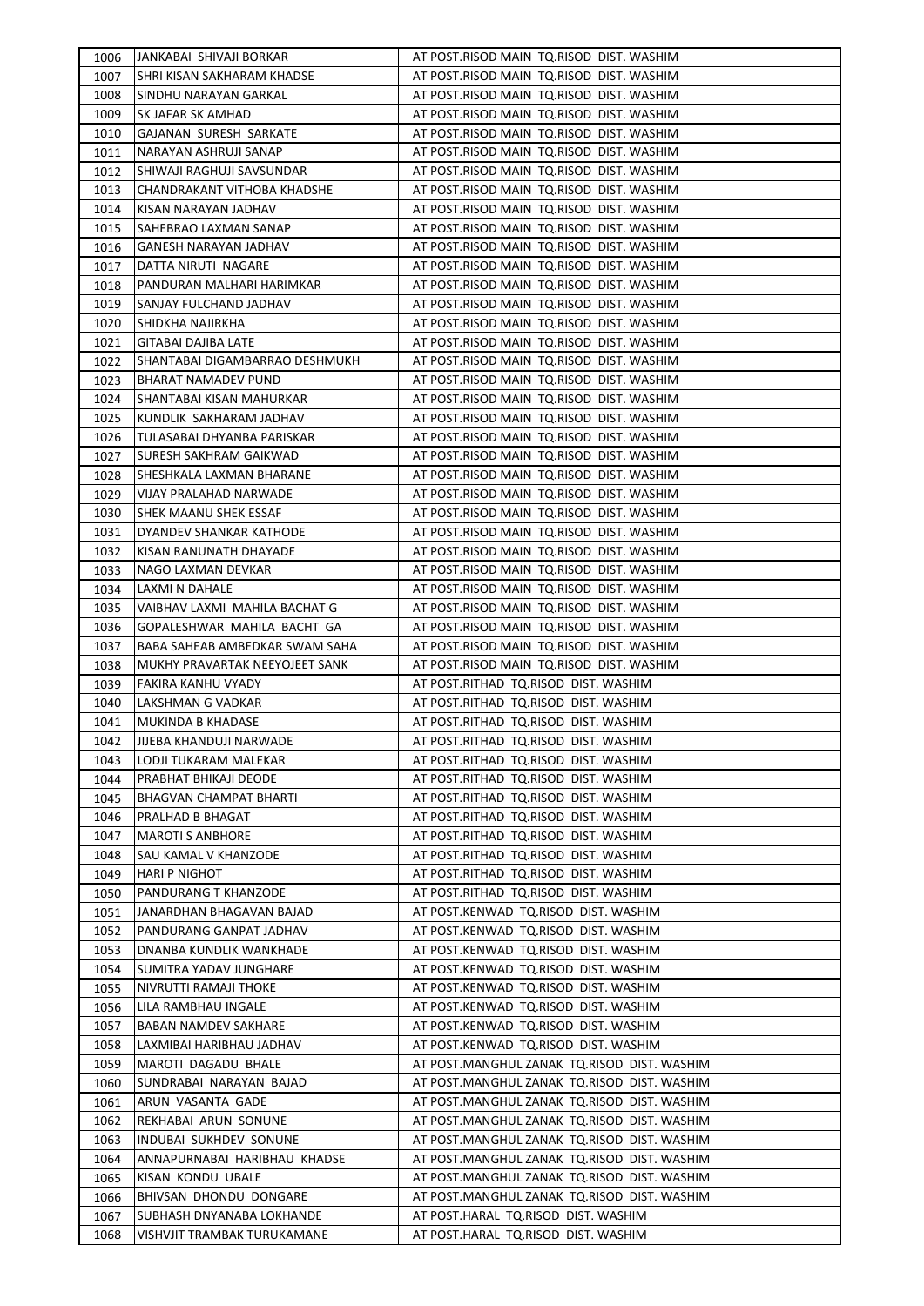| 1006 | JANKABAI SHIVAJI BORKAR        | AT POST.RISOD MAIN TQ.RISOD DIST. WASHIM    |
|------|--------------------------------|---------------------------------------------|
| 1007 | SHRI KISAN SAKHARAM KHADSE     | AT POST.RISOD MAIN TQ.RISOD DIST. WASHIM    |
| 1008 | SINDHU NARAYAN GARKAL          | AT POST.RISOD MAIN TQ.RISOD DIST. WASHIM    |
| 1009 | SK JAFAR SK AMHAD              | AT POST.RISOD MAIN TQ.RISOD DIST. WASHIM    |
| 1010 | GAJANAN SURESH SARKATE         | AT POST.RISOD MAIN TQ.RISOD DIST. WASHIM    |
| 1011 | NARAYAN ASHRUJI SANAP          | AT POST.RISOD MAIN TQ.RISOD DIST. WASHIM    |
| 1012 | SHIWAJI RAGHUJI SAVSUNDAR      | AT POST.RISOD MAIN TQ.RISOD DIST. WASHIM    |
| 1013 | CHANDRAKANT VITHOBA KHADSHE    | AT POST.RISOD MAIN TQ.RISOD DIST. WASHIM    |
| 1014 | KISAN NARAYAN JADHAV           | AT POST.RISOD MAIN TQ.RISOD DIST. WASHIM    |
| 1015 | SAHEBRAO LAXMAN SANAP          | AT POST.RISOD MAIN TQ.RISOD DIST. WASHIM    |
| 1016 | <b>GANESH NARAYAN JADHAV</b>   | AT POST.RISOD MAIN TQ.RISOD DIST. WASHIM    |
| 1017 | DATTA NIRUTI NAGARE            | AT POST.RISOD MAIN TQ.RISOD DIST. WASHIM    |
| 1018 | PANDURAN MALHARI HARIMKAR      | AT POST.RISOD MAIN TQ.RISOD DIST. WASHIM    |
| 1019 | SANJAY FULCHAND JADHAV         | AT POST.RISOD MAIN TQ.RISOD DIST. WASHIM    |
| 1020 | SHIDKHA NAJIRKHA               | AT POST.RISOD MAIN TQ.RISOD DIST. WASHIM    |
| 1021 | <b>GITABAI DAJIBA LATE</b>     | AT POST.RISOD MAIN TQ.RISOD DIST. WASHIM    |
| 1022 | SHANTABAI DIGAMBARRAO DESHMUKH | AT POST.RISOD MAIN TQ.RISOD DIST. WASHIM    |
| 1023 | <b>BHARAT NAMADEV PUND</b>     | AT POST.RISOD MAIN TQ.RISOD DIST. WASHIM    |
| 1024 | SHANTABAI KISAN MAHURKAR       | AT POST.RISOD MAIN TQ.RISOD DIST. WASHIM    |
| 1025 | KUNDLIK SAKHARAM JADHAV        | AT POST.RISOD MAIN TQ.RISOD DIST. WASHIM    |
| 1026 | TULASABAI DHYANBA PARISKAR     | AT POST.RISOD MAIN TQ.RISOD DIST. WASHIM    |
| 1027 | ISURESH SAKHRAM GAIKWAD        | AT POST.RISOD MAIN TQ.RISOD DIST. WASHIM    |
| 1028 | SHESHKALA LAXMAN BHARANE       | AT POST.RISOD MAIN TQ.RISOD DIST. WASHIM    |
| 1029 | VIJAY PRALAHAD NARWADE         | AT POST.RISOD MAIN TQ.RISOD DIST. WASHIM    |
| 1030 | ISHEK MAANU SHEK ESSAF         | AT POST.RISOD MAIN TQ.RISOD DIST. WASHIM    |
|      |                                | AT POST.RISOD MAIN TQ.RISOD DIST. WASHIM    |
| 1031 | DYANDEV SHANKAR KATHODE        |                                             |
| 1032 | KISAN RANUNATH DHAYADE         | AT POST.RISOD MAIN TQ.RISOD DIST. WASHIM    |
| 1033 | NAGO LAXMAN DEVKAR             | AT POST.RISOD MAIN TQ.RISOD DIST. WASHIM    |
| 1034 | LAXMI N DAHALE                 | AT POST.RISOD MAIN TQ.RISOD DIST. WASHIM    |
| 1035 | VAIBHAV LAXMI MAHILA BACHAT G  | AT POST.RISOD MAIN TQ.RISOD DIST. WASHIM    |
| 1036 | GOPALESHWAR MAHILA BACHT GA    | AT POST.RISOD MAIN TQ.RISOD DIST. WASHIM    |
| 1037 | BABA SAHEAB AMBEDKAR SWAM SAHA | AT POST.RISOD MAIN TQ.RISOD DIST. WASHIM    |
| 1038 | MUKHY PRAVARTAK NEEYOJEET SANK | AT POST.RISOD MAIN TQ.RISOD DIST. WASHIM    |
| 1039 | FAKIRA KANHU VYADY             | AT POST.RITHAD TQ.RISOD DIST. WASHIM        |
| 1040 | LAKSHMAN G VADKAR              | AT POST.RITHAD TQ.RISOD DIST. WASHIM        |
| 1041 | <b>MUKINDA B KHADASE</b>       | AT POST.RITHAD TQ.RISOD DIST. WASHIM        |
| 1042 | JIJEBA KHANDUJI NARWADE        | AT POST.RITHAD TQ.RISOD DIST. WASHIM        |
| 1043 | LODJI TUKARAM MALEKAR          | AT POST.RITHAD TQ.RISOD DIST. WASHIM        |
| 1044 | PRABHAT BHIKAJI DEODE          | AT POST.RITHAD TQ.RISOD DIST. WASHIM        |
| 1045 | BHAGVAN CHAMPAT BHARTI         | AT POST.RITHAD TQ.RISOD DIST. WASHIM        |
| 1046 | PRALHAD B BHAGAT               | AT POST.RITHAD TQ.RISOD DIST. WASHIM        |
| 1047 | <b>MAROTI S ANBHORE</b>        | AT POST.RITHAD TQ.RISOD DIST. WASHIM        |
| 1048 | SAU KAMAL V KHANZODE           | AT POST.RITHAD TQ.RISOD DIST. WASHIM        |
| 1049 | HARI P NIGHOT                  | AT POST.RITHAD TQ.RISOD DIST. WASHIM        |
| 1050 | PANDURANG T KHANZODE           | AT POST.RITHAD TQ.RISOD DIST. WASHIM        |
| 1051 | JANARDHAN BHAGAVAN BAJAD       | AT POST.KENWAD TQ.RISOD DIST. WASHIM        |
| 1052 | PANDURANG GANPAT JADHAV        | AT POST.KENWAD TQ.RISOD DIST. WASHIM        |
| 1053 | DNANBA KUNDLIK WANKHADE        | AT POST.KENWAD TQ.RISOD DIST. WASHIM        |
| 1054 | SUMITRA YADAV JUNGHARE         | AT POST.KENWAD TQ.RISOD DIST. WASHIM        |
| 1055 | NIVRUTTI RAMAJI THOKE          | AT POST.KENWAD TQ.RISOD DIST. WASHIM        |
| 1056 | LILA RAMBHAU INGALE            | AT POST.KENWAD TQ.RISOD DIST. WASHIM        |
| 1057 | <b>BABAN NAMDEV SAKHARE</b>    | AT POST.KENWAD TQ.RISOD DIST. WASHIM        |
| 1058 | LAXMIBAI HARIBHAU JADHAV       | AT POST.KENWAD TQ.RISOD DIST. WASHIM        |
| 1059 | MAROTI DAGADU BHALE            | AT POST.MANGHUL ZANAK TQ.RISOD DIST. WASHIM |
| 1060 | SUNDRABAI NARAYAN BAJAD        | AT POST.MANGHUL ZANAK TQ.RISOD DIST. WASHIM |
| 1061 | ARUN VASANTA GADE              | AT POST.MANGHUL ZANAK TQ.RISOD DIST. WASHIM |
| 1062 | REKHABAI ARUN SONUNE           | AT POST.MANGHUL ZANAK TQ.RISOD DIST. WASHIM |
| 1063 | INDUBAI SUKHDEV SONUNE         | AT POST.MANGHUL ZANAK TQ.RISOD DIST. WASHIM |
| 1064 | ANNAPURNABAI HARIBHAU KHADSE   | AT POST.MANGHUL ZANAK TQ.RISOD DIST. WASHIM |
| 1065 | KISAN KONDU UBALE              | AT POST.MANGHUL ZANAK TQ.RISOD DIST. WASHIM |
| 1066 | BHIVSAN DHONDU DONGARE         | AT POST.MANGHUL ZANAK TQ.RISOD DIST. WASHIM |
| 1067 | SUBHASH DNYANABA LOKHANDE      | AT POST.HARAL TQ.RISOD DIST. WASHIM         |
|      |                                | AT POST.HARAL TQ.RISOD DIST. WASHIM         |